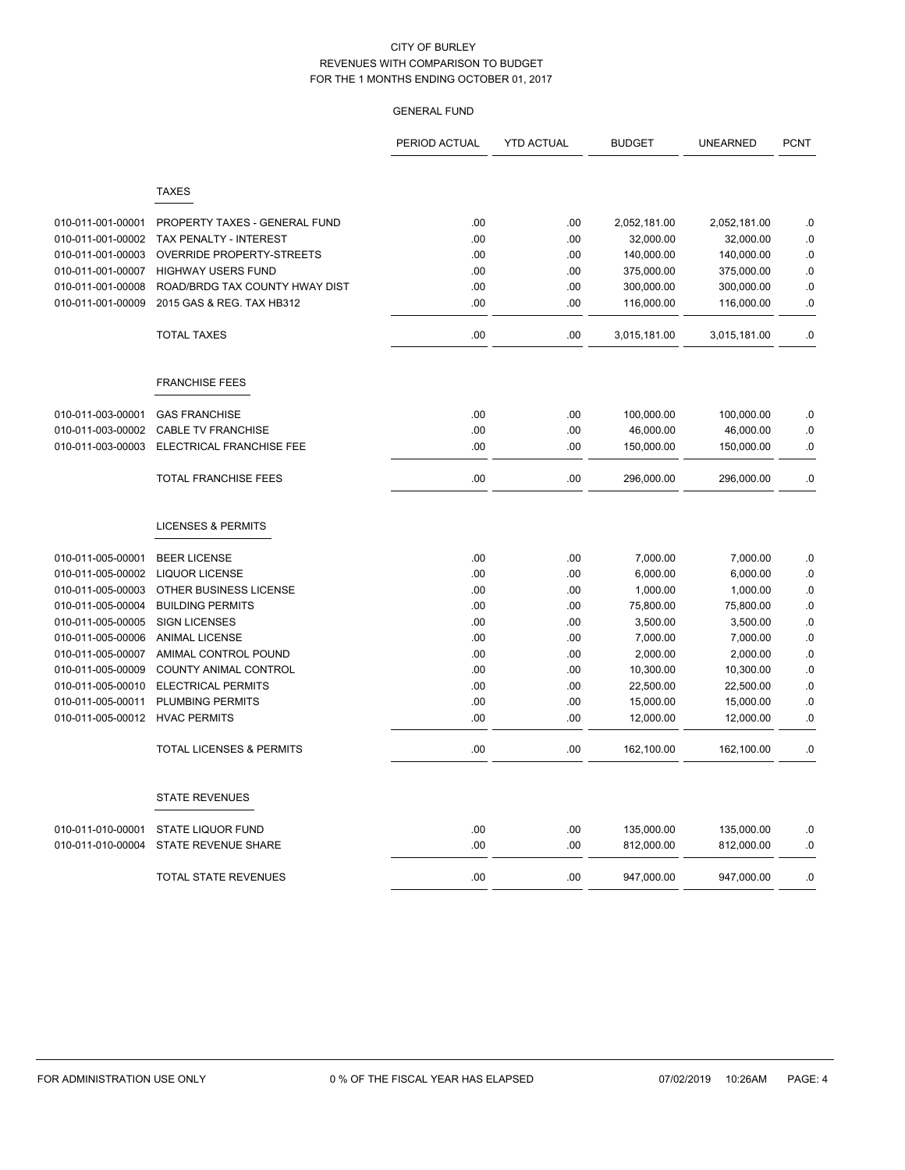|                   |                                     | PERIOD ACTUAL | <b>YTD ACTUAL</b> | <b>BUDGET</b> | <b>UNEARNED</b> | <b>PCNT</b> |
|-------------------|-------------------------------------|---------------|-------------------|---------------|-----------------|-------------|
|                   |                                     |               |                   |               |                 |             |
|                   | <b>TAXES</b>                        |               |                   |               |                 |             |
| 010-011-001-00001 | PROPERTY TAXES - GENERAL FUND       | .00           | .00               | 2,052,181.00  | 2,052,181.00    | .0          |
| 010-011-001-00002 | TAX PENALTY - INTEREST              | .00           | .00               | 32,000.00     | 32,000.00       | .0          |
| 010-011-001-00003 | OVERRIDE PROPERTY-STREETS           | .00           | .00               | 140,000.00    | 140,000.00      | .0          |
| 010-011-001-00007 | <b>HIGHWAY USERS FUND</b>           | .00           | .00               | 375,000.00    | 375,000.00      | .0          |
| 010-011-001-00008 | ROAD/BRDG TAX COUNTY HWAY DIST      | .00           | .00               | 300,000.00    | 300,000.00      | .0          |
| 010-011-001-00009 | 2015 GAS & REG. TAX HB312           | .00           | .00.              | 116,000.00    | 116,000.00      | .0          |
|                   | <b>TOTAL TAXES</b>                  | .00           | .00               | 3,015,181.00  | 3,015,181.00    | .0          |
|                   | <b>FRANCHISE FEES</b>               |               |                   |               |                 |             |
| 010-011-003-00001 | <b>GAS FRANCHISE</b>                | .00           | .00               | 100,000.00    | 100,000.00      | .0          |
| 010-011-003-00002 | <b>CABLE TV FRANCHISE</b>           | .00           | .00               | 46,000.00     | 46,000.00       | .0          |
| 010-011-003-00003 | ELECTRICAL FRANCHISE FEE            | .00           | .00               | 150,000.00    | 150,000.00      | .0          |
|                   | TOTAL FRANCHISE FEES                | .00           | .00               | 296,000.00    | 296,000.00      | $\cdot$ 0   |
|                   | <b>LICENSES &amp; PERMITS</b>       |               |                   |               |                 |             |
| 010-011-005-00001 | <b>BEER LICENSE</b>                 | .00           | .00               | 7,000.00      | 7,000.00        | $\cdot$ 0   |
| 010-011-005-00002 | <b>LIQUOR LICENSE</b>               | .00           | .00               | 6,000.00      | 6,000.00        | .0          |
| 010-011-005-00003 | OTHER BUSINESS LICENSE              | .00           | .00               | 1,000.00      | 1,000.00        | .0          |
| 010-011-005-00004 | <b>BUILDING PERMITS</b>             | .00           | .00               | 75,800.00     | 75,800.00       | .0          |
| 010-011-005-00005 | <b>SIGN LICENSES</b>                | .00           | .00               | 3,500.00      | 3,500.00        | $0.$        |
| 010-011-005-00006 | <b>ANIMAL LICENSE</b>               | .00           | .00               | 7,000.00      | 7,000.00        | $\cdot$ 0   |
| 010-011-005-00007 | AMIMAL CONTROL POUND                | .00           | .00               | 2,000.00      | 2,000.00        | .0          |
| 010-011-005-00009 | COUNTY ANIMAL CONTROL               | .00           | .00               | 10,300.00     | 10,300.00       | .0          |
| 010-011-005-00010 | <b>ELECTRICAL PERMITS</b>           | .00           | .00               | 22,500.00     | 22,500.00       | .0          |
| 010-011-005-00011 | PLUMBING PERMITS                    | .00           | .00               | 15,000.00     | 15,000.00       | .0          |
| 010-011-005-00012 | <b>HVAC PERMITS</b>                 | .00           | .00               | 12,000.00     | 12,000.00       | .0          |
|                   | <b>TOTAL LICENSES &amp; PERMITS</b> | .00           | .00               | 162,100.00    | 162,100.00      | .0          |
|                   | <b>STATE REVENUES</b>               |               |                   |               |                 |             |
| 010-011-010-00001 | <b>STATE LIQUOR FUND</b>            | .00           | .00               | 135,000.00    | 135,000.00      | .0          |
| 010-011-010-00004 | <b>STATE REVENUE SHARE</b>          | .00           | .00               | 812,000.00    | 812,000.00      | .0          |
|                   | <b>TOTAL STATE REVENUES</b>         | .00           | .00               | 947,000.00    | 947,000.00      | .0          |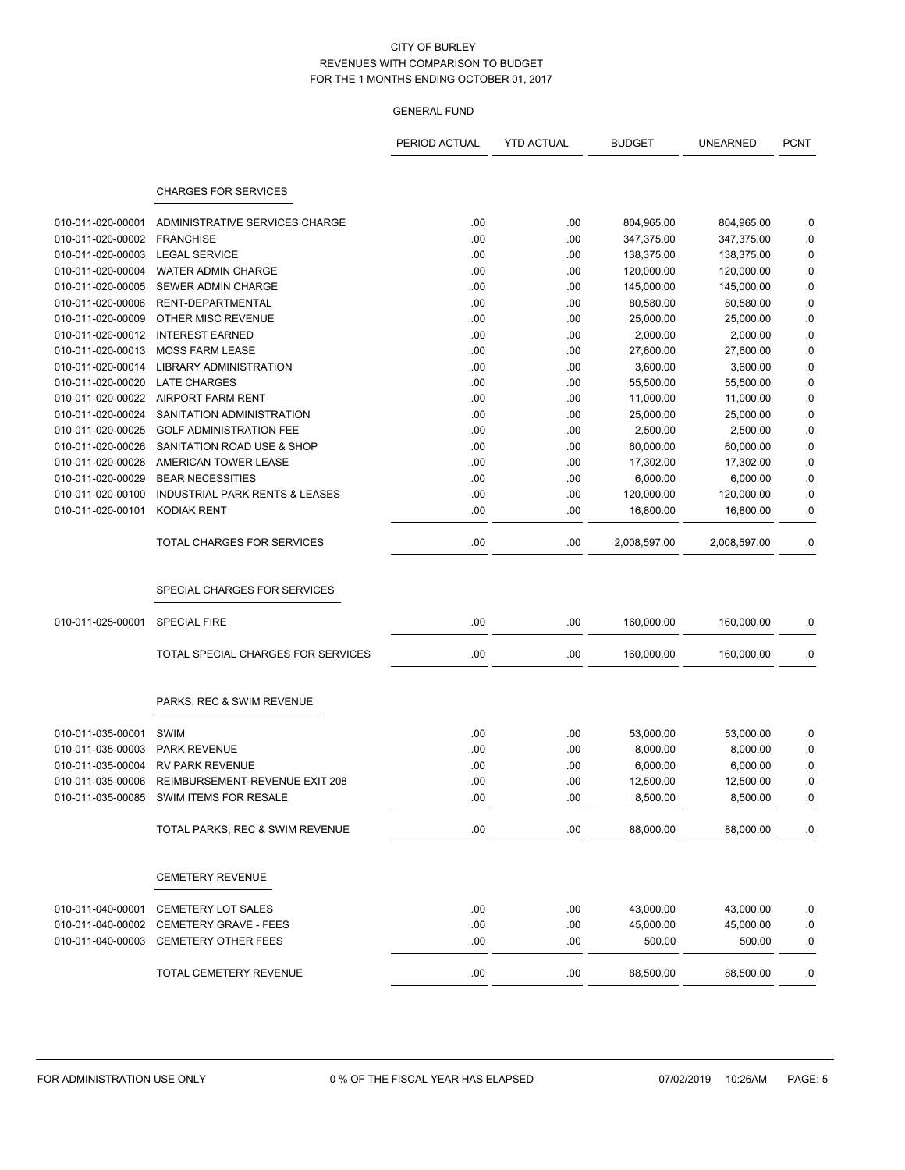|                   |                                           | PERIOD ACTUAL | <b>YTD ACTUAL</b> | <b>BUDGET</b> | <b>UNEARNED</b> | <b>PCNT</b> |
|-------------------|-------------------------------------------|---------------|-------------------|---------------|-----------------|-------------|
|                   |                                           |               |                   |               |                 |             |
|                   | <b>CHARGES FOR SERVICES</b>               |               |                   |               |                 |             |
| 010-011-020-00001 | ADMINISTRATIVE SERVICES CHARGE            | .00           | .00               | 804,965.00    | 804,965.00      | .0          |
| 010-011-020-00002 | <b>FRANCHISE</b>                          | .00           | .00               | 347,375.00    | 347,375.00      | .0          |
| 010-011-020-00003 | <b>LEGAL SERVICE</b>                      | .00           | .00               | 138,375.00    | 138,375.00      | .0          |
| 010-011-020-00004 | WATER ADMIN CHARGE                        | .00           | .00               | 120,000.00    | 120,000.00      | .0          |
| 010-011-020-00005 | SEWER ADMIN CHARGE                        | .00           | .00               | 145,000.00    | 145,000.00      | .0          |
| 010-011-020-00006 | <b>RENT-DEPARTMENTAL</b>                  | .00           | .00               | 80,580.00     | 80,580.00       | $\cdot$ 0   |
| 010-011-020-00009 | OTHER MISC REVENUE                        | .00           | .00               | 25,000.00     | 25,000.00       | .0          |
| 010-011-020-00012 | <b>INTEREST EARNED</b>                    | .00           | .00               | 2,000.00      | 2,000.00        | .0          |
| 010-011-020-00013 | <b>MOSS FARM LEASE</b>                    | .00           | .00               | 27,600.00     | 27,600.00       | $\cdot$ 0   |
| 010-011-020-00014 | <b>LIBRARY ADMINISTRATION</b>             | .00           | .00               | 3,600.00      | 3,600.00        | .0          |
| 010-011-020-00020 | <b>LATE CHARGES</b>                       | .00           | .00               | 55,500.00     | 55,500.00       | .0          |
| 010-011-020-00022 | <b>AIRPORT FARM RENT</b>                  | .00           | .00               | 11,000.00     | 11,000.00       | .0          |
| 010-011-020-00024 | SANITATION ADMINISTRATION                 | .00           | .00               | 25,000.00     | 25,000.00       | .0          |
| 010-011-020-00025 | <b>GOLF ADMINISTRATION FEE</b>            | .00           | .00               | 2,500.00      | 2,500.00        | .0          |
| 010-011-020-00026 | SANITATION ROAD USE & SHOP                | .00           | .00               | 60,000.00     | 60,000.00       | .0          |
| 010-011-020-00028 | AMERICAN TOWER LEASE                      | .00           | .00               | 17,302.00     | 17,302.00       | .0          |
| 010-011-020-00029 | <b>BEAR NECESSITIES</b>                   | .00           | .00               | 6,000.00      | 6,000.00        | .0          |
| 010-011-020-00100 | <b>INDUSTRIAL PARK RENTS &amp; LEASES</b> | .00           | .00               | 120,000.00    | 120,000.00      | .0          |
| 010-011-020-00101 | <b>KODIAK RENT</b>                        | .00           | .00               | 16,800.00     | 16,800.00       | $0.$        |
|                   | <b>TOTAL CHARGES FOR SERVICES</b>         | .00           | .00               | 2,008,597.00  | 2,008,597.00    | .0          |
|                   |                                           |               |                   |               |                 |             |
|                   | SPECIAL CHARGES FOR SERVICES              |               |                   |               |                 |             |
| 010-011-025-00001 | <b>SPECIAL FIRE</b>                       | .00           | .00               | 160,000.00    | 160,000.00      | .0          |
|                   | TOTAL SPECIAL CHARGES FOR SERVICES        | .00           | .00               | 160,000.00    | 160,000.00      | .0          |
|                   | PARKS, REC & SWIM REVENUE                 |               |                   |               |                 |             |
|                   |                                           |               |                   |               |                 |             |
| 010-011-035-00001 | SWIM                                      | .00           | .00               | 53,000.00     | 53,000.00       | .0          |
| 010-011-035-00003 | <b>PARK REVENUE</b>                       | .00           | .00               | 8,000.00      | 8,000.00        | .0          |
| 010-011-035-00004 | <b>RV PARK REVENUE</b>                    | .00           | .00               | 6,000.00      | 6,000.00        | .0          |
| 010-011-035-00006 | REIMBURSEMENT-REVENUE EXIT 208            | .00           | .00               | 12,500.00     | 12,500.00       | $\cdot$ 0   |
|                   | 010-011-035-00085 SWIM ITEMS FOR RESALE   | .00           | .00               | 8,500.00      | 8,500.00        | .0          |
|                   | TOTAL PARKS, REC & SWIM REVENUE           | .00           | .00               | 88,000.00     | 88,000.00       | .0          |
|                   | <b>CEMETERY REVENUE</b>                   |               |                   |               |                 |             |
|                   |                                           |               |                   |               |                 |             |
| 010-011-040-00001 | <b>CEMETERY LOT SALES</b>                 | .00.          | .00               | 43,000.00     | 43,000.00       | .0          |
| 010-011-040-00002 | CEMETERY GRAVE - FEES                     | .00           | .00               | 45,000.00     | 45,000.00       | $\cdot$ 0   |
| 010-011-040-00003 | <b>CEMETERY OTHER FEES</b>                | .00           | .00               | 500.00        | 500.00          | .0          |
|                   | TOTAL CEMETERY REVENUE                    | .00           | .00               | 88,500.00     | 88,500.00       | .0          |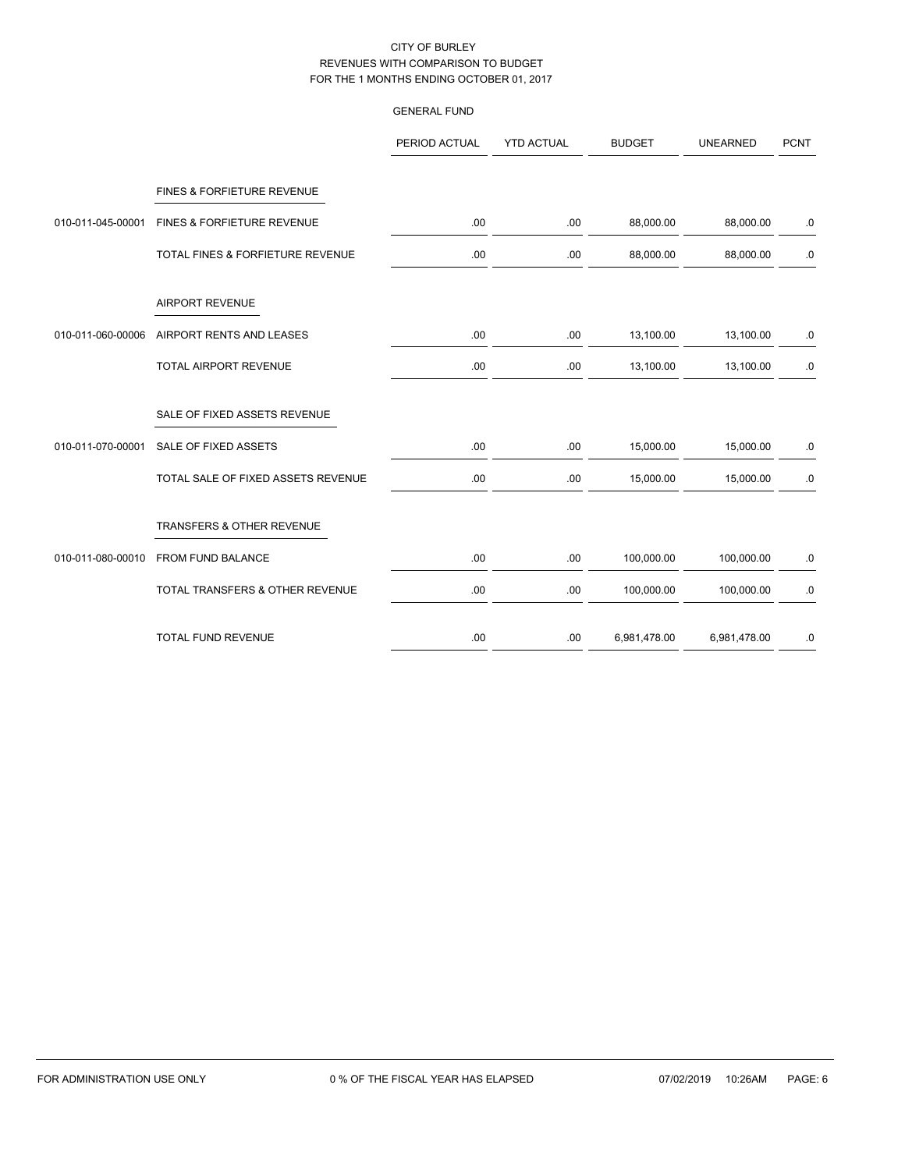|                   |                                    | <b>GENERAL FUND</b> |                   |               |                 |             |
|-------------------|------------------------------------|---------------------|-------------------|---------------|-----------------|-------------|
|                   |                                    | PERIOD ACTUAL       | <b>YTD ACTUAL</b> | <b>BUDGET</b> | <b>UNEARNED</b> | <b>PCNT</b> |
|                   | FINES & FORFIETURE REVENUE         |                     |                   |               |                 |             |
| 010-011-045-00001 | FINES & FORFIETURE REVENUE         | .00                 | .00               | 88,000.00     | 88,000.00       | .0          |
|                   | TOTAL FINES & FORFIETURE REVENUE   | .00                 | .00               | 88,000.00     | 88,000.00       | $.0\,$      |
|                   | <b>AIRPORT REVENUE</b>             |                     |                   |               |                 |             |
| 010-011-060-00006 | AIRPORT RENTS AND LEASES           | .00                 | .00.              | 13,100.00     | 13,100.00       | .0          |
|                   | TOTAL AIRPORT REVENUE              | .00                 | .00               | 13,100.00     | 13,100.00       | $.0\,$      |
|                   | SALE OF FIXED ASSETS REVENUE       |                     |                   |               |                 |             |
| 010-011-070-00001 | SALE OF FIXED ASSETS               | .00                 | .00               | 15,000.00     | 15,000.00       | $.0\,$      |
|                   | TOTAL SALE OF FIXED ASSETS REVENUE | .00                 | .00               | 15,000.00     | 15,000.00       | .0          |
|                   | TRANSFERS & OTHER REVENUE          |                     |                   |               |                 |             |
| 010-011-080-00010 | FROM FUND BALANCE                  | .00                 | .00               | 100,000.00    | 100,000.00      | .0          |
|                   | TOTAL TRANSFERS & OTHER REVENUE    | .00                 | .00               | 100,000.00    | 100,000.00      | $.0\,$      |
|                   | TOTAL FUND REVENUE                 | .00                 | .00               | 6,981,478.00  | 6,981,478.00    | $.0\,$      |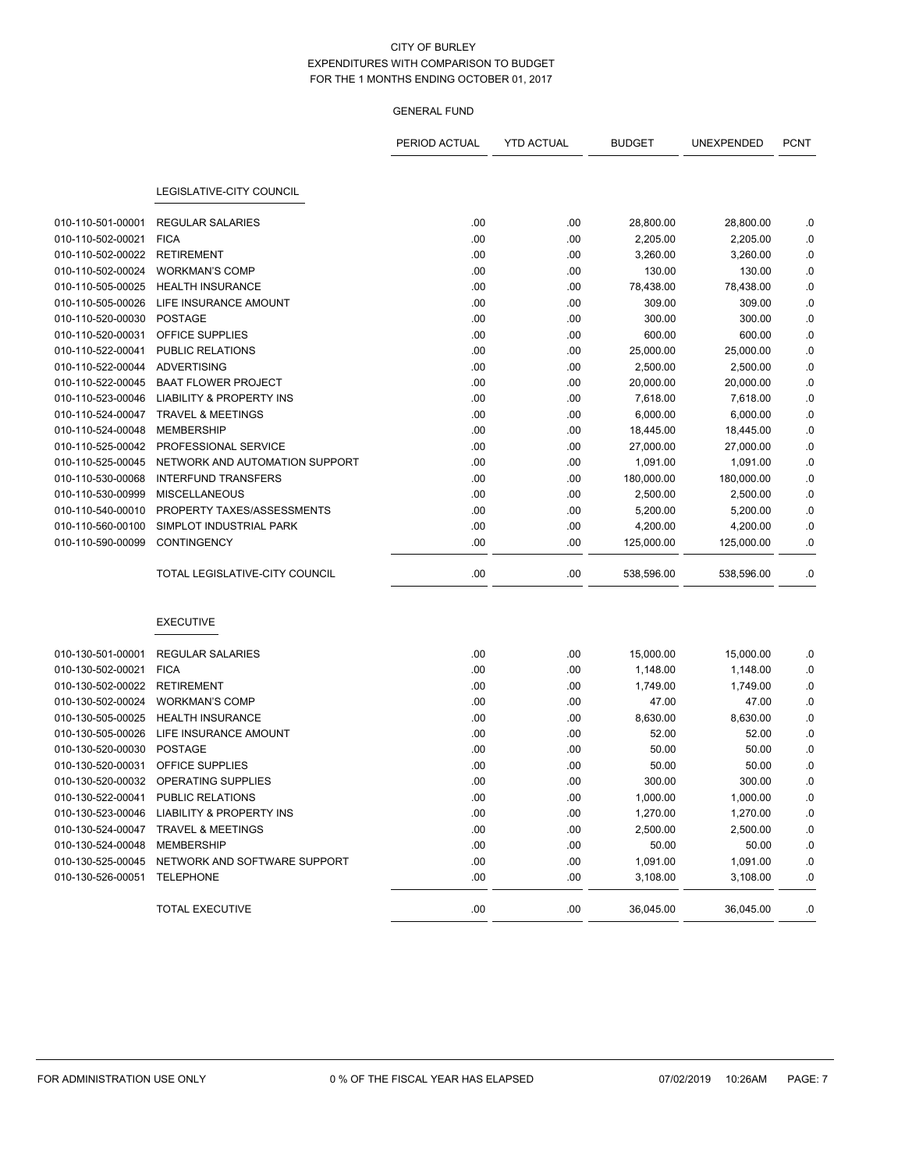|                              |                                                | PERIOD ACTUAL | <b>YTD ACTUAL</b> | <b>BUDGET</b> | UNEXPENDED | <b>PCNT</b> |
|------------------------------|------------------------------------------------|---------------|-------------------|---------------|------------|-------------|
|                              |                                                |               |                   |               |            |             |
|                              | LEGISLATIVE-CITY COUNCIL                       |               |                   |               |            |             |
| 010-110-501-00001            | <b>REGULAR SALARIES</b>                        | .00           | .00               | 28,800.00     | 28,800.00  | .0          |
| 010-110-502-00021            | <b>FICA</b>                                    | .00           | .00               | 2,205.00      | 2,205.00   | .0          |
| 010-110-502-00022            | RETIREMENT                                     | .00           | .00               | 3,260.00      | 3,260.00   | .0          |
| 010-110-502-00024            | <b>WORKMAN'S COMP</b>                          | .00           | .00               | 130.00        | 130.00     | .0          |
| 010-110-505-00025            | <b>HEALTH INSURANCE</b>                        | .00           | .00               | 78,438.00     | 78,438.00  | .0          |
| 010-110-505-00026            | LIFE INSURANCE AMOUNT                          | .00           | .00               | 309.00        | 309.00     | .0          |
| 010-110-520-00030            | <b>POSTAGE</b>                                 | .00           | .00               | 300.00        | 300.00     | .0          |
| 010-110-520-00031            | OFFICE SUPPLIES                                | .00           | .00               | 600.00        | 600.00     | .0          |
| 010-110-522-00041            | PUBLIC RELATIONS                               | .00           | .00               | 25,000.00     | 25,000.00  | .0          |
| 010-110-522-00044            | ADVERTISING                                    | .00           | .00               | 2,500.00      | 2,500.00   | .0          |
| 010-110-522-00045            | <b>BAAT FLOWER PROJECT</b>                     | .00           | .00               | 20,000.00     | 20,000.00  | .0          |
| 010-110-523-00046            | <b>LIABILITY &amp; PROPERTY INS</b>            | .00           | .00               | 7,618.00      | 7,618.00   | .0          |
| 010-110-524-00047            | <b>TRAVEL &amp; MEETINGS</b>                   | .00           | .00               | 6,000.00      | 6,000.00   | .0          |
| 010-110-524-00048            | <b>MEMBERSHIP</b>                              | .00           | .00               | 18,445.00     | 18,445.00  | .0          |
| 010-110-525-00042            | PROFESSIONAL SERVICE                           | .00           | .00               | 27,000.00     | 27,000.00  | .0          |
| 010-110-525-00045            | NETWORK AND AUTOMATION SUPPORT                 | .00           | .00               | 1,091.00      | 1,091.00   | .0          |
| 010-110-530-00068            | <b>INTERFUND TRANSFERS</b>                     | .00           | .00               | 180,000.00    | 180,000.00 | .0          |
| 010-110-530-00999            | <b>MISCELLANEOUS</b>                           | .00           | .00               | 2,500.00      | 2,500.00   | .0          |
| 010-110-540-00010            | PROPERTY TAXES/ASSESSMENTS                     | .00           | .00               | 5,200.00      | 5,200.00   | .0          |
| 010-110-560-00100            | SIMPLOT INDUSTRIAL PARK                        | .00           | .00               | 4,200.00      | 4,200.00   | .0          |
| 010-110-590-00099            | <b>CONTINGENCY</b>                             | .00           | .00               | 125,000.00    | 125,000.00 | .0          |
|                              | TOTAL LEGISLATIVE-CITY COUNCIL                 | .00           | .00               | 538,596.00    | 538,596.00 | .0          |
|                              | <b>EXECUTIVE</b>                               |               |                   |               |            |             |
| 010-130-501-00001            | <b>REGULAR SALARIES</b>                        | .00           | .00               | 15,000.00     | 15,000.00  | .0          |
| 010-130-502-00021            | <b>FICA</b>                                    | .00           | .00               | 1,148.00      | 1,148.00   | .0          |
| 010-130-502-00022            | <b>RETIREMENT</b>                              | .00           | .00               | 1,749.00      | 1,749.00   | .0          |
| 010-130-502-00024            | <b>WORKMAN'S COMP</b>                          | .00           | .00               | 47.00         | 47.00      | .0          |
| 010-130-505-00025            | <b>HEALTH INSURANCE</b>                        | .00           | .00               | 8,630.00      | 8,630.00   | .0          |
| 010-130-505-00026            | LIFE INSURANCE AMOUNT                          | .00           | .00               | 52.00         | 52.00      | .0          |
| 010-130-520-00030            | <b>POSTAGE</b>                                 | .00           | .00               | 50.00         | 50.00      | .0          |
| 010-130-520-00031            | OFFICE SUPPLIES                                | .00           | .00               | 50.00         | 50.00      | .0          |
|                              | 010-130-520-00032 OPERATING SUPPLIES           | .00           | .00               | 300.00        | 300.00     | .0          |
| 010-130-522-00041            | PUBLIC RELATIONS                               | .00           | .00               | 1,000.00      | 1,000.00   | .0          |
|                              | 010-130-523-00046 LIABILITY & PROPERTY INS     | .00           | .00               | 1,270.00      | 1,270.00   | .0          |
|                              | 010-130-524-00047 TRAVEL & MEETINGS            | .00           | .00               | 2,500.00      | 2,500.00   | .0          |
| 010-130-524-00048 MEMBERSHIP |                                                | .00           | .00               | 50.00         | 50.00      | .0          |
|                              | 010-130-525-00045 NETWORK AND SOFTWARE SUPPORT | .00           | .00               | 1,091.00      | 1,091.00   | .0          |
| 010-130-526-00051            | TELEPHONE                                      | .00           | .00               | 3,108.00      | 3,108.00   | .0          |
|                              | TOTAL EXECUTIVE                                | .00           | .00               | 36,045.00     | 36,045.00  | .0          |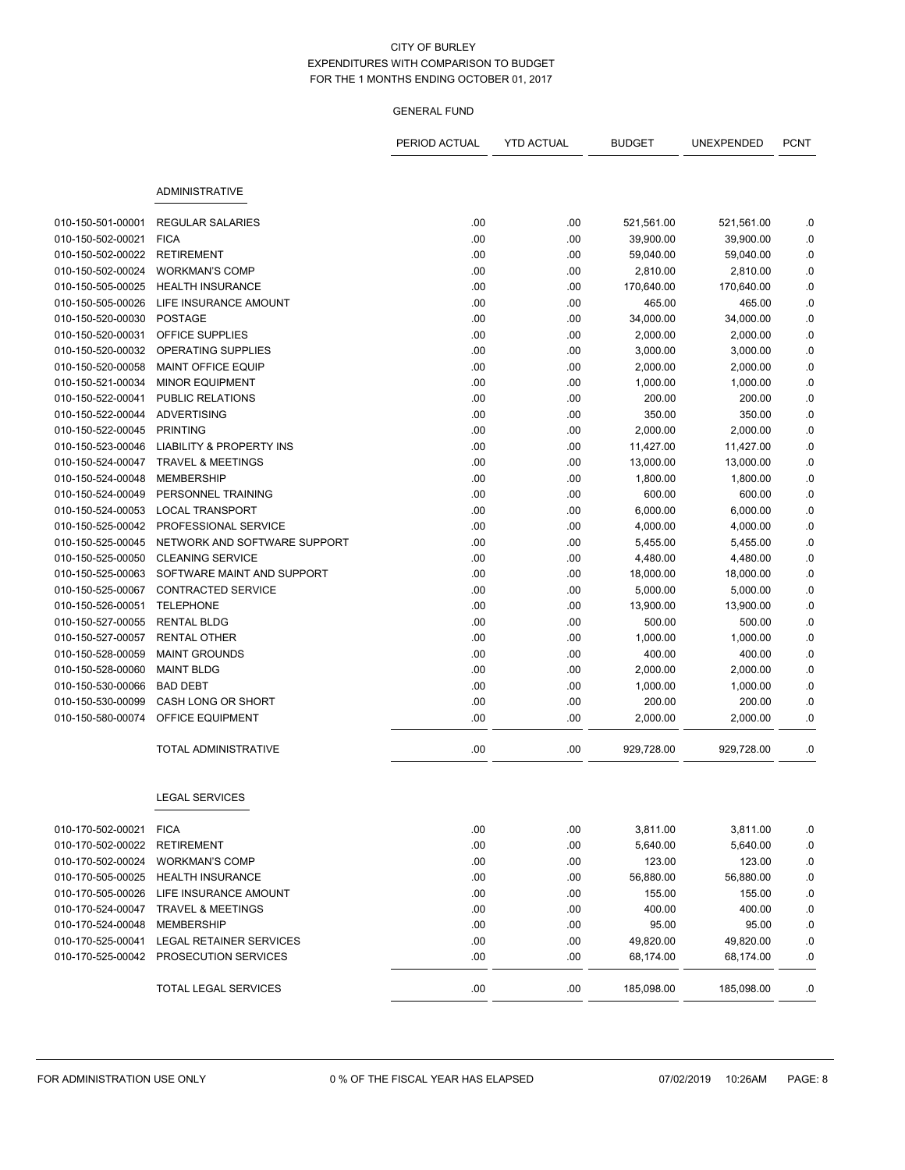|                               |                                     | PERIOD ACTUAL | <b>YTD ACTUAL</b> | <b>BUDGET</b> | UNEXPENDED | <b>PCNT</b> |
|-------------------------------|-------------------------------------|---------------|-------------------|---------------|------------|-------------|
|                               |                                     |               |                   |               |            |             |
|                               | <b>ADMINISTRATIVE</b>               |               |                   |               |            |             |
| 010-150-501-00001             | <b>REGULAR SALARIES</b>             | .00           | .00               | 521,561.00    | 521,561.00 | .0          |
| 010-150-502-00021             | <b>FICA</b>                         | .00           | .00               | 39,900.00     | 39,900.00  | .0          |
| 010-150-502-00022             | <b>RETIREMENT</b>                   | .00           | .00               | 59,040.00     | 59,040.00  | .0          |
| 010-150-502-00024             | <b>WORKMAN'S COMP</b>               | .00           | .00               | 2,810.00      | 2,810.00   | .0          |
| 010-150-505-00025             | <b>HEALTH INSURANCE</b>             | .00           | .00               | 170,640.00    | 170,640.00 | $\cdot$ 0   |
| 010-150-505-00026             | LIFE INSURANCE AMOUNT               | .00.          | .00               | 465.00        | 465.00     | .0          |
| 010-150-520-00030             | <b>POSTAGE</b>                      | .00           | .00               | 34,000.00     | 34,000.00  | .0          |
| 010-150-520-00031             | OFFICE SUPPLIES                     | .00           | .00               | 2,000.00      | 2,000.00   | .0          |
| 010-150-520-00032             | OPERATING SUPPLIES                  | .00           | .00               | 3,000.00      | 3,000.00   | .0          |
| 010-150-520-00058             | MAINT OFFICE EQUIP                  | .00           | .00               | 2,000.00      | 2,000.00   | $\cdot$ 0   |
| 010-150-521-00034             | <b>MINOR EQUIPMENT</b>              | .00           | .00               | 1,000.00      | 1,000.00   | .0          |
| 010-150-522-00041             | PUBLIC RELATIONS                    | .00.          | .00               | 200.00        | 200.00     | .0          |
| 010-150-522-00044 ADVERTISING |                                     | .00           | .00               | 350.00        | 350.00     | .0          |
| 010-150-522-00045             | <b>PRINTING</b>                     | .00           | .00               | 2,000.00      | 2,000.00   | .0          |
| 010-150-523-00046             | <b>LIABILITY &amp; PROPERTY INS</b> | .00           | .00               | 11,427.00     | 11,427.00  | .0          |
| 010-150-524-00047             | <b>TRAVEL &amp; MEETINGS</b>        | .00           | .00               | 13,000.00     | 13,000.00  | .0          |
| 010-150-524-00048             | <b>MEMBERSHIP</b>                   | .00           | .00               | 1,800.00      | 1,800.00   | .0          |
| 010-150-524-00049             | PERSONNEL TRAINING                  | .00           | .00               | 600.00        | 600.00     | .0          |
| 010-150-524-00053             | <b>LOCAL TRANSPORT</b>              | .00           | .00               | 6,000.00      | 6,000.00   | .0          |
| 010-150-525-00042             | PROFESSIONAL SERVICE                | .00           | .00               | 4,000.00      | 4,000.00   | $\cdot$ 0   |
| 010-150-525-00045             | NETWORK AND SOFTWARE SUPPORT        | .00           | .00               | 5,455.00      | 5,455.00   | .0          |
| 010-150-525-00050             | <b>CLEANING SERVICE</b>             | .00           | .00               | 4,480.00      | 4,480.00   | .0          |
| 010-150-525-00063             | SOFTWARE MAINT AND SUPPORT          | .00.          | .00               | 18,000.00     | 18,000.00  | .0          |
| 010-150-525-00067             | <b>CONTRACTED SERVICE</b>           | .00           | .00               | 5,000.00      | 5,000.00   | .0          |
| 010-150-526-00051             | <b>TELEPHONE</b>                    | .00           | .00               | 13,900.00     | 13,900.00  | .0          |
| 010-150-527-00055             | <b>RENTAL BLDG</b>                  | .00.          | .00               | 500.00        | 500.00     | .0          |
| 010-150-527-00057             | <b>RENTAL OTHER</b>                 | .00           | .00               | 1,000.00      | 1,000.00   | .0          |
| 010-150-528-00059             | <b>MAINT GROUNDS</b>                | .00           | .00               | 400.00        | 400.00     | .0          |
| 010-150-528-00060             | <b>MAINT BLDG</b>                   | .00           | .00               | 2,000.00      | 2,000.00   | .0          |
| 010-150-530-00066             | <b>BAD DEBT</b>                     | .00           | .00               | 1,000.00      | 1,000.00   | .0          |
| 010-150-530-00099             | CASH LONG OR SHORT                  | .00           | .00               | 200.00        | 200.00     | .0          |
| 010-150-580-00074             | OFFICE EQUIPMENT                    | .00           | .00               | 2,000.00      | 2,000.00   | .0          |
|                               | <b>TOTAL ADMINISTRATIVE</b>         | .00           | .00               | 929,728.00    | 929,728.00 | .0          |
|                               | <b>LEGAL SERVICES</b>               |               |                   |               |            |             |
| 010-170-502-00021 FICA        |                                     | .00           | .00               | 3,811.00      | 3,811.00   | .0          |
| 010-170-502-00022             | <b>RETIREMENT</b>                   | .00           | .00               | 5,640.00      | 5,640.00   | 0.          |
| 010-170-502-00024             | <b>WORKMAN'S COMP</b>               | .00           | .00               | 123.00        | 123.00     | .0          |
| 010-170-505-00025             | <b>HEALTH INSURANCE</b>             | .00           | .00               | 56,880.00     | 56,880.00  | .0          |
| 010-170-505-00026             | LIFE INSURANCE AMOUNT               | .00.          | .00               | 155.00        | 155.00     | .0          |
| 010-170-524-00047             | <b>TRAVEL &amp; MEETINGS</b>        | .00           | .00               | 400.00        | 400.00     | .0          |
| 010-170-524-00048             | <b>MEMBERSHIP</b>                   | .00           | .00               | 95.00         | 95.00      | .0          |
| 010-170-525-00041             | LEGAL RETAINER SERVICES             | .00           | .00               | 49,820.00     | 49,820.00  | .0          |
| 010-170-525-00042             | PROSECUTION SERVICES                | .00           | .00               | 68,174.00     | 68,174.00  | .0          |
|                               | TOTAL LEGAL SERVICES                | .00           | .00               | 185,098.00    | 185,098.00 | .0          |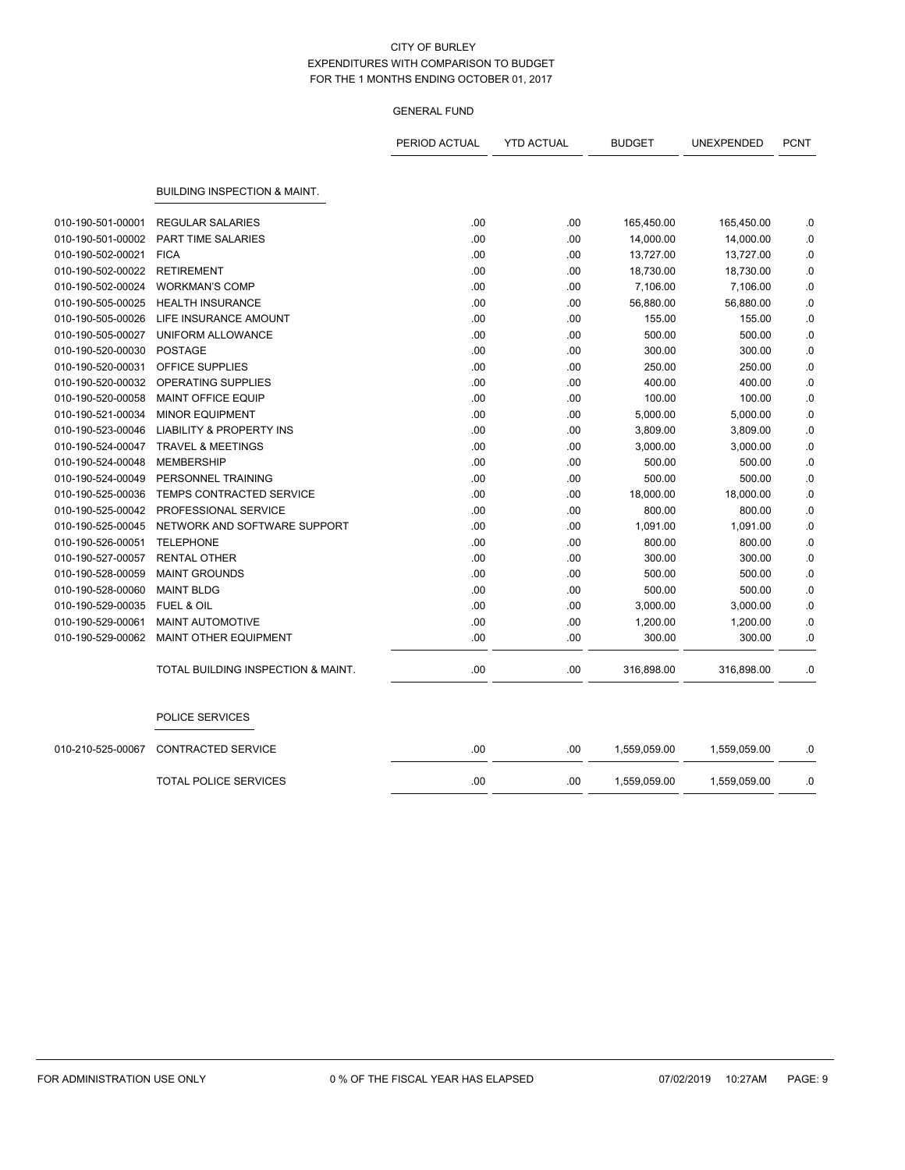|                   |                                         | PERIOD ACTUAL | <b>YTD ACTUAL</b> | <b>BUDGET</b> | UNEXPENDED   | <b>PCNT</b> |
|-------------------|-----------------------------------------|---------------|-------------------|---------------|--------------|-------------|
|                   | <b>BUILDING INSPECTION &amp; MAINT.</b> |               |                   |               |              |             |
| 010-190-501-00001 | <b>REGULAR SALARIES</b>                 | .00           | .00               | 165,450.00    | 165,450.00   | .0          |
| 010-190-501-00002 | <b>PART TIME SALARIES</b>               | .00           | .00               | 14,000.00     | 14,000.00    | .0          |
| 010-190-502-00021 | <b>FICA</b>                             | .00           | .00               | 13,727.00     | 13,727.00    | .0          |
| 010-190-502-00022 | <b>RETIREMENT</b>                       | .00           | .00               | 18,730.00     | 18,730.00    | .0          |
| 010-190-502-00024 | <b>WORKMAN'S COMP</b>                   | .00           | .00               | 7,106.00      | 7,106.00     | .0          |
| 010-190-505-00025 | <b>HEALTH INSURANCE</b>                 | .00           | .00               | 56,880.00     | 56,880.00    | .0          |
| 010-190-505-00026 | LIFE INSURANCE AMOUNT                   | .00           | .00               | 155.00        | 155.00       | .0          |
| 010-190-505-00027 | UNIFORM ALLOWANCE                       | .00           | .00               | 500.00        | 500.00       | .0          |
| 010-190-520-00030 | <b>POSTAGE</b>                          | .00           | .00               | 300.00        | 300.00       | 0.          |
| 010-190-520-00031 | OFFICE SUPPLIES                         | .00           | .00               | 250.00        | 250.00       | .0          |
| 010-190-520-00032 | <b>OPERATING SUPPLIES</b>               | .00           | .00               | 400.00        | 400.00       | .0          |
| 010-190-520-00058 | <b>MAINT OFFICE EQUIP</b>               | .00           | .00               | 100.00        | 100.00       | .0          |
| 010-190-521-00034 | <b>MINOR EQUIPMENT</b>                  | .00           | .00               | 5,000.00      | 5,000.00     | .0          |
| 010-190-523-00046 | <b>LIABILITY &amp; PROPERTY INS</b>     | .00           | .00               | 3,809.00      | 3,809.00     | .0          |
| 010-190-524-00047 | <b>TRAVEL &amp; MEETINGS</b>            | .00           | .00               | 3,000.00      | 3,000.00     | .0          |
| 010-190-524-00048 | <b>MEMBERSHIP</b>                       | .00           | .00               | 500.00        | 500.00       | .0          |
| 010-190-524-00049 | PERSONNEL TRAINING                      | .00           | .00               | 500.00        | 500.00       | .0          |
| 010-190-525-00036 | <b>TEMPS CONTRACTED SERVICE</b>         | .00           | .00               | 18,000.00     | 18,000.00    | .0          |
| 010-190-525-00042 | PROFESSIONAL SERVICE                    | .00           | .00               | 800.00        | 800.00       | .0          |
| 010-190-525-00045 | NETWORK AND SOFTWARE SUPPORT            | .00           | .00               | 1,091.00      | 1,091.00     | .0          |
| 010-190-526-00051 | <b>TELEPHONE</b>                        | .00           | .00               | 800.00        | 800.00       | .0          |
| 010-190-527-00057 | <b>RENTAL OTHER</b>                     | .00           | .00               | 300.00        | 300.00       | .0          |
| 010-190-528-00059 | <b>MAINT GROUNDS</b>                    | .00           | .00               | 500.00        | 500.00       | .0          |
| 010-190-528-00060 | <b>MAINT BLDG</b>                       | .00           | .00               | 500.00        | 500.00       | 0.0         |
| 010-190-529-00035 | <b>FUEL &amp; OIL</b>                   | .00           | .00               | 3,000.00      | 3,000.00     | .0          |
| 010-190-529-00061 | MAINT AUTOMOTIVE                        | .00           | .00               | 1,200.00      | 1,200.00     | .0          |
| 010-190-529-00062 | <b>MAINT OTHER EQUIPMENT</b>            | .00           | .00               | 300.00        | 300.00       | .0          |
|                   | TOTAL BUILDING INSPECTION & MAINT.      | .00           | .00               | 316,898.00    | 316,898.00   | .0          |
|                   | POLICE SERVICES                         |               |                   |               |              |             |
| 010-210-525-00067 | <b>CONTRACTED SERVICE</b>               | .00           | .00               | 1,559,059.00  | 1,559,059.00 | .0          |
|                   | <b>TOTAL POLICE SERVICES</b>            | .00           | .00               | 1,559,059.00  | 1,559,059.00 | .0          |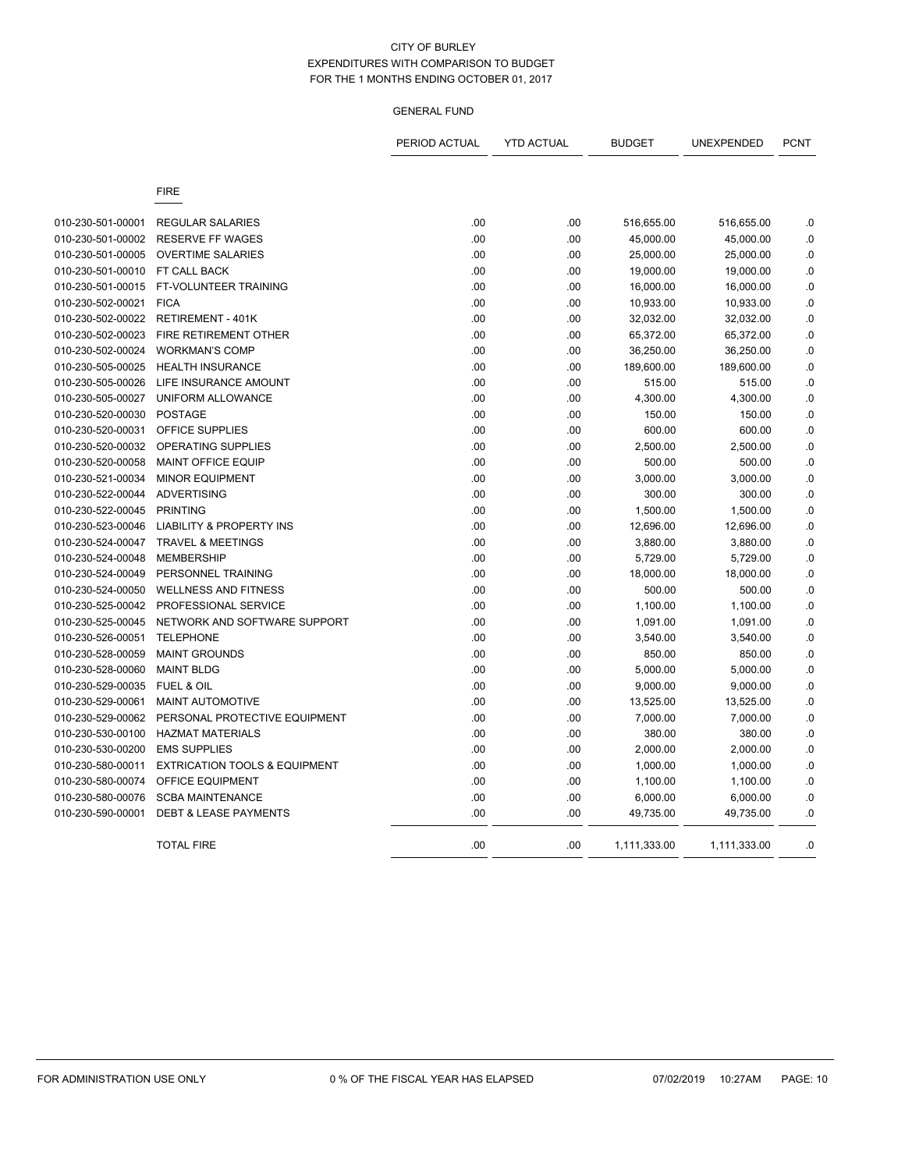|                                        |                                                    | PERIOD ACTUAL | <b>YTD ACTUAL</b> | <b>BUDGET</b>           | UNEXPENDED              | <b>PCNT</b>    |
|----------------------------------------|----------------------------------------------------|---------------|-------------------|-------------------------|-------------------------|----------------|
|                                        | <b>FIRE</b>                                        |               |                   |                         |                         |                |
|                                        |                                                    |               |                   |                         |                         |                |
| 010-230-501-00001<br>010-230-501-00002 | <b>REGULAR SALARIES</b><br><b>RESERVE FF WAGES</b> | .00<br>.00    | .00<br>.00        | 516,655.00<br>45,000.00 | 516,655.00<br>45,000.00 | .0<br>$0.$     |
| 010-230-501-00005                      | <b>OVERTIME SALARIES</b>                           | .00           | .00               | 25,000.00               | 25,000.00               | $0.$           |
| 010-230-501-00010                      | FT CALL BACK                                       | .00           | .00               | 19,000.00               | 19,000.00               | 0.             |
| 010-230-501-00015                      | FT-VOLUNTEER TRAINING                              | .00           | .00               | 16,000.00               | 16,000.00               | .0             |
| 010-230-502-00021                      | <b>FICA</b>                                        | .00           | .00               | 10,933.00               | 10,933.00               | 0.             |
| 010-230-502-00022                      | <b>RETIREMENT - 401K</b>                           | .00           | .00               | 32,032.00               | 32,032.00               | .0             |
| 010-230-502-00023                      | <b>FIRE RETIREMENT OTHER</b>                       | .00           | .00               | 65,372.00               | 65,372.00               | $\cdot$ 0      |
| 010-230-502-00024                      | <b>WORKMAN'S COMP</b>                              | .00           | .00               | 36,250.00               | 36,250.00               | 0.             |
| 010-230-505-00025                      | <b>HEALTH INSURANCE</b>                            | .00           | .00               | 189,600.00              | 189,600.00              | .0             |
| 010-230-505-00026                      | LIFE INSURANCE AMOUNT                              | .00           | .00               | 515.00                  | 515.00                  | .0             |
| 010-230-505-00027                      | UNIFORM ALLOWANCE                                  | .00           | .00               | 4,300.00                | 4,300.00                | $0.$           |
| 010-230-520-00030                      | <b>POSTAGE</b>                                     | .00           | .00               | 150.00                  | 150.00                  | .0             |
| 010-230-520-00031                      | OFFICE SUPPLIES                                    | .00           | .00               | 600.00                  | 600.00                  | $\cdot$ 0      |
| 010-230-520-00032                      | <b>OPERATING SUPPLIES</b>                          | .00           | .00               | 2,500.00                | 2,500.00                | $\cdot$ 0      |
| 010-230-520-00058                      | MAINT OFFICE EQUIP                                 | .00           | .00.              | 500.00                  | 500.00                  | $\overline{0}$ |
| 010-230-521-00034                      | <b>MINOR EQUIPMENT</b>                             | .00           | .00               | 3,000.00                | 3,000.00                | .0             |
| 010-230-522-00044                      | <b>ADVERTISING</b>                                 | .00           | .00               | 300.00                  | 300.00                  | .0             |
| 010-230-522-00045                      | <b>PRINTING</b>                                    | .00           | .00               | 1,500.00                | 1,500.00                | .0             |
| 010-230-523-00046                      | <b>LIABILITY &amp; PROPERTY INS</b>                | .00           | .00               | 12,696.00               | 12,696.00               | $\cdot$ 0      |
| 010-230-524-00047                      | <b>TRAVEL &amp; MEETINGS</b>                       | .00           | .00               | 3,880.00                | 3,880.00                | .0             |
| 010-230-524-00048                      | <b>MEMBERSHIP</b>                                  | .00           | .00               | 5,729.00                | 5,729.00                | $\cdot$ 0      |
| 010-230-524-00049                      | PERSONNEL TRAINING                                 | .00           | .00               | 18,000.00               | 18,000.00               | $\cdot$ 0      |
| 010-230-524-00050                      | <b>WELLNESS AND FITNESS</b>                        | .00           | .00               | 500.00                  | 500.00                  | 0.             |
| 010-230-525-00042                      | PROFESSIONAL SERVICE                               | .00           | .00               | 1,100.00                | 1,100.00                | $\cdot$ 0      |
| 010-230-525-00045                      | NETWORK AND SOFTWARE SUPPORT                       | .00           | .00               | 1,091.00                | 1,091.00                | 0.             |
| 010-230-526-00051                      | <b>TELEPHONE</b>                                   | .00           | .00               | 3,540.00                | 3,540.00                | 0.             |
| 010-230-528-00059                      | <b>MAINT GROUNDS</b>                               | .00           | .00               | 850.00                  | 850.00                  | 0.             |
| 010-230-528-00060                      | <b>MAINT BLDG</b>                                  | .00           | .00               | 5,000.00                | 5,000.00                | .0             |
| 010-230-529-00035                      | <b>FUEL &amp; OIL</b>                              | .00           | .00               | 9,000.00                | 9,000.00                | .0             |
| 010-230-529-00061                      | MAINT AUTOMOTIVE                                   | .00           | .00               | 13,525.00               | 13,525.00               | $0.$           |
| 010-230-529-00062                      | PERSONAL PROTECTIVE EQUIPMENT                      | .00           | .00               | 7,000.00                | 7,000.00                | 0.             |
| 010-230-530-00100                      | <b>HAZMAT MATERIALS</b>                            | .00           | .00               | 380.00                  | 380.00                  | 0.             |
| 010-230-530-00200                      | <b>EMS SUPPLIES</b>                                | .00           | .00               | 2,000.00                | 2,000.00                | $\cdot$ 0      |
| 010-230-580-00011                      | <b>EXTRICATION TOOLS &amp; EQUIPMENT</b>           | .00           | .00               | 1,000.00                | 1,000.00                | .0             |
| 010-230-580-00074                      | OFFICE EQUIPMENT                                   | .00           | .00               | 1,100.00                | 1,100.00                | .0             |
| 010-230-580-00076                      | <b>SCBA MAINTENANCE</b>                            | .00           | .00               | 6,000.00                | 6,000.00                | 0.             |
| 010-230-590-00001                      | <b>DEBT &amp; LEASE PAYMENTS</b>                   | .00           | .00               | 49,735.00               | 49,735.00               | .0             |
|                                        | <b>TOTAL FIRE</b>                                  | .00           | .00               | 1,111,333.00            | 1,111,333.00            | .0             |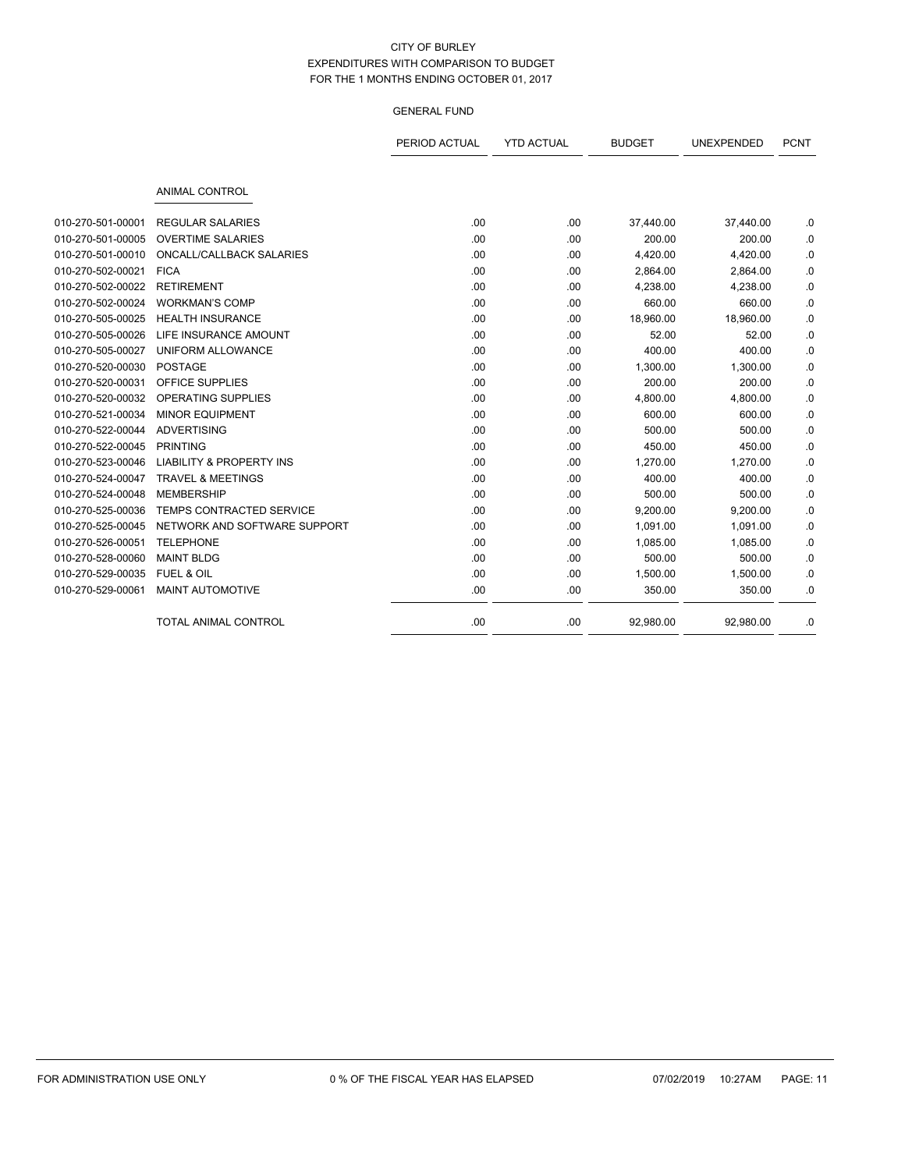|                   |                                     | PERIOD ACTUAL | <b>YTD ACTUAL</b> | <b>BUDGET</b> | UNEXPENDED | <b>PCNT</b> |
|-------------------|-------------------------------------|---------------|-------------------|---------------|------------|-------------|
|                   | <b>ANIMAL CONTROL</b>               |               |                   |               |            |             |
| 010-270-501-00001 | <b>REGULAR SALARIES</b>             | .00           | .00               | 37,440.00     | 37,440.00  | .0          |
| 010-270-501-00005 | <b>OVERTIME SALARIES</b>            | .00           | .00               | 200.00        | 200.00     | .0          |
| 010-270-501-00010 | ONCALL/CALLBACK SALARIES            | .00           | .00               | 4,420.00      | 4,420.00   | .0          |
| 010-270-502-00021 | <b>FICA</b>                         | .00           | .00               | 2,864.00      | 2,864.00   | .0          |
| 010-270-502-00022 | <b>RETIREMENT</b>                   | .00           | .00               | 4,238.00      | 4,238.00   | .0          |
| 010-270-502-00024 | <b>WORKMAN'S COMP</b>               | .00           | .00               | 660.00        | 660.00     | .0          |
| 010-270-505-00025 | <b>HEALTH INSURANCE</b>             | .00           | .00               | 18,960.00     | 18,960.00  | .0          |
| 010-270-505-00026 | LIFE INSURANCE AMOUNT               | .00           | .00               | 52.00         | 52.00      | .0          |
| 010-270-505-00027 | UNIFORM ALLOWANCE                   | .00           | .00               | 400.00        | 400.00     | .0          |
| 010-270-520-00030 | <b>POSTAGE</b>                      | .00           | .00               | 1,300.00      | 1,300.00   | .0          |
| 010-270-520-00031 | OFFICE SUPPLIES                     | .00           | .00               | 200.00        | 200.00     | .0          |
| 010-270-520-00032 | <b>OPERATING SUPPLIES</b>           | .00           | .00               | 4,800.00      | 4,800.00   | .0          |
| 010-270-521-00034 | <b>MINOR EQUIPMENT</b>              | .00           | .00               | 600.00        | 600.00     | .0          |
| 010-270-522-00044 | <b>ADVERTISING</b>                  | .00           | .00               | 500.00        | 500.00     | .0          |
| 010-270-522-00045 | <b>PRINTING</b>                     | .00           | .00               | 450.00        | 450.00     | .0          |
| 010-270-523-00046 | <b>LIABILITY &amp; PROPERTY INS</b> | .00           | .00               | 1,270.00      | 1,270.00   | .0          |
| 010-270-524-00047 | <b>TRAVEL &amp; MEETINGS</b>        | .00           | .00               | 400.00        | 400.00     | .0          |
| 010-270-524-00048 | <b>MEMBERSHIP</b>                   | .00           | .00               | 500.00        | 500.00     | .0          |
| 010-270-525-00036 | TEMPS CONTRACTED SERVICE            | .00           | .00               | 9,200.00      | 9,200.00   | .0          |
| 010-270-525-00045 | NETWORK AND SOFTWARE SUPPORT        | .00           | .00               | 1,091.00      | 1,091.00   | .0          |
| 010-270-526-00051 | <b>TELEPHONE</b>                    | .00           | .00               | 1,085.00      | 1,085.00   | .0          |
| 010-270-528-00060 | <b>MAINT BLDG</b>                   | .00           | .00               | 500.00        | 500.00     | .0          |
| 010-270-529-00035 | FUEL & OIL                          | .00           | .00               | 1,500.00      | 1,500.00   | .0          |
| 010-270-529-00061 | MAINT AUTOMOTIVE                    | .00           | .00               | 350.00        | 350.00     | .0          |
|                   | <b>TOTAL ANIMAL CONTROL</b>         | .00           | .00               | 92,980.00     | 92,980.00  | .0          |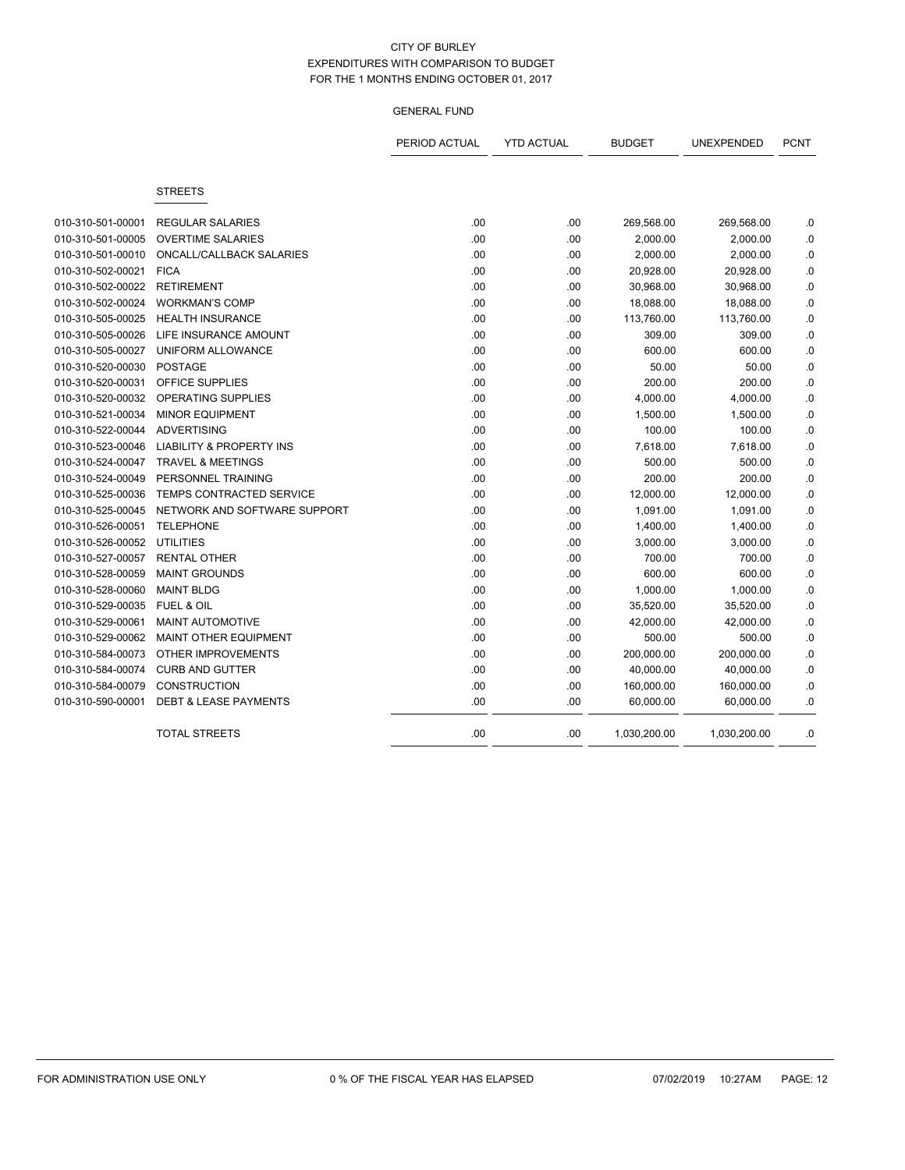|                   |                                     | PERIOD ACTUAL | <b>YTD ACTUAL</b> | <b>BUDGET</b> | <b>UNEXPENDED</b> | <b>PCNT</b> |
|-------------------|-------------------------------------|---------------|-------------------|---------------|-------------------|-------------|
|                   | <b>STREETS</b>                      |               |                   |               |                   |             |
| 010-310-501-00001 | <b>REGULAR SALARIES</b>             | .00           | .00               | 269,568.00    | 269,568.00        | .0          |
| 010-310-501-00005 | <b>OVERTIME SALARIES</b>            | .00           | .00               | 2,000.00      | 2,000.00          | $\cdot$ 0   |
| 010-310-501-00010 | <b>ONCALL/CALLBACK SALARIES</b>     | .00           | .00               | 2,000.00      | 2,000.00          | .0          |
| 010-310-502-00021 | <b>FICA</b>                         | .00           | .00               | 20,928.00     | 20,928.00         | 0.0         |
| 010-310-502-00022 | <b>RETIREMENT</b>                   | .00           | .00               | 30,968.00     | 30,968.00         | .0          |
| 010-310-502-00024 | <b>WORKMAN'S COMP</b>               | .00           | .00               | 18,088.00     | 18,088.00         | 0.0         |
| 010-310-505-00025 | <b>HEALTH INSURANCE</b>             | .00           | .00               | 113,760.00    | 113,760.00        | 0.0         |
| 010-310-505-00026 | LIFE INSURANCE AMOUNT               | .00           | .00               | 309.00        | 309.00            | $\cdot$ 0   |
| 010-310-505-00027 | UNIFORM ALLOWANCE                   | .00           | .00               | 600.00        | 600.00            | 0.          |
| 010-310-520-00030 | <b>POSTAGE</b>                      | .00           | .00               | 50.00         | 50.00             | 0.          |
| 010-310-520-00031 | OFFICE SUPPLIES                     | .00           | .00               | 200.00        | 200.00            | .0          |
| 010-310-520-00032 | OPERATING SUPPLIES                  | .00           | .00               | 4,000.00      | 4,000.00          | .0          |
| 010-310-521-00034 | <b>MINOR EQUIPMENT</b>              | .00           | .00               | 1,500.00      | 1,500.00          | 0.0         |
| 010-310-522-00044 | <b>ADVERTISING</b>                  | .00           | .00               | 100.00        | 100.00            | .0          |
| 010-310-523-00046 | <b>LIABILITY &amp; PROPERTY INS</b> | .00           | .00               | 7,618.00      | 7,618.00          | .0          |
| 010-310-524-00047 | <b>TRAVEL &amp; MEETINGS</b>        | .00           | .00               | 500.00        | 500.00            | .0          |
| 010-310-524-00049 | PERSONNEL TRAINING                  | .00           | .00               | 200.00        | 200.00            | $0.$        |
| 010-310-525-00036 | TEMPS CONTRACTED SERVICE            | .00           | .00               | 12,000.00     | 12,000.00         | .0          |
| 010-310-525-00045 | NETWORK AND SOFTWARE SUPPORT        | .00           | .00               | 1,091.00      | 1,091.00          | .0          |
| 010-310-526-00051 | <b>TELEPHONE</b>                    | .00           | .00               | 1,400.00      | 1,400.00          | .0          |
| 010-310-526-00052 | <b>UTILITIES</b>                    | .00           | .00               | 3,000.00      | 3,000.00          | .0          |
| 010-310-527-00057 | <b>RENTAL OTHER</b>                 | .00           | .00               | 700.00        | 700.00            | .0          |
| 010-310-528-00059 | <b>MAINT GROUNDS</b>                | .00           | .00               | 600.00        | 600.00            | .0          |
| 010-310-528-00060 | <b>MAINT BLDG</b>                   | .00           | .00               | 1,000.00      | 1,000.00          | 0.0         |
| 010-310-529-00035 | <b>FUEL &amp; OIL</b>               | .00           | .00               | 35,520.00     | 35,520.00         | .0          |
| 010-310-529-00061 | <b>MAINT AUTOMOTIVE</b>             | .00           | .00               | 42,000.00     | 42,000.00         | 0.0         |
| 010-310-529-00062 | <b>MAINT OTHER EQUIPMENT</b>        | .00           | .00               | 500.00        | 500.00            | .0          |
| 010-310-584-00073 | <b>OTHER IMPROVEMENTS</b>           | .00           | .00               | 200,000.00    | 200,000.00        | 0.          |
| 010-310-584-00074 | <b>CURB AND GUTTER</b>              | .00           | .00               | 40,000.00     | 40,000.00         | $\cdot$ 0   |
| 010-310-584-00079 | <b>CONSTRUCTION</b>                 | .00           | .00               | 160,000.00    | 160,000.00        | .0          |
| 010-310-590-00001 | <b>DEBT &amp; LEASE PAYMENTS</b>    | .00           | .00               | 60,000.00     | 60,000.00         | .0          |
|                   | <b>TOTAL STREETS</b>                | .00           | .00               | 1,030,200.00  | 1,030,200.00      | .0          |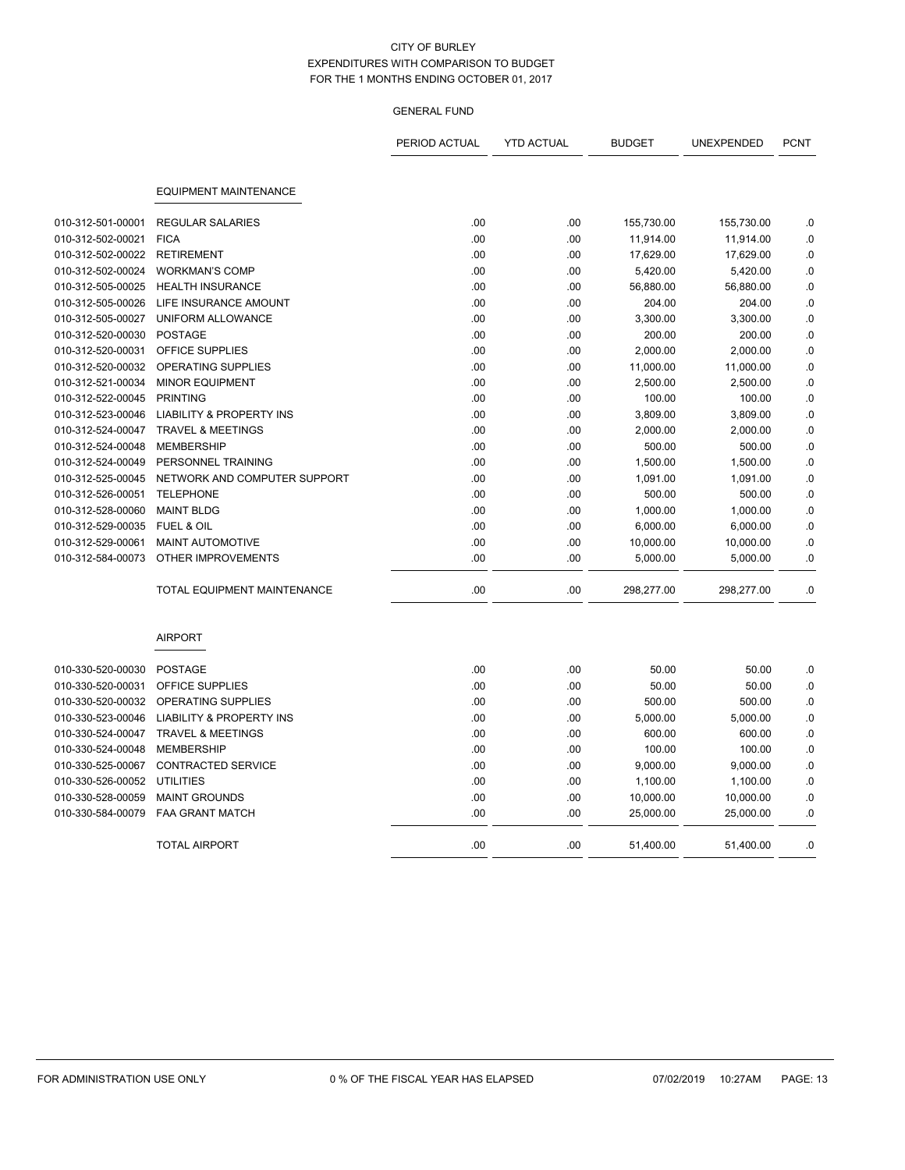|                   |                                     | PERIOD ACTUAL | <b>YTD ACTUAL</b> | <b>BUDGET</b> | UNEXPENDED | <b>PCNT</b> |
|-------------------|-------------------------------------|---------------|-------------------|---------------|------------|-------------|
|                   |                                     |               |                   |               |            |             |
|                   | <b>EQUIPMENT MAINTENANCE</b>        |               |                   |               |            |             |
| 010-312-501-00001 | <b>REGULAR SALARIES</b>             | .00           | .00.              | 155,730.00    | 155,730.00 | .0          |
| 010-312-502-00021 | <b>FICA</b>                         | .00           | .00.              | 11,914.00     | 11,914.00  | .0          |
| 010-312-502-00022 | <b>RETIREMENT</b>                   | .00           | .00.              | 17,629.00     | 17,629.00  | .0          |
| 010-312-502-00024 | <b>WORKMAN'S COMP</b>               | .00           | .00               | 5,420.00      | 5,420.00   | $\cdot$ 0   |
| 010-312-505-00025 | <b>HEALTH INSURANCE</b>             | .00           | .00.              | 56,880.00     | 56,880.00  | .0          |
| 010-312-505-00026 | LIFE INSURANCE AMOUNT               | .00           | .00.              | 204.00        | 204.00     | .0          |
| 010-312-505-00027 | UNIFORM ALLOWANCE                   | .00           | .00               | 3,300.00      | 3,300.00   | .0          |
| 010-312-520-00030 | <b>POSTAGE</b>                      | .00           | .00               | 200.00        | 200.00     | .0          |
| 010-312-520-00031 | OFFICE SUPPLIES                     | .00           | .00               | 2,000.00      | 2,000.00   | .0          |
| 010-312-520-00032 | OPERATING SUPPLIES                  | .00           | .00               | 11,000.00     | 11,000.00  | .0          |
| 010-312-521-00034 | <b>MINOR EQUIPMENT</b>              | .00           | .00               | 2,500.00      | 2.500.00   | $\cdot$ 0   |
| 010-312-522-00045 | <b>PRINTING</b>                     | .00           | .00               | 100.00        | 100.00     | $\cdot$ 0   |
| 010-312-523-00046 | <b>LIABILITY &amp; PROPERTY INS</b> | .00           | .00.              | 3,809.00      | 3,809.00   | .0          |
| 010-312-524-00047 | <b>TRAVEL &amp; MEETINGS</b>        | .00           | .00.              | 2,000.00      | 2,000.00   | .0          |
| 010-312-524-00048 | <b>MEMBERSHIP</b>                   | .00           | .00               | 500.00        | 500.00     | .0          |
| 010-312-524-00049 | PERSONNEL TRAINING                  | .00           | .00.              | 1,500.00      | 1,500.00   | .0          |
| 010-312-525-00045 | NETWORK AND COMPUTER SUPPORT        | .00           | .00               | 1,091.00      | 1,091.00   | .0          |
| 010-312-526-00051 | <b>TELEPHONE</b>                    | .00           | .00               | 500.00        | 500.00     | .0          |
| 010-312-528-00060 | <b>MAINT BLDG</b>                   | .00           | .00               | 1,000.00      | 1,000.00   | .0          |
| 010-312-529-00035 | FUEL & OIL                          | .00           | .00.              | 6,000.00      | 6,000.00   | .0          |
| 010-312-529-00061 | MAINT AUTOMOTIVE                    | .00           | .00               | 10,000.00     | 10,000.00  | .0          |
| 010-312-584-00073 | OTHER IMPROVEMENTS                  | .00           | .00               | 5,000.00      | 5,000.00   | $\cdot$ 0   |
|                   | <b>TOTAL EQUIPMENT MAINTENANCE</b>  | .00           | .00.              | 298,277.00    | 298,277.00 | .0          |
|                   | <b>AIRPORT</b>                      |               |                   |               |            |             |
| 010-330-520-00030 | <b>POSTAGE</b>                      | .00.          | .00               | 50.00         | 50.00      | .0          |
| 010-330-520-00031 | OFFICE SUPPLIES                     | .00.          | .00.              | 50.00         | 50.00      | .0          |
| 010-330-520-00032 | <b>OPERATING SUPPLIES</b>           | .00           | .00.              | 500.00        | 500.00     | .0          |
| 010-330-523-00046 | <b>LIABILITY &amp; PROPERTY INS</b> | .00           | .00.              | 5,000.00      | 5,000.00   | .0          |
| 010-330-524-00047 | <b>TRAVEL &amp; MEETINGS</b>        | .00           | .00               | 600.00        | 600.00     | .0          |
| 010-330-524-00048 | <b>MEMBERSHIP</b>                   | .00           | .00.              | 100.00        | 100.00     | .0          |
| 010-330-525-00067 | <b>CONTRACTED SERVICE</b>           | .00           | .00               | 9,000.00      | 9,000.00   | .0          |
| 010-330-526-00052 | <b>UTILITIES</b>                    | .00           | .00.              | 1,100.00      | 1,100.00   | 0.          |
| 010-330-528-00059 | <b>MAINT GROUNDS</b>                | .00           | .00               | 10,000.00     | 10,000.00  | .0          |
| 010-330-584-00079 | <b>FAA GRANT MATCH</b>              | .00           | .00               | 25,000.00     | 25,000.00  | .0          |
|                   | <b>TOTAL AIRPORT</b>                | .00           | .00               | 51,400.00     | 51,400.00  | .0          |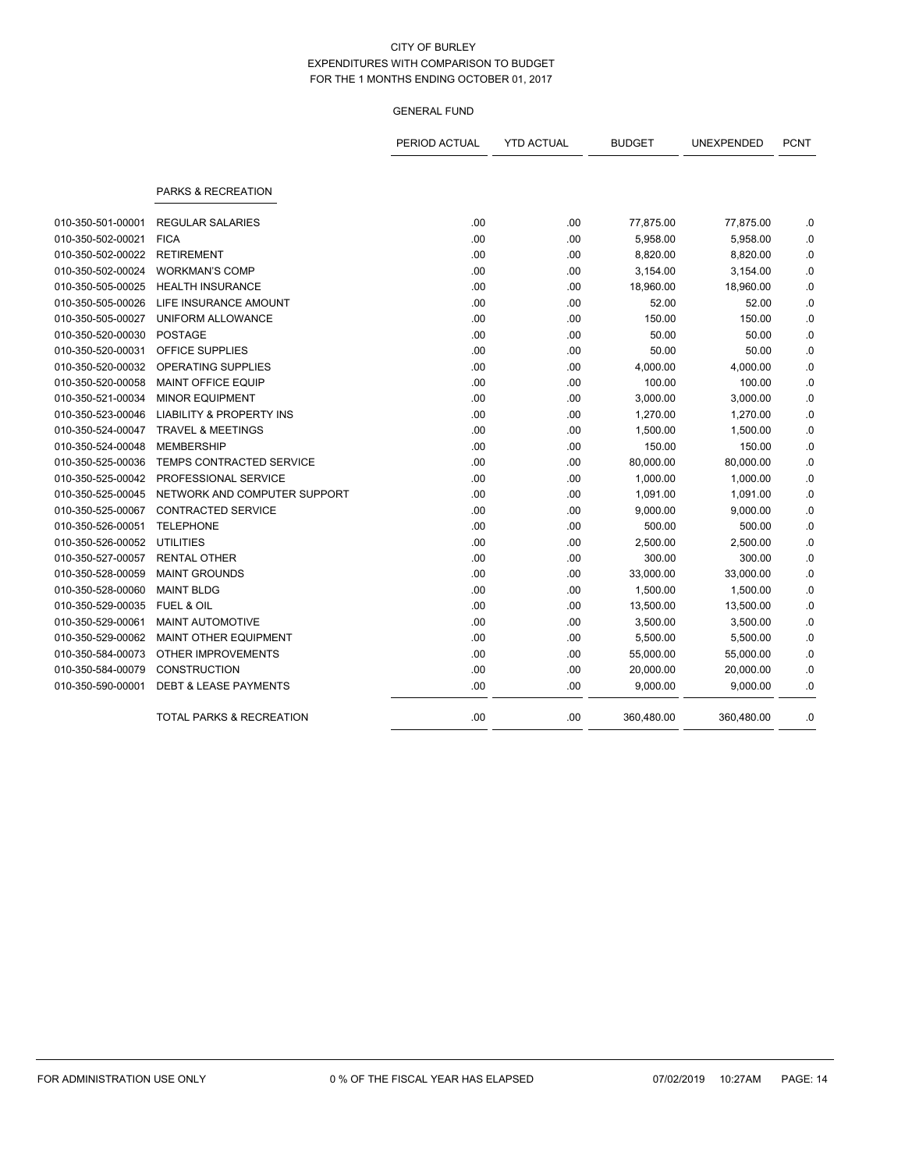|                   |                                     | PERIOD ACTUAL | <b>YTD ACTUAL</b> | <b>BUDGET</b> | UNEXPENDED | <b>PCNT</b> |
|-------------------|-------------------------------------|---------------|-------------------|---------------|------------|-------------|
|                   | PARKS & RECREATION                  |               |                   |               |            |             |
| 010-350-501-00001 | <b>REGULAR SALARIES</b>             | .00           | .00               | 77,875.00     | 77,875.00  | .0          |
| 010-350-502-00021 | <b>FICA</b>                         | .00           | .00               | 5,958.00      | 5,958.00   | .0          |
| 010-350-502-00022 | <b>RETIREMENT</b>                   | .00           | .00               | 8,820.00      | 8,820.00   | .0          |
| 010-350-502-00024 | <b>WORKMAN'S COMP</b>               | .00           | .00               | 3,154.00      | 3,154.00   | 0.0         |
| 010-350-505-00025 | <b>HEALTH INSURANCE</b>             | .00           | .00               | 18,960.00     | 18,960.00  | 0.0         |
| 010-350-505-00026 | LIFE INSURANCE AMOUNT               | .00           | .00               | 52.00         | 52.00      | .0          |
| 010-350-505-00027 | UNIFORM ALLOWANCE                   | .00           | .00               | 150.00        | 150.00     | .0          |
| 010-350-520-00030 | <b>POSTAGE</b>                      | .00           | .00               | 50.00         | 50.00      | 0.0         |
| 010-350-520-00031 | <b>OFFICE SUPPLIES</b>              | .00           | .00               | 50.00         | 50.00      | .0          |
| 010-350-520-00032 | OPERATING SUPPLIES                  | .00           | .00               | 4,000.00      | 4,000.00   | 0.0         |
| 010-350-520-00058 | <b>MAINT OFFICE EQUIP</b>           | .00           | .00               | 100.00        | 100.00     | .0          |
| 010-350-521-00034 | <b>MINOR EQUIPMENT</b>              | .00           | .00               | 3,000.00      | 3,000.00   | 0.0         |
| 010-350-523-00046 | <b>LIABILITY &amp; PROPERTY INS</b> | .00           | .00               | 1,270.00      | 1,270.00   | .0          |
| 010-350-524-00047 | <b>TRAVEL &amp; MEETINGS</b>        | .00           | .00               | 1,500.00      | 1,500.00   | 0.0         |
| 010-350-524-00048 | <b>MEMBERSHIP</b>                   | .00           | .00               | 150.00        | 150.00     | .0          |
| 010-350-525-00036 | TEMPS CONTRACTED SERVICE            | .00           | .00               | 80,000.00     | 80,000.00  | .0          |
| 010-350-525-00042 | PROFESSIONAL SERVICE                | .00           | .00               | 1,000.00      | 1,000.00   | 0.0         |
| 010-350-525-00045 | NETWORK AND COMPUTER SUPPORT        | .00           | .00               | 1,091.00      | 1,091.00   | .0          |
| 010-350-525-00067 | <b>CONTRACTED SERVICE</b>           | .00           | .00               | 9,000.00      | 9,000.00   | .0          |
| 010-350-526-00051 | <b>TELEPHONE</b>                    | .00           | .00               | 500.00        | 500.00     | .0          |
| 010-350-526-00052 | <b>UTILITIES</b>                    | .00           | .00               | 2,500.00      | 2,500.00   | .0          |
| 010-350-527-00057 | <b>RENTAL OTHER</b>                 | .00           | .00               | 300.00        | 300.00     | .0          |
| 010-350-528-00059 | <b>MAINT GROUNDS</b>                | .00           | .00               | 33,000.00     | 33,000.00  | 0.0         |
| 010-350-528-00060 | <b>MAINT BLDG</b>                   | .00           | .00               | 1,500.00      | 1,500.00   | .0          |
| 010-350-529-00035 | <b>FUEL &amp; OIL</b>               | .00           | .00               | 13,500.00     | 13,500.00  | .0          |
| 010-350-529-00061 | <b>MAINT AUTOMOTIVE</b>             | .00           | .00               | 3,500.00      | 3,500.00   | .0          |
| 010-350-529-00062 | <b>MAINT OTHER EQUIPMENT</b>        | .00           | .00               | 5,500.00      | 5,500.00   | 0.          |
| 010-350-584-00073 | <b>OTHER IMPROVEMENTS</b>           | .00           | .00               | 55,000.00     | 55,000.00  | .0          |
| 010-350-584-00079 | <b>CONSTRUCTION</b>                 | .00           | .00               | 20,000.00     | 20,000.00  | .0          |
| 010-350-590-00001 | <b>DEBT &amp; LEASE PAYMENTS</b>    | .00           | .00               | 9,000.00      | 9,000.00   | .0          |
|                   | <b>TOTAL PARKS &amp; RECREATION</b> | .00           | .00               | 360,480.00    | 360,480.00 | .0          |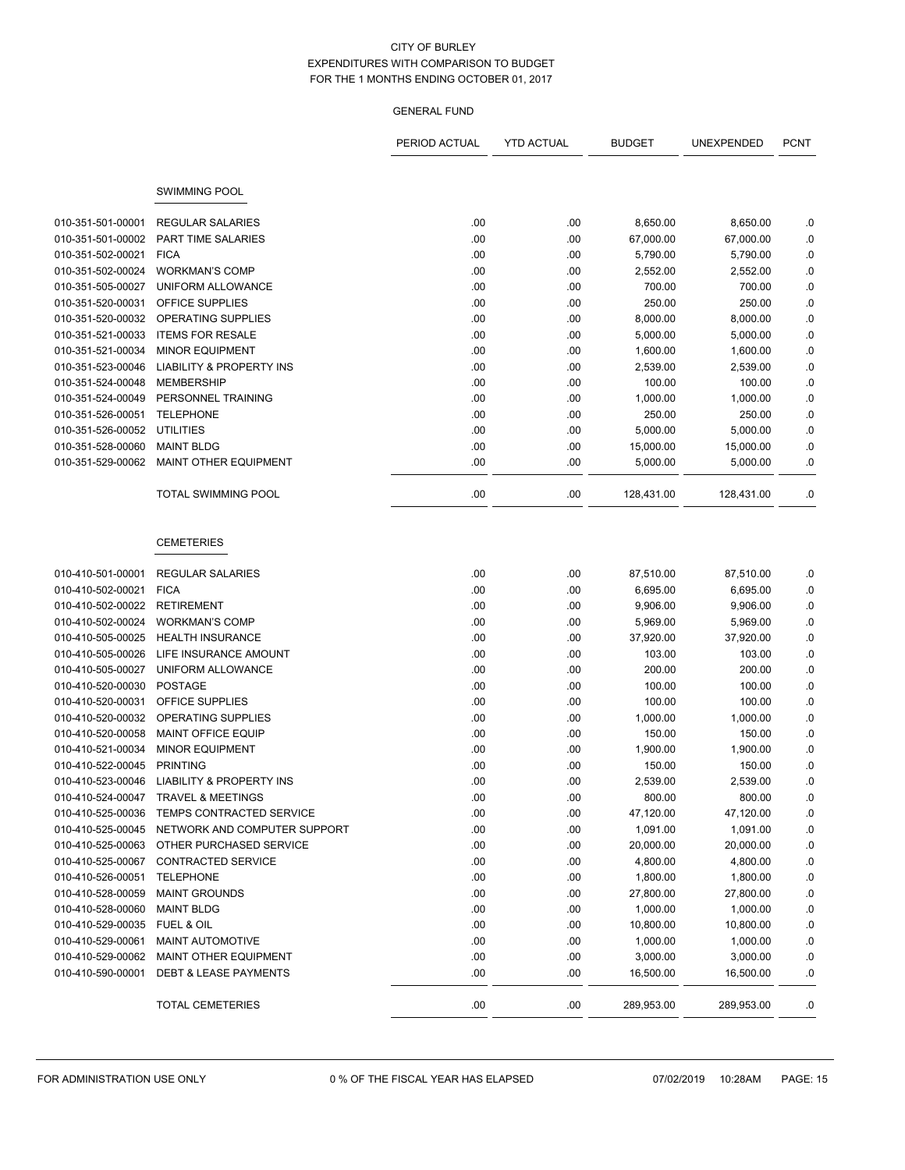|                   |                                            | PERIOD ACTUAL | <b>YTD ACTUAL</b> | <b>BUDGET</b> | <b>UNEXPENDED</b> | <b>PCNT</b> |
|-------------------|--------------------------------------------|---------------|-------------------|---------------|-------------------|-------------|
|                   |                                            |               |                   |               |                   |             |
|                   |                                            |               |                   |               |                   |             |
|                   | <b>SWIMMING POOL</b>                       |               |                   |               |                   |             |
| 010-351-501-00001 | <b>REGULAR SALARIES</b>                    | .00           | .00.              | 8,650.00      | 8,650.00          | .0          |
| 010-351-501-00002 | PART TIME SALARIES                         | .00           | .00               | 67,000.00     | 67,000.00         | .0          |
| 010-351-502-00021 | <b>FICA</b>                                | .00           | .00               | 5,790.00      | 5,790.00          | .0          |
| 010-351-502-00024 | <b>WORKMAN'S COMP</b>                      | .00           | .00               | 2,552.00      | 2,552.00          | $\cdot$ 0   |
| 010-351-505-00027 | UNIFORM ALLOWANCE                          | .00           | .00               | 700.00        | 700.00            | $\cdot$ 0   |
| 010-351-520-00031 | OFFICE SUPPLIES                            | .00           | .00               | 250.00        | 250.00            | .0          |
| 010-351-520-00032 | OPERATING SUPPLIES                         | .00           | .00               | 8,000.00      | 8,000.00          | $\cdot$ 0   |
| 010-351-521-00033 | <b>ITEMS FOR RESALE</b>                    | .00           | .00               | 5,000.00      | 5,000.00          | .0          |
| 010-351-521-00034 | <b>MINOR EQUIPMENT</b>                     | .00           | .00               | 1,600.00      | 1,600.00          | $\cdot$ 0   |
| 010-351-523-00046 | LIABILITY & PROPERTY INS                   | .00           | .00               | 2,539.00      | 2,539.00          | .0          |
| 010-351-524-00048 | <b>MEMBERSHIP</b>                          | .00           | .00               | 100.00        | 100.00            | .0          |
| 010-351-524-00049 | PERSONNEL TRAINING                         | .00           | .00               | 1,000.00      | 1,000.00          | $\cdot$ 0   |
| 010-351-526-00051 | <b>TELEPHONE</b>                           | .00           | .00               | 250.00        | 250.00            | .0          |
| 010-351-526-00052 | <b>UTILITIES</b>                           | .00           | .00               | 5,000.00      | 5,000.00          | $\cdot$ 0   |
| 010-351-528-00060 | <b>MAINT BLDG</b>                          | .00           | .00               | 15,000.00     | 15,000.00         | .0          |
| 010-351-529-00062 | <b>MAINT OTHER EQUIPMENT</b>               | .00           | .00               | 5,000.00      | 5,000.00          | .0          |
|                   |                                            |               |                   |               |                   |             |
|                   | <b>TOTAL SWIMMING POOL</b>                 | .00           | .00               | 128,431.00    | 128,431.00        | .0          |
|                   |                                            |               |                   |               |                   |             |
|                   |                                            |               |                   |               |                   |             |
|                   | <b>CEMETERIES</b>                          |               |                   |               |                   |             |
|                   |                                            |               |                   |               |                   |             |
| 010-410-501-00001 | <b>REGULAR SALARIES</b>                    | .00           | .00               | 87,510.00     | 87,510.00         | .0          |
| 010-410-502-00021 | <b>FICA</b>                                | .00           | .00               | 6,695.00      | 6,695.00          | .0          |
| 010-410-502-00022 | <b>RETIREMENT</b>                          | .00           | .00               | 9,906.00      | 9,906.00          | .0          |
| 010-410-502-00024 | <b>WORKMAN'S COMP</b>                      | .00           | .00.              | 5,969.00      | 5,969.00          | .0          |
| 010-410-505-00025 | <b>HEALTH INSURANCE</b>                    | .00           | .00               | 37,920.00     | 37,920.00         | $\cdot$ 0   |
| 010-410-505-00026 | LIFE INSURANCE AMOUNT                      | .00           | .00               | 103.00        | 103.00            | .0          |
| 010-410-505-00027 | UNIFORM ALLOWANCE                          | .00           | .00               | 200.00        | 200.00            | .0          |
| 010-410-520-00030 | <b>POSTAGE</b>                             | .00           | .00               | 100.00        | 100.00            | .0          |
| 010-410-520-00031 | OFFICE SUPPLIES                            | .00           | .00               | 100.00        | 100.00            | .0          |
| 010-410-520-00032 | OPERATING SUPPLIES                         | .00           | .00               | 1,000.00      | 1,000.00          | $\cdot$ 0   |
| 010-410-520-00058 | <b>MAINT OFFICE EQUIP</b>                  | .00           | .00               | 150.00        | 150.00            | .0          |
| 010-410-521-00034 | <b>MINOR EQUIPMENT</b>                     | .00           | .00               | 1,900.00      | 1,900.00          | $\cdot$ 0   |
| 010-410-522-00045 | <b>PRINTING</b>                            | .00           | .00               | 150.00        | 150.00            | .0          |
| 010-410-523-00046 | LIABILITY & PROPERTY INS                   | .00           | .00.              | 2,539.00      | 2.539.00          | .0          |
|                   | 010-410-524-00047 TRAVEL & MEETINGS        | .00           | .00               | 800.00        | 800.00            | .0          |
|                   | 010-410-525-00036 TEMPS CONTRACTED SERVICE | .00           | .00               | 47,120.00     | 47,120.00         | .0          |
| 010-410-525-00045 | NETWORK AND COMPUTER SUPPORT               | .00           | .00               | 1,091.00      | 1,091.00          | .0          |
|                   | 010-410-525-00063 OTHER PURCHASED SERVICE  | .00           | .00               | 20,000.00     | 20,000.00         | .0          |
| 010-410-525-00067 | <b>CONTRACTED SERVICE</b>                  | .00           | .00.              | 4,800.00      | 4,800.00          | .0          |
| 010-410-526-00051 | <b>TELEPHONE</b>                           | .00           | .00               | 1,800.00      | 1,800.00          | .0          |
| 010-410-528-00059 | <b>MAINT GROUNDS</b>                       | .00           | .00.              | 27,800.00     | 27,800.00         | $0.5\,$     |
| 010-410-528-00060 | <b>MAINT BLDG</b>                          | .00           | .00               | 1,000.00      | 1,000.00          | .0          |
| 010-410-529-00035 | FUEL & OIL                                 | .00           | .00               | 10,800.00     | 10,800.00         | .0          |
| 010-410-529-00061 | MAINT AUTOMOTIVE                           | .00           | .00.              | 1,000.00      | 1,000.00          | ${\bf .0}$  |
| 010-410-529-00062 | MAINT OTHER EQUIPMENT                      | .00           | .00               | 3,000.00      | 3,000.00          | .0          |
| 010-410-590-00001 | <b>DEBT &amp; LEASE PAYMENTS</b>           | .00           | .00               | 16,500.00     | 16,500.00         | .0          |
|                   | <b>TOTAL CEMETERIES</b>                    | .00           | .00               | 289,953.00    | 289,953.00        | .0          |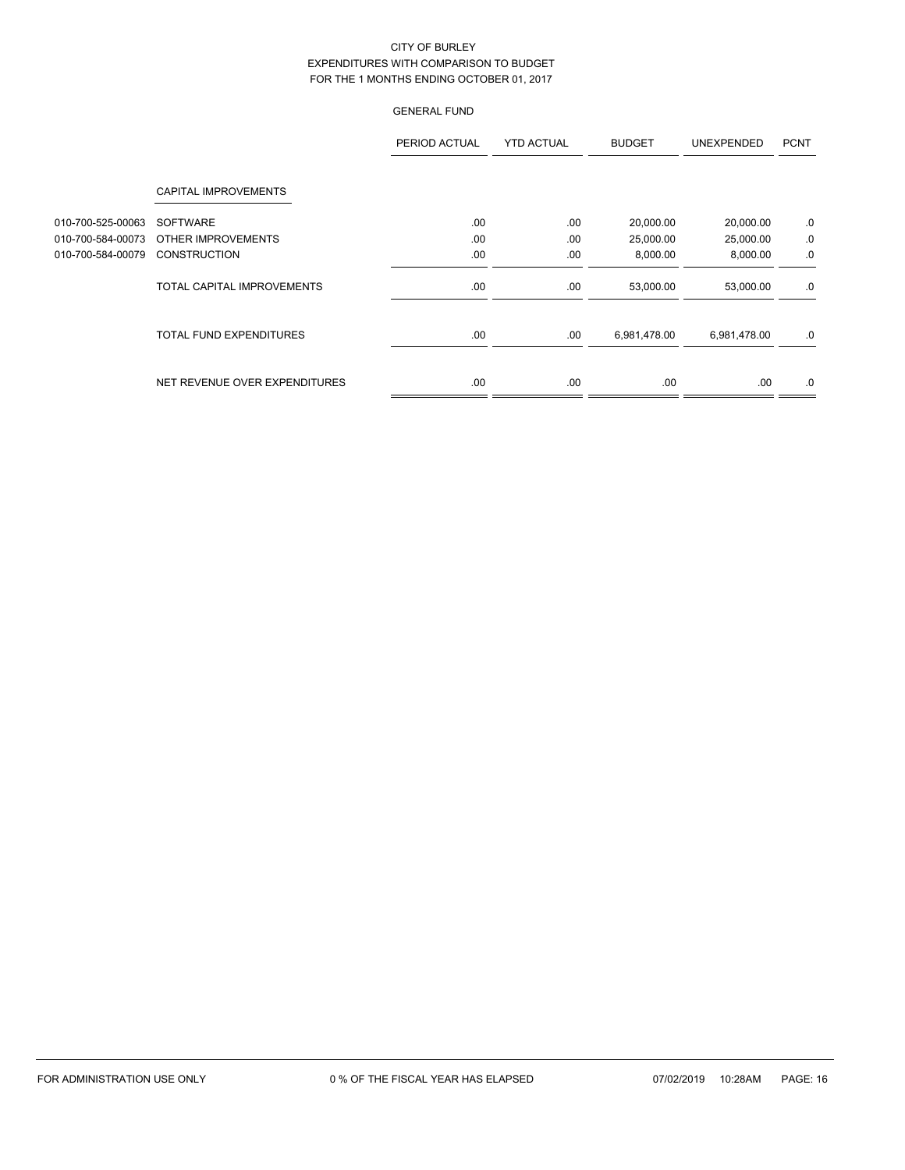|                   |                                | PERIOD ACTUAL | <b>YTD ACTUAL</b> | <b>BUDGET</b> | <b>UNEXPENDED</b> | <b>PCNT</b> |
|-------------------|--------------------------------|---------------|-------------------|---------------|-------------------|-------------|
|                   | <b>CAPITAL IMPROVEMENTS</b>    |               |                   |               |                   |             |
| 010-700-525-00063 | <b>SOFTWARE</b>                | .00           | .00               | 20,000.00     | 20,000.00         | .0          |
| 010-700-584-00073 | OTHER IMPROVEMENTS             | .00.          | .00               | 25,000.00     | 25,000.00         | .0          |
| 010-700-584-00079 | <b>CONSTRUCTION</b>            | .00           | .00               | 8,000.00      | 8,000.00          | .0          |
|                   | TOTAL CAPITAL IMPROVEMENTS     | .00           | .00               | 53,000.00     | 53,000.00         | .0          |
|                   | <b>TOTAL FUND EXPENDITURES</b> | .00           | .00               | 6,981,478.00  | 6,981,478.00      | .0          |
|                   | NET REVENUE OVER EXPENDITURES  | .00           | .00               | .00           | .00               | .0          |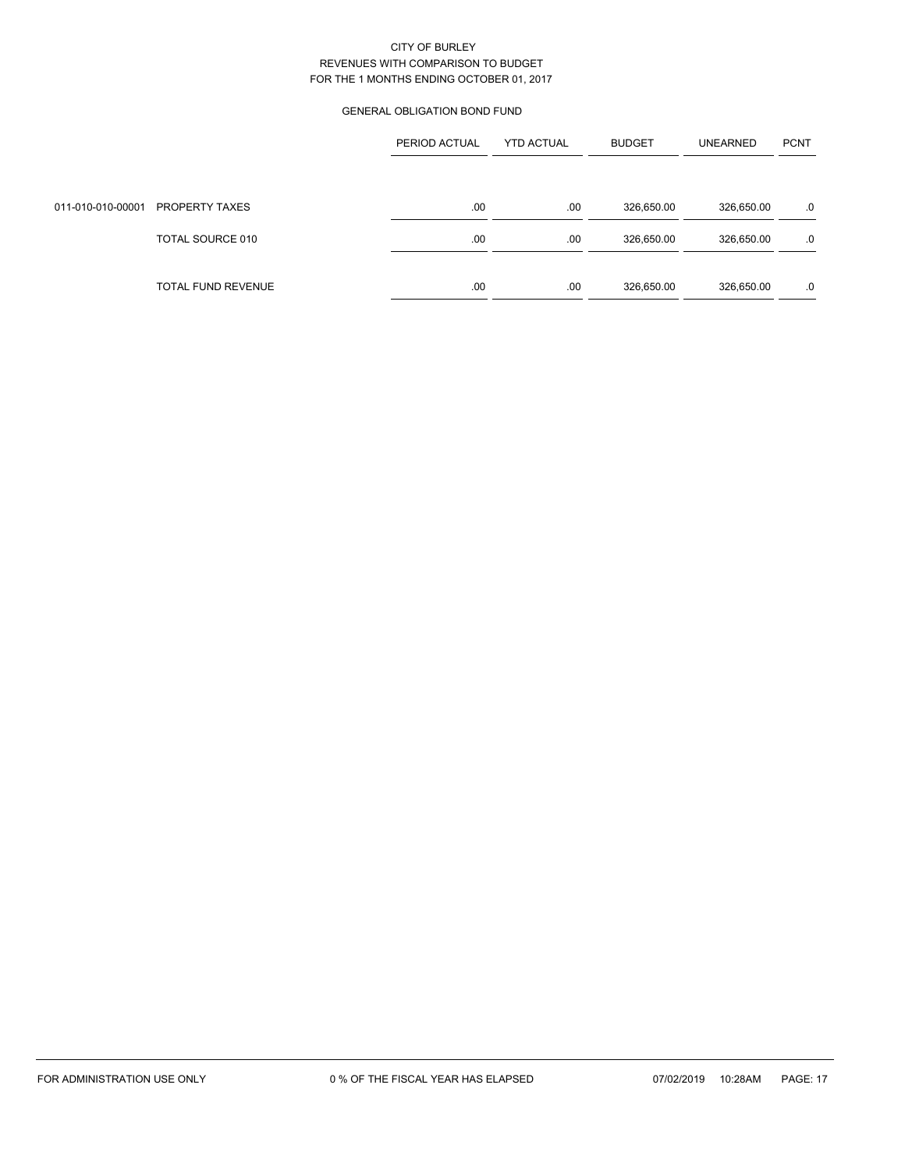### GENERAL OBLIGATION BOND FUND

|                                  | PERIOD ACTUAL | <b>YTD ACTUAL</b> | <b>BUDGET</b> | <b>UNEARNED</b> | <b>PCNT</b> |
|----------------------------------|---------------|-------------------|---------------|-----------------|-------------|
|                                  |               |                   |               |                 |             |
| 011-010-010-00001 PROPERTY TAXES | .00           | .00               | 326,650.00    | 326,650.00      | .0          |
| TOTAL SOURCE 010                 | .00           | .00               | 326,650.00    | 326,650.00      | .0          |
|                                  |               |                   |               |                 |             |
| TOTAL FUND REVENUE               | .00           | .00               | 326,650.00    | 326,650.00      | .0          |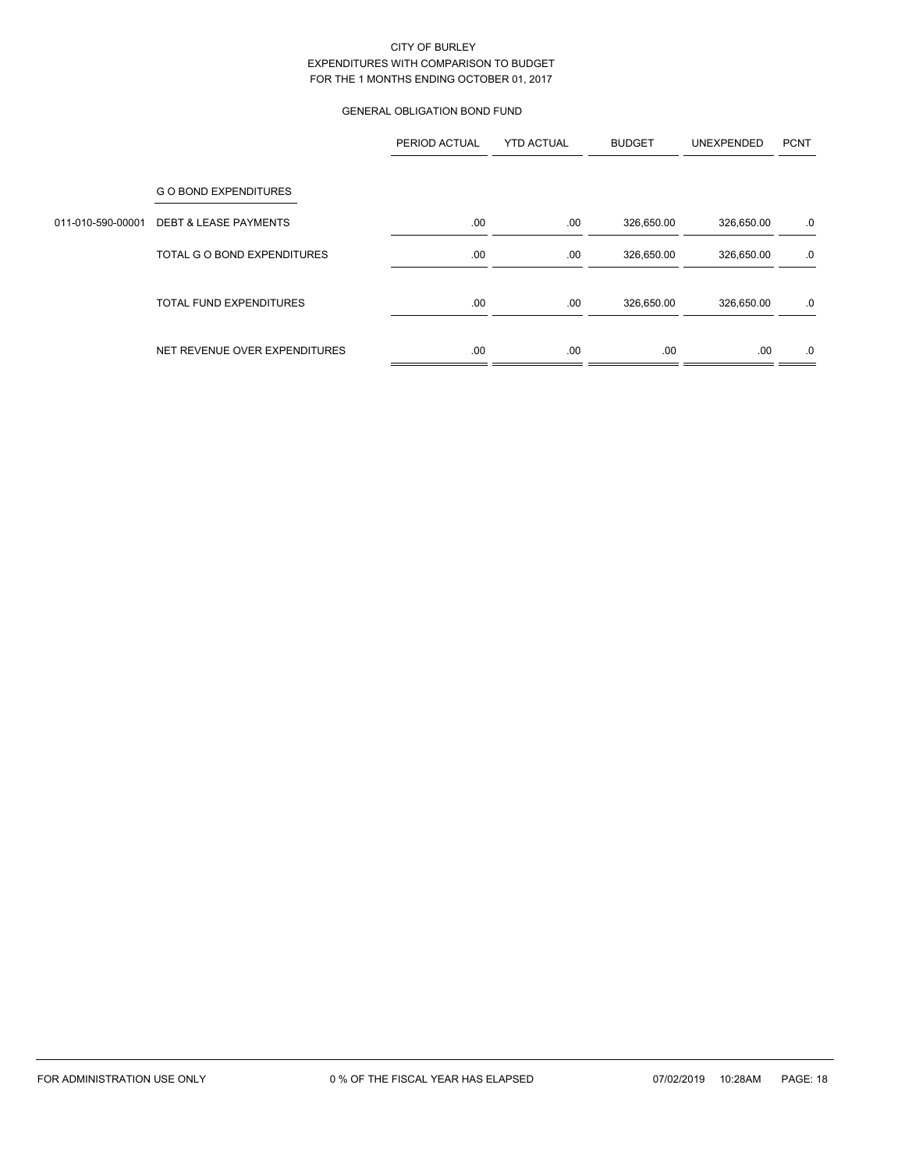# GENERAL OBLIGATION BOND FUND

|                   |                                  | PERIOD ACTUAL | <b>YTD ACTUAL</b> | <b>BUDGET</b> | UNEXPENDED | <b>PCNT</b> |
|-------------------|----------------------------------|---------------|-------------------|---------------|------------|-------------|
|                   | <b>GO BOND EXPENDITURES</b>      |               |                   |               |            |             |
| 011-010-590-00001 | <b>DEBT &amp; LEASE PAYMENTS</b> | .00           | .00               | 326,650.00    | 326,650.00 | .0          |
|                   | TOTAL G O BOND EXPENDITURES      | .00           | .00               | 326,650.00    | 326,650.00 | .0          |
|                   | <b>TOTAL FUND EXPENDITURES</b>   | .00           | .00               | 326,650.00    | 326,650.00 | .0          |
|                   | NET REVENUE OVER EXPENDITURES    | .00           | .00               | .00           | .00        | .0          |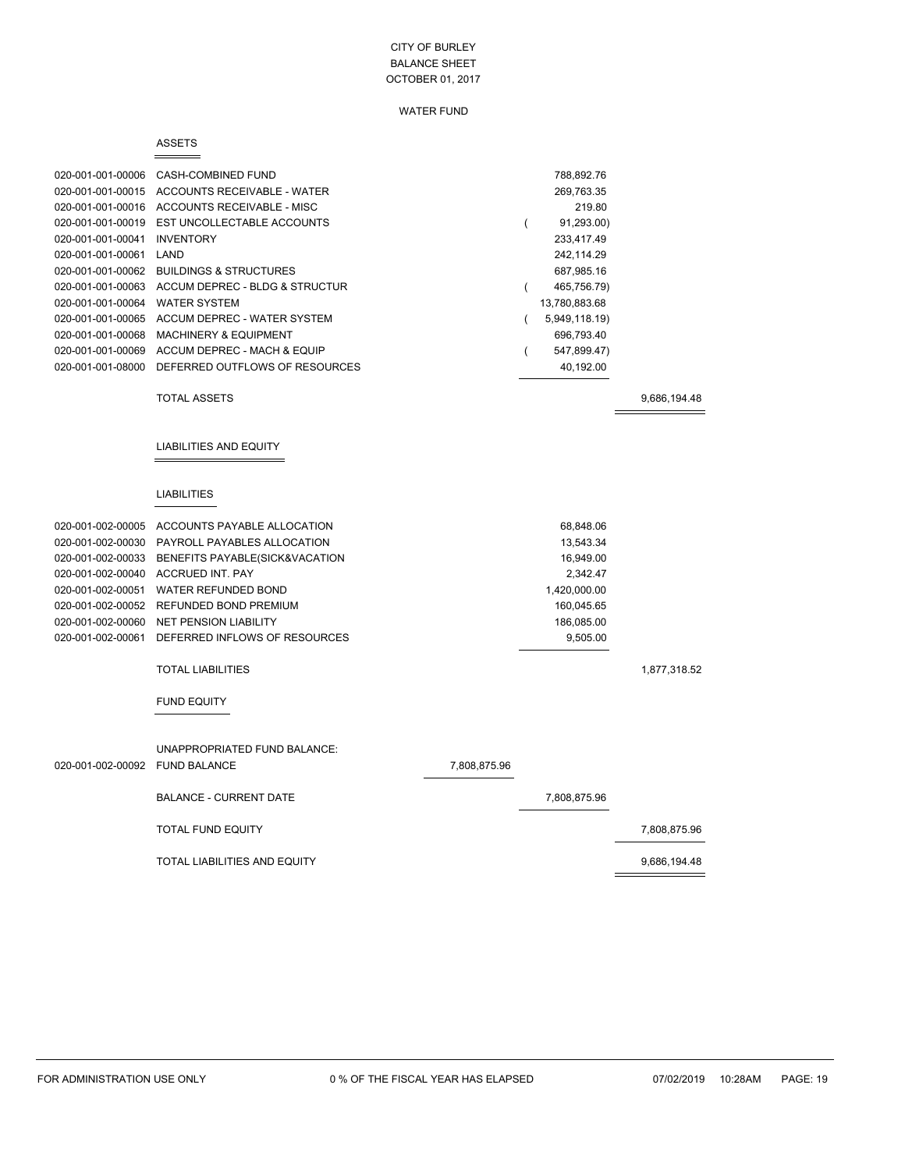#### WATER FUND

#### ASSETS

| 020-001-001-00006 | CASH-COMBINED FUND                | 788,892.76    |
|-------------------|-----------------------------------|---------------|
| 020-001-001-00015 | ACCOUNTS RECEIVABLE - WATER       | 269.763.35    |
| 020-001-001-00016 | ACCOUNTS RECEIVABLE - MISC        | 219.80        |
| 020-001-001-00019 | EST UNCOLLECTABLE ACCOUNTS        | 91,293.00)    |
| 020-001-001-00041 | <b>INVENTORY</b>                  | 233,417.49    |
| 020-001-001-00061 | LAND                              | 242.114.29    |
| 020-001-001-00062 | <b>BUILDINGS &amp; STRUCTURES</b> | 687,985.16    |
| 020-001-001-00063 | ACCUM DEPREC - BLDG & STRUCTUR    | 465,756.79)   |
| 020-001-001-00064 | <b>WATER SYSTEM</b>               | 13,780,883.68 |
| 020-001-001-00065 | ACCUM DEPREC - WATER SYSTEM       | 5,949,118.19) |
| 020-001-001-00068 | <b>MACHINERY &amp; EQUIPMENT</b>  | 696.793.40    |
| 020-001-001-00069 | ACCUM DEPREC - MACH & EQUIP       | 547,899.47)   |
| 020-001-001-08000 | DEFERRED OUTFLOWS OF RESOURCES    | 40,192.00     |
|                   |                                   |               |

TOTAL ASSETS 9,686,194.48

LIABILITIES AND EQUITY

#### LIABILITIES

| 020-001-002-00005 | ACCOUNTS PAYABLE ALLOCATION                     |              | 68,848.06    |              |
|-------------------|-------------------------------------------------|--------------|--------------|--------------|
| 020-001-002-00030 | PAYROLL PAYABLES ALLOCATION                     |              | 13,543.34    |              |
| 020-001-002-00033 | BENEFITS PAYABLE(SICK&VACATION                  |              | 16,949.00    |              |
| 020-001-002-00040 | <b>ACCRUED INT. PAY</b>                         |              | 2,342.47     |              |
| 020-001-002-00051 | WATER REFUNDED BOND                             |              | 1,420,000.00 |              |
| 020-001-002-00052 | REFUNDED BOND PREMIUM                           |              | 160,045.65   |              |
|                   | 020-001-002-00060 NET PENSION LIABILITY         |              | 186,085.00   |              |
|                   | 020-001-002-00061 DEFERRED INFLOWS OF RESOURCES |              | 9,505.00     |              |
|                   |                                                 |              |              |              |
|                   | <b>TOTAL LIABILITIES</b>                        |              |              | 1,877,318.52 |
|                   |                                                 |              |              |              |
|                   | <b>FUND EQUITY</b>                              |              |              |              |
|                   |                                                 |              |              |              |
|                   |                                                 |              |              |              |
|                   | UNAPPROPRIATED FUND BALANCE:                    |              |              |              |
| 020-001-002-00092 | <b>FUND BALANCE</b>                             | 7,808,875.96 |              |              |
|                   |                                                 |              |              |              |
|                   | <b>BALANCE - CURRENT DATE</b>                   |              | 7,808,875.96 |              |

TOTAL FUND EQUITY 7,808,875.96

TOTAL LIABILITIES AND EQUITY **120 SET AND A SET AND A SET AND A SET AND A SET AND ASSAULT IF A SET AND A SET AND A SET AND ASSAULT IF A SET AND A SET AND A SET AND A SET AND A SET AND A SET AND A SET AND A SET AND A SET AN**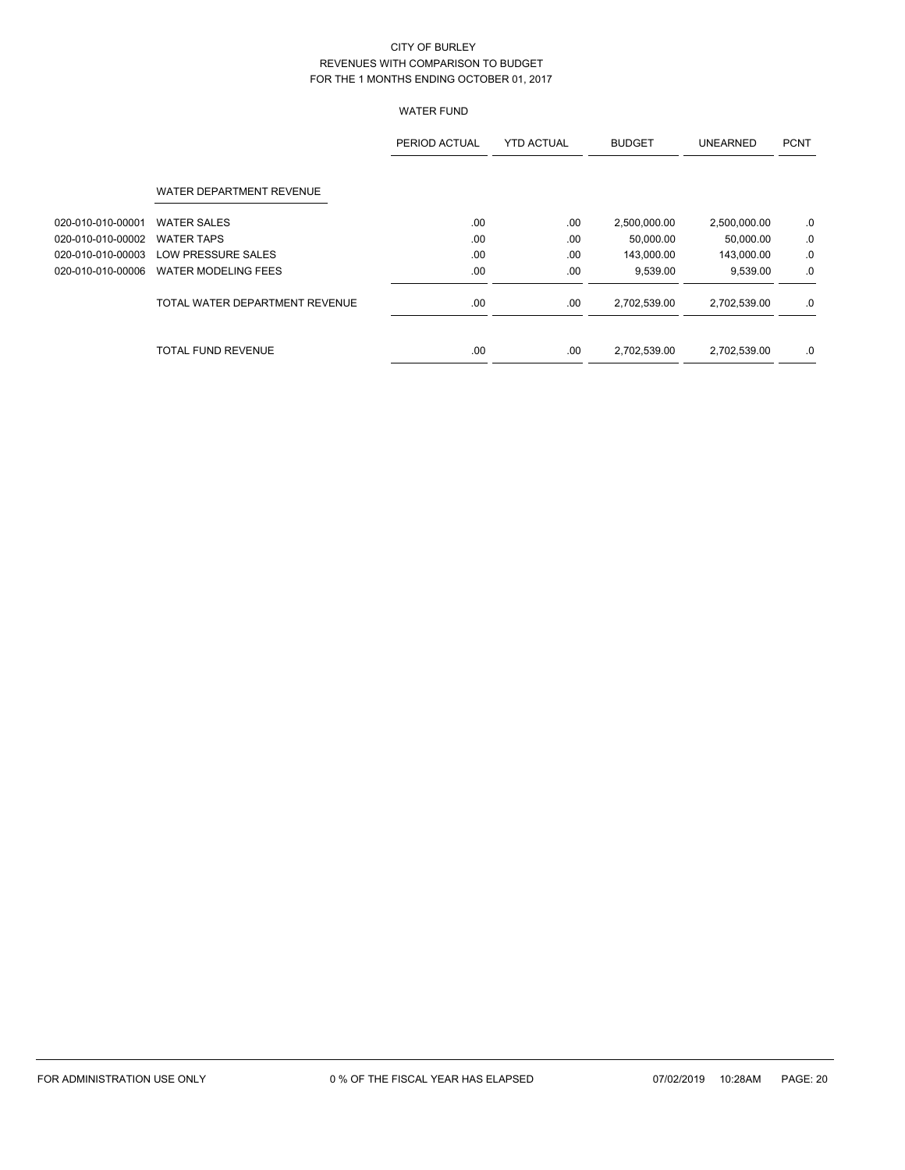# WATER FUND

|                   |                                | PERIOD ACTUAL | <b>YTD ACTUAL</b> | <b>BUDGET</b> | <b>UNEARNED</b> | <b>PCNT</b> |
|-------------------|--------------------------------|---------------|-------------------|---------------|-----------------|-------------|
|                   | WATER DEPARTMENT REVENUE       |               |                   |               |                 |             |
| 020-010-010-00001 | <b>WATER SALES</b>             | .00           | .00               | 2,500,000.00  | 2,500,000.00    | .0          |
| 020-010-010-00002 | <b>WATER TAPS</b>              | .00           | .00               | 50,000.00     | 50,000.00       | .0          |
| 020-010-010-00003 | LOW PRESSURE SALES             | .00           | .00               | 143,000.00    | 143,000.00      | .0          |
| 020-010-010-00006 | <b>WATER MODELING FEES</b>     | .00           | .00               | 9,539.00      | 9,539.00        | .0          |
|                   | TOTAL WATER DEPARTMENT REVENUE | .00           | .00               | 2,702,539.00  | 2,702,539.00    | .0          |
|                   | <b>TOTAL FUND REVENUE</b>      | .00           | .00.              | 2,702,539.00  | 2,702,539.00    | .0          |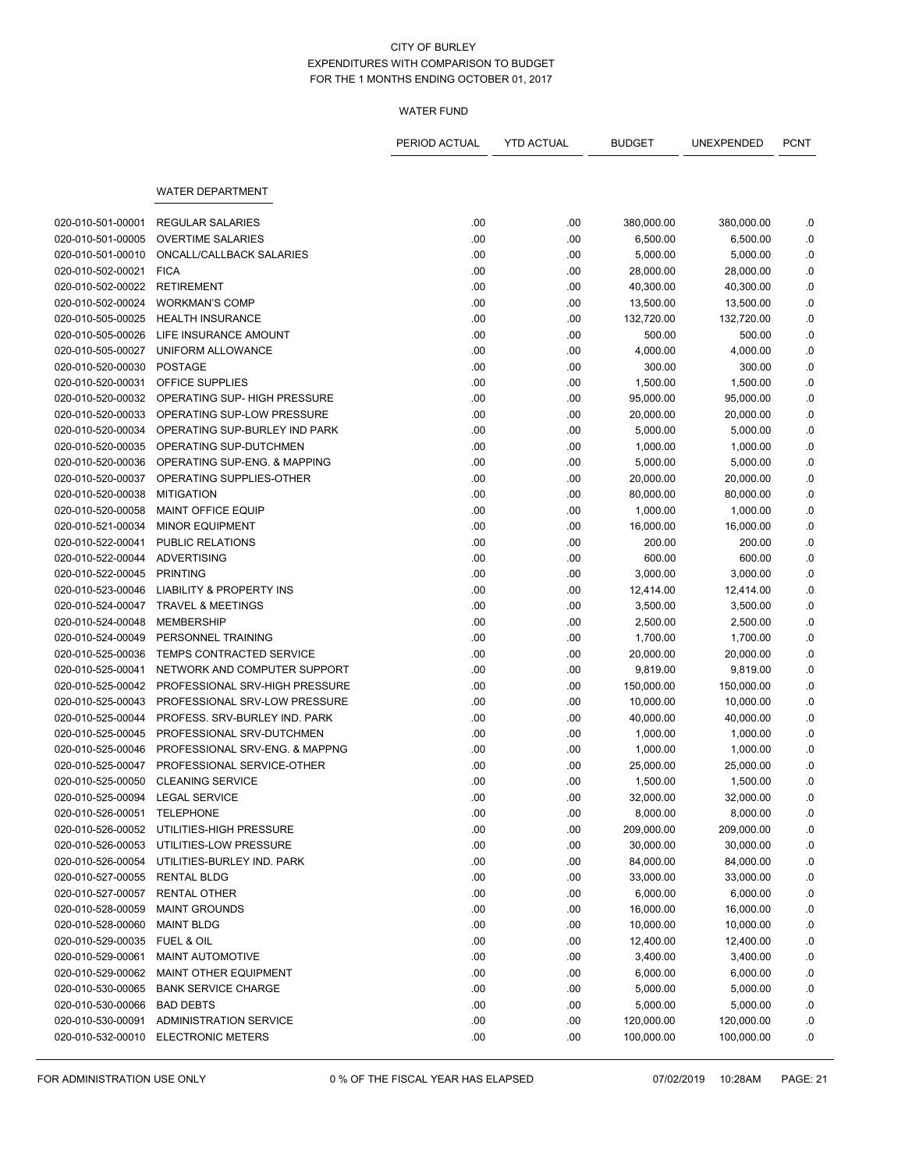### WATER FUND

|                                 |                                     | PERIOD ACTUAL | <b>YTD ACTUAL</b> | <b>BUDGET</b> | UNEXPENDED | <b>PCNT</b> |
|---------------------------------|-------------------------------------|---------------|-------------------|---------------|------------|-------------|
|                                 | <b>WATER DEPARTMENT</b>             |               |                   |               |            |             |
|                                 |                                     |               |                   |               |            |             |
| 020-010-501-00001               | <b>REGULAR SALARIES</b>             | .00           | .00               | 380,000.00    | 380,000.00 | .0          |
| 020-010-501-00005               | <b>OVERTIME SALARIES</b>            | .00           | .00               | 6,500.00      | 6,500.00   | .0          |
| 020-010-501-00010               | ONCALL/CALLBACK SALARIES            | .00           | .00               | 5,000.00      | 5,000.00   | .0          |
| 020-010-502-00021               | <b>FICA</b>                         | .00           | .00               | 28,000.00     | 28,000.00  | .0          |
| 020-010-502-00022               | <b>RETIREMENT</b>                   | .00           | .00               | 40,300.00     | 40,300.00  | .0          |
| 020-010-502-00024               | <b>WORKMAN'S COMP</b>               | .00           | .00               | 13,500.00     | 13,500.00  | ${\bf .0}$  |
| 020-010-505-00025               | <b>HEALTH INSURANCE</b>             | .00           | .00               | 132,720.00    | 132,720.00 | 0.0         |
| 020-010-505-00026               | LIFE INSURANCE AMOUNT               | .00           | .00               | 500.00        | 500.00     | .0          |
| 020-010-505-00027               | UNIFORM ALLOWANCE                   | .00           | .00               | 4,000.00      | 4,000.00   | .0          |
| 020-010-520-00030               | <b>POSTAGE</b>                      | .00           | .00               | 300.00        | 300.00     | .0          |
| 020-010-520-00031               | OFFICE SUPPLIES                     | .00           | .00               | 1,500.00      | 1,500.00   | ${\bf .0}$  |
| 020-010-520-00032               | OPERATING SUP- HIGH PRESSURE        | .00           | .00               | 95,000.00     | 95,000.00  | .0          |
| 020-010-520-00033               | OPERATING SUP-LOW PRESSURE          | .00           | .00               | 20,000.00     | 20,000.00  | .0          |
| 020-010-520-00034               | OPERATING SUP-BURLEY IND PARK       | .00           | .00               | 5,000.00      | 5,000.00   | .0          |
| 020-010-520-00035               | OPERATING SUP-DUTCHMEN              | .00           | .00               | 1,000.00      | 1,000.00   | .0          |
| 020-010-520-00036               | OPERATING SUP-ENG. & MAPPING        | .00           | .00               | 5,000.00      | 5,000.00   | ${\bf .0}$  |
| 020-010-520-00037               | OPERATING SUPPLIES-OTHER            | .00           | .00               | 20,000.00     | 20,000.00  | .0          |
| 020-010-520-00038               | <b>MITIGATION</b>                   | .00           | .00               | 80,000.00     | 80,000.00  | .0          |
| 020-010-520-00058               | <b>MAINT OFFICE EQUIP</b>           | .00           | .00               | 1,000.00      | 1,000.00   | .0          |
| 020-010-521-00034               | <b>MINOR EQUIPMENT</b>              | .00           | .00               | 16,000.00     | 16,000.00  | .0          |
| 020-010-522-00041               | PUBLIC RELATIONS                    | .00           | .00               | 200.00        | 200.00     | .0          |
| 020-010-522-00044               | <b>ADVERTISING</b>                  | .00           | .00               | 600.00        | 600.00     | .0          |
| 020-010-522-00045               | <b>PRINTING</b>                     | .00           | .00               | 3,000.00      | 3,000.00   | .0          |
| 020-010-523-00046               | <b>LIABILITY &amp; PROPERTY INS</b> | .00           | .00               | 12,414.00     | 12,414.00  | .0          |
| 020-010-524-00047               | <b>TRAVEL &amp; MEETINGS</b>        | .00           | .00               | 3,500.00      | 3,500.00   | .0          |
| 020-010-524-00048               | <b>MEMBERSHIP</b>                   | .00           | .00               | 2,500.00      | 2,500.00   | ${\bf .0}$  |
| 020-010-524-00049               | PERSONNEL TRAINING                  | .00           | .00               | 1,700.00      | 1,700.00   | .0          |
| 020-010-525-00036               | TEMPS CONTRACTED SERVICE            | .00           | .00               | 20,000.00     | 20,000.00  | .0          |
| 020-010-525-00041               | NETWORK AND COMPUTER SUPPORT        | .00           | .00.              | 9,819.00      | 9,819.00   | .0          |
| 020-010-525-00042               | PROFESSIONAL SRV-HIGH PRESSURE      | .00           | .00               | 150,000.00    | 150,000.00 | .0          |
| 020-010-525-00043               | PROFESSIONAL SRV-LOW PRESSURE       | .00           | .00               | 10,000.00     | 10,000.00  | .0          |
| 020-010-525-00044               | PROFESS, SRV-BURLEY IND, PARK       | .00           | .00               | 40,000.00     | 40,000.00  | .0          |
| 020-010-525-00045               | PROFESSIONAL SRV-DUTCHMEN           | .00           | .00               | 1,000.00      | 1,000.00   | .0          |
| 020-010-525-00046               | PROFESSIONAL SRV-ENG. & MAPPNG      | .00           | .00               | 1,000.00      | 1,000.00   | .0          |
| 020-010-525-00047               | PROFESSIONAL SERVICE-OTHER          | .00           | .00               | 25,000.00     | 25,000.00  | .0          |
| 020-010-525-00050               | <b>CLEANING SERVICE</b>             | .00           | .00               | 1,500.00      | 1,500.00   | 0.          |
| 020-010-525-00094 LEGAL SERVICE |                                     | .00           | .00               | 32,000.00     | 32,000.00  | .0          |
| 020-010-526-00051               | <b>TELEPHONE</b>                    | .00           | .00.              | 8,000.00      | 8,000.00   | .0          |
| 020-010-526-00052               | UTILITIES-HIGH PRESSURE             | .00           | .00.              | 209,000.00    | 209,000.00 | .0          |
| 020-010-526-00053               | UTILITIES-LOW PRESSURE              | .00           | .00               | 30,000.00     | 30,000.00  | .0          |
| 020-010-526-00054               | UTILITIES-BURLEY IND. PARK          | .00           | .00               | 84,000.00     | 84,000.00  | .0          |
| 020-010-527-00055               | <b>RENTAL BLDG</b>                  | .00           | .00               | 33,000.00     | 33,000.00  | .0          |
| 020-010-527-00057               | RENTAL OTHER                        | .00           | .00               | 6,000.00      | 6,000.00   | .0          |
| 020-010-528-00059               | <b>MAINT GROUNDS</b>                | .00           | .00               | 16,000.00     | 16,000.00  | .0          |
| 020-010-528-00060               | <b>MAINT BLDG</b>                   | .00           | .00               | 10,000.00     | 10,000.00  | .0          |
| 020-010-529-00035               | FUEL & OIL                          | .00           | .00               | 12,400.00     | 12,400.00  | .0          |
| 020-010-529-00061               | MAINT AUTOMOTIVE                    | .00           | .00               | 3,400.00      | 3,400.00   | .0          |
| 020-010-529-00062               | MAINT OTHER EQUIPMENT               | .00           | .00.              | 6,000.00      | 6,000.00   | .0          |
| 020-010-530-00065               | <b>BANK SERVICE CHARGE</b>          | .00           | .00               | 5,000.00      | 5,000.00   | .0          |
| 020-010-530-00066               | <b>BAD DEBTS</b>                    | .00           | .00               | 5,000.00      | 5,000.00   | .0          |
| 020-010-530-00091               | ADMINISTRATION SERVICE              | .00           | .00               | 120,000.00    | 120,000.00 | .0          |
| 020-010-532-00010               | <b>ELECTRONIC METERS</b>            | .00           | .00               | 100,000.00    | 100,000.00 | .0          |
|                                 |                                     |               |                   |               |            |             |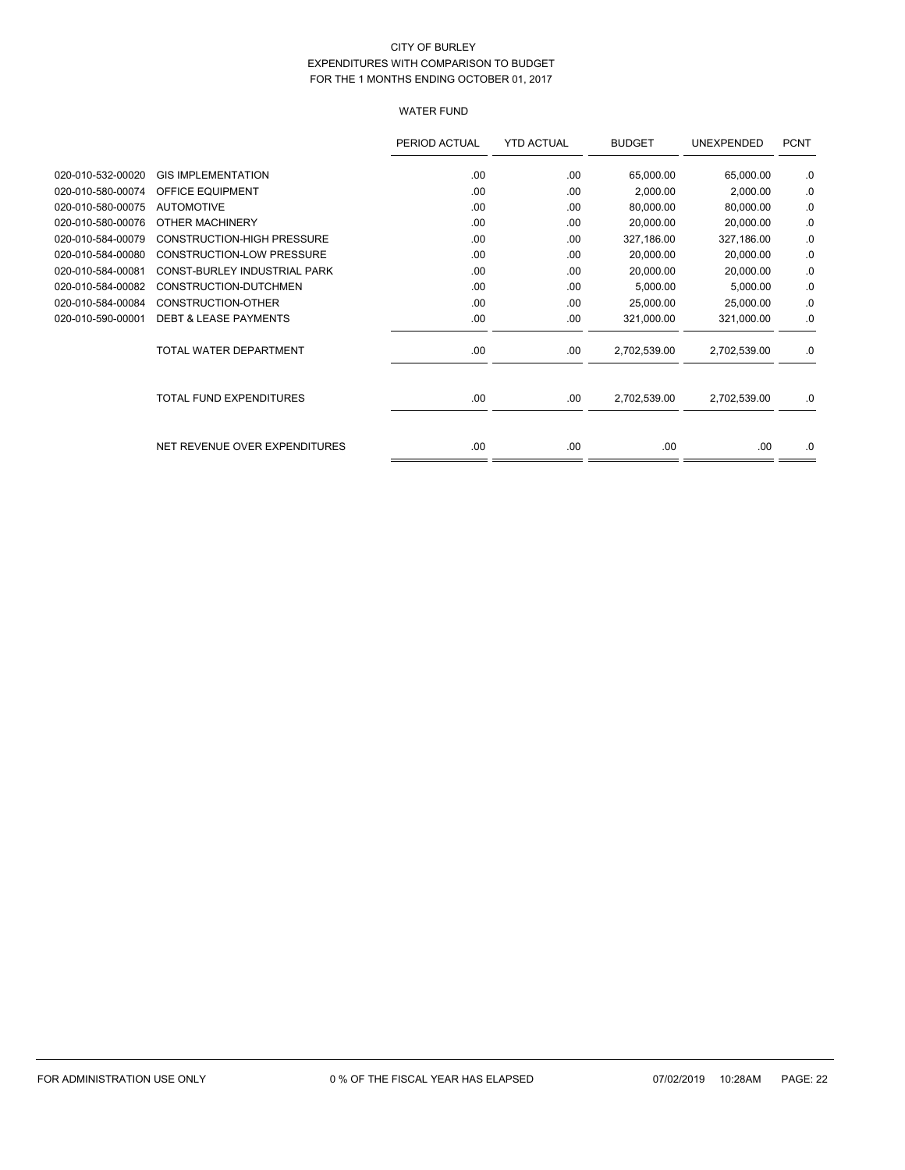# WATER FUND

|                   |                                   | PERIOD ACTUAL | <b>YTD ACTUAL</b> | <b>BUDGET</b> | UNEXPENDED   | <b>PCNT</b> |
|-------------------|-----------------------------------|---------------|-------------------|---------------|--------------|-------------|
| 020-010-532-00020 | <b>GIS IMPLEMENTATION</b>         | .00           | .00               | 65,000.00     | 65,000.00    | .0          |
| 020-010-580-00074 | <b>OFFICE EQUIPMENT</b>           | .00           | .00               | 2,000.00      | 2,000.00     | .0          |
| 020-010-580-00075 | <b>AUTOMOTIVE</b>                 | .00           | .00               | 80,000.00     | 80,000.00    | .0          |
| 020-010-580-00076 | OTHER MACHINERY                   | .00           | .00               | 20.000.00     | 20,000.00    | .0          |
| 020-010-584-00079 | <b>CONSTRUCTION-HIGH PRESSURE</b> | .00           | .00               | 327,186.00    | 327,186.00   | .0          |
| 020-010-584-00080 | <b>CONSTRUCTION-LOW PRESSURE</b>  | .00           | .00               | 20,000.00     | 20,000.00    | .0          |
| 020-010-584-00081 | CONST-BURLEY INDUSTRIAL PARK      | .00           | .00               | 20,000.00     | 20,000.00    | .0          |
| 020-010-584-00082 | CONSTRUCTION-DUTCHMEN             | .00           | .00               | 5,000.00      | 5,000.00     | .0          |
| 020-010-584-00084 | CONSTRUCTION-OTHER                | .00           | .00               | 25,000.00     | 25,000.00    | .0          |
| 020-010-590-00001 | <b>DEBT &amp; LEASE PAYMENTS</b>  | .00           | .00               | 321,000.00    | 321,000.00   | .0          |
|                   | TOTAL WATER DEPARTMENT            | .00           | .00.              | 2,702,539.00  | 2,702,539.00 | .0          |
|                   | <b>TOTAL FUND EXPENDITURES</b>    | .00           | .00               | 2,702,539.00  | 2,702,539.00 | .0          |
|                   | NET REVENUE OVER EXPENDITURES     | .00           | .00               | .00.          | .00.         | .0          |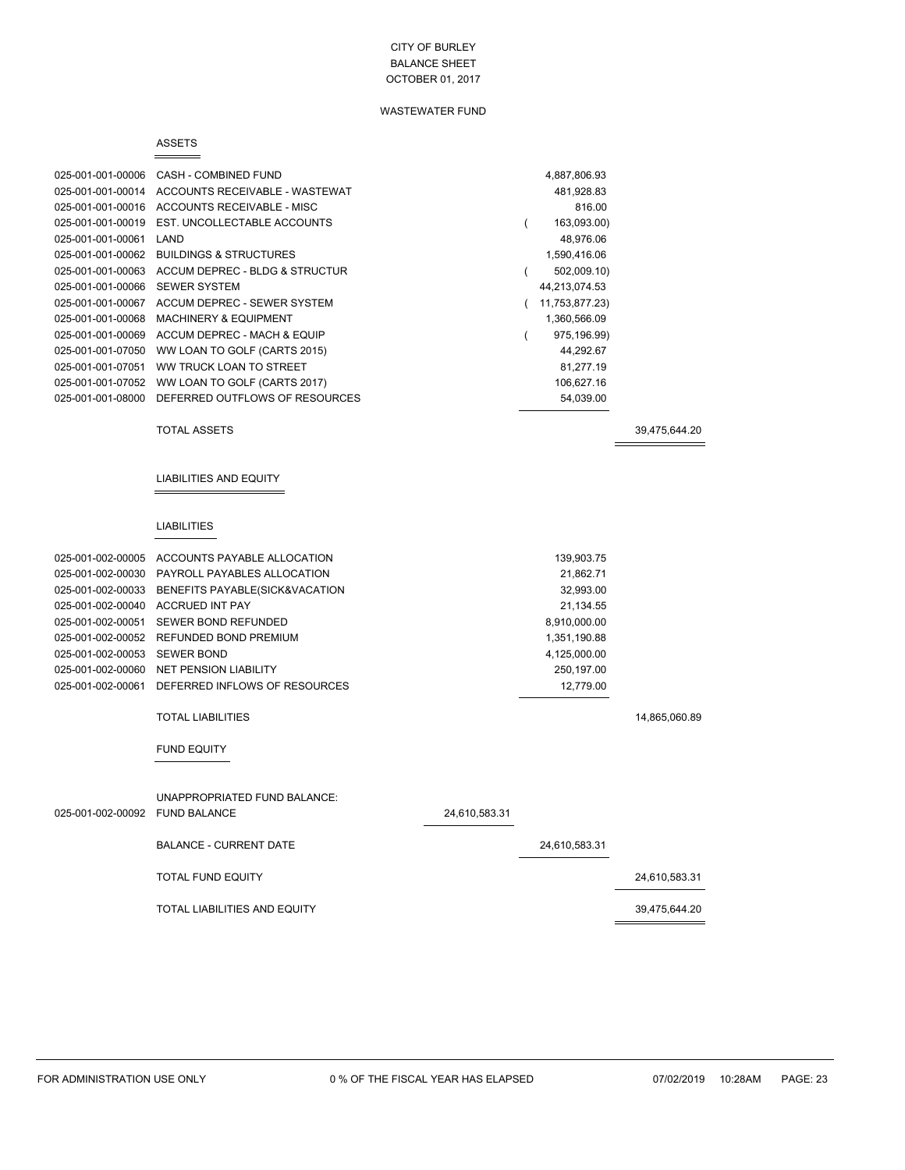### WASTEWATER FUND

#### ASSETS

 $=$ 

| 025-001-001-00006 | CASH - COMBINED FUND              | 4,887,806.93   |
|-------------------|-----------------------------------|----------------|
| 025-001-001-00014 | ACCOUNTS RECEIVABLE - WASTEWAT    | 481,928.83     |
| 025-001-001-00016 | ACCOUNTS RECEIVABLE - MISC        | 816.00         |
| 025-001-001-00019 | EST. UNCOLLECTABLE ACCOUNTS       | 163,093.00)    |
| 025-001-001-00061 | LAND                              | 48,976.06      |
| 025-001-001-00062 | <b>BUILDINGS &amp; STRUCTURES</b> | 1,590,416.06   |
| 025-001-001-00063 | ACCUM DEPREC - BLDG & STRUCTUR    | 502,009.10)    |
| 025-001-001-00066 | <b>SEWER SYSTEM</b>               | 44,213,074.53  |
| 025-001-001-00067 | ACCUM DEPREC - SEWER SYSTEM       | 11,753,877.23) |
| 025-001-001-00068 | <b>MACHINERY &amp; EQUIPMENT</b>  | 1,360,566.09   |
| 025-001-001-00069 | ACCUM DEPREC - MACH & EQUIP       | 975,196.99)    |
| 025-001-001-07050 | WW LOAN TO GOLF (CARTS 2015)      | 44,292.67      |
| 025-001-001-07051 | WW TRUCK LOAN TO STREET           | 81,277.19      |
| 025-001-001-07052 | WW LOAN TO GOLF (CARTS 2017)      | 106,627.16     |
| 025-001-001-08000 | DEFERRED OUTFLOWS OF RESOURCES    | 54,039.00      |
|                   |                                   |                |

TOTAL ASSETS 39,475,644.20

 $\equiv$ 

#### LIABILITIES AND EQUITY

#### LIABILITIES

| 025-001-002-00005              | ACCOUNTS PAYABLE ALLOCATION                      |               | 139,903.75    |               |
|--------------------------------|--------------------------------------------------|---------------|---------------|---------------|
|                                |                                                  |               | 21,862.71     |               |
|                                | 025-001-002-00033 BENEFITS PAYABLE(SICK&VACATION |               | 32,993.00     |               |
| 025-001-002-00040              | <b>ACCRUED INT PAY</b>                           |               | 21,134.55     |               |
| 025-001-002-00051              | SEWER BOND REFUNDED                              |               | 8,910,000.00  |               |
|                                | 025-001-002-00052 REFUNDED BOND PREMIUM          |               | 1,351,190.88  |               |
| 025-001-002-00053              | <b>SEWER BOND</b>                                |               | 4,125,000.00  |               |
|                                | 025-001-002-00060 NET PENSION LIABILITY          |               | 250,197.00    |               |
|                                | 025-001-002-00061 DEFERRED INFLOWS OF RESOURCES  |               | 12,779.00     |               |
|                                | <b>TOTAL LIABILITIES</b><br><b>FUND EQUITY</b>   |               |               | 14,865,060.89 |
| 025-001-002-00092 FUND BALANCE | UNAPPROPRIATED FUND BALANCE:                     | 24,610,583.31 |               |               |
|                                | <b>BALANCE - CURRENT DATE</b>                    |               | 24,610,583.31 |               |
|                                | <b>TOTAL FUND EQUITY</b>                         |               |               | 24.610.583.31 |
|                                | TOTAL LIABILITIES AND EQUITY                     |               |               | 39.475.644.20 |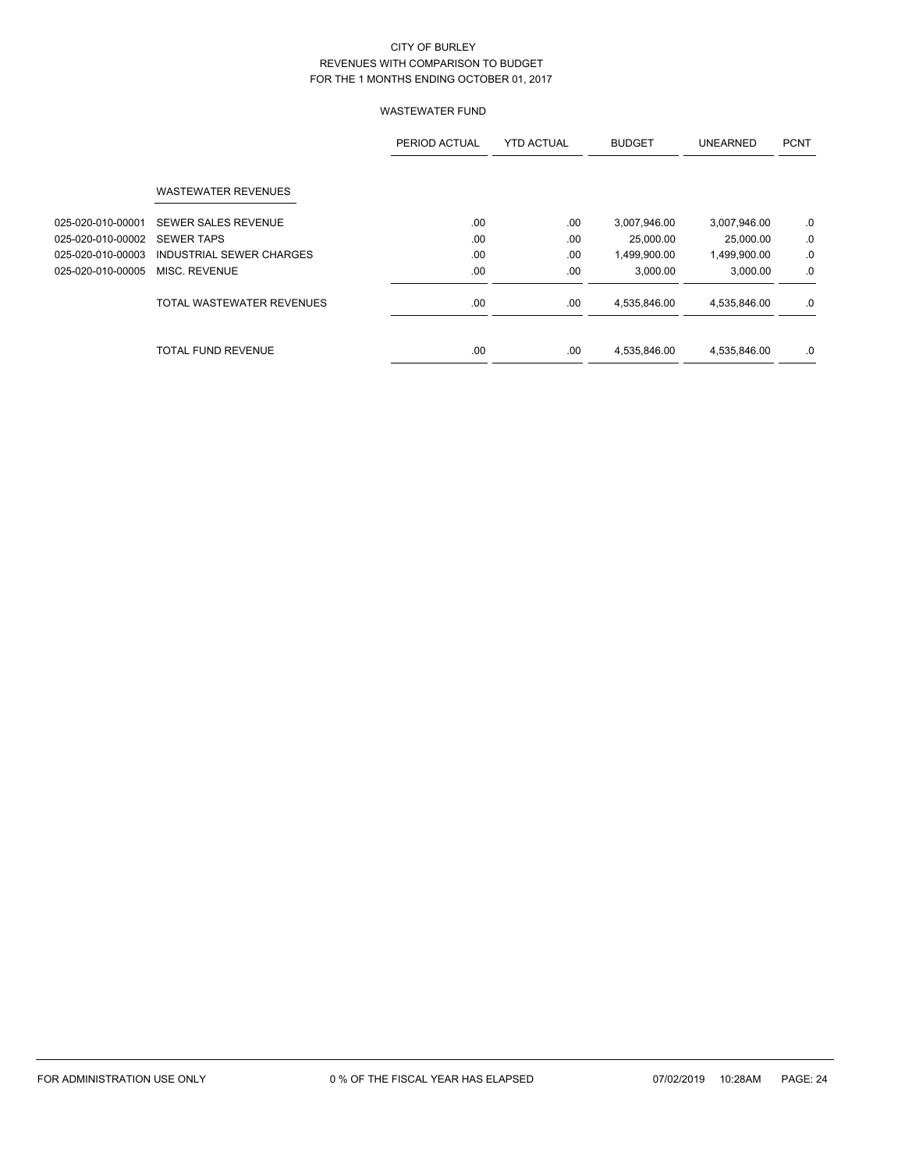|                   |                            | PERIOD ACTUAL | <b>YTD ACTUAL</b> | <b>BUDGET</b> | <b>UNEARNED</b> | <b>PCNT</b> |
|-------------------|----------------------------|---------------|-------------------|---------------|-----------------|-------------|
|                   | <b>WASTEWATER REVENUES</b> |               |                   |               |                 |             |
| 025-020-010-00001 | <b>SEWER SALES REVENUE</b> | .00.          | .00               | 3,007,946.00  | 3,007,946.00    | .0          |
| 025-020-010-00002 | <b>SEWER TAPS</b>          | .00           | .00               | 25,000.00     | 25,000.00       | .0          |
| 025-020-010-00003 | INDUSTRIAL SEWER CHARGES   | .00           | .00               | 1,499,900.00  | 1,499,900.00    | .0          |
| 025-020-010-00005 | MISC. REVENUE              | .00           | .00               | 3.000.00      | 3.000.00        | .0          |
|                   | TOTAL WASTEWATER REVENUES  | .00.          | .00               | 4,535,846.00  | 4,535,846.00    | .0          |
|                   | <b>TOTAL FUND REVENUE</b>  | .00           | .00               | 4,535,846.00  | 4,535,846.00    | .0          |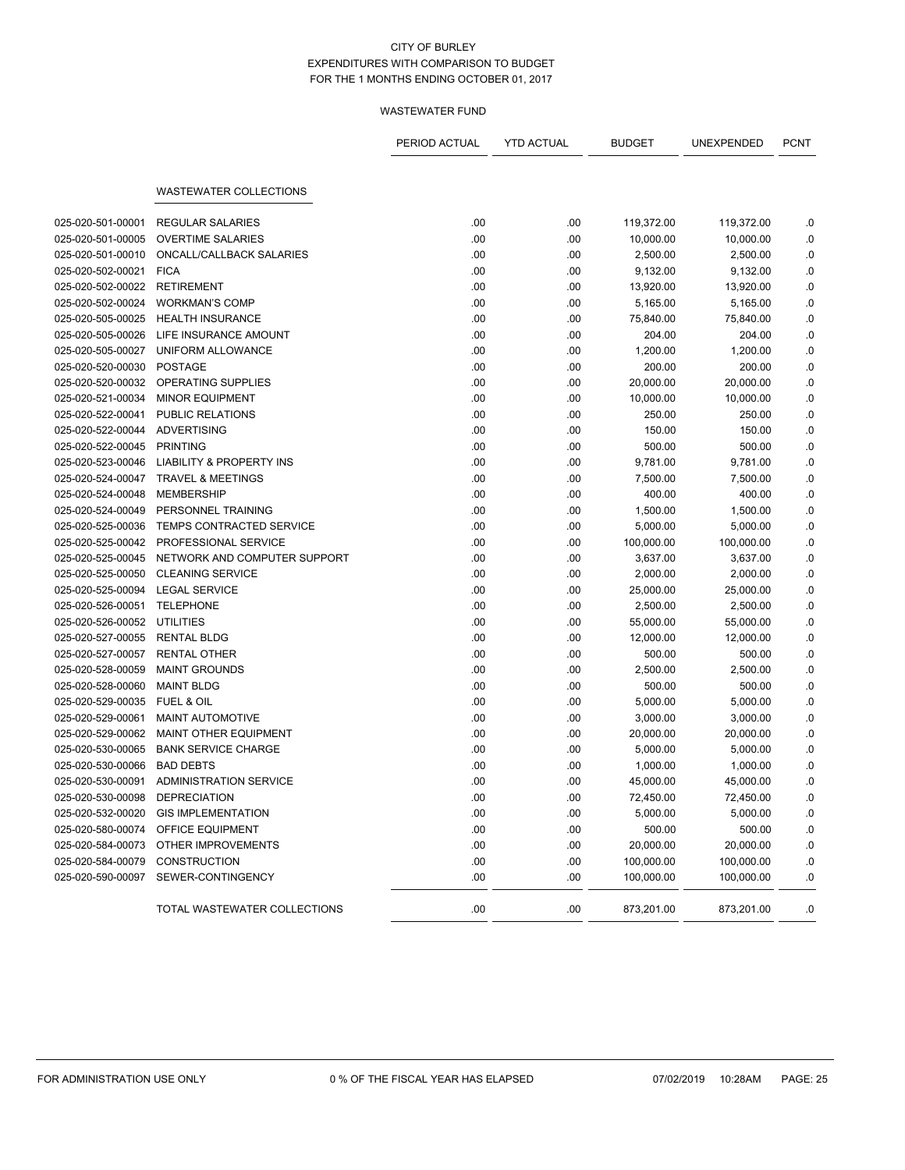|                   |                                     | PERIOD ACTUAL | <b>YTD ACTUAL</b> | <b>BUDGET</b> | UNEXPENDED | <b>PCNT</b> |
|-------------------|-------------------------------------|---------------|-------------------|---------------|------------|-------------|
|                   | <b>WASTEWATER COLLECTIONS</b>       |               |                   |               |            |             |
|                   |                                     |               |                   |               |            |             |
| 025-020-501-00001 | <b>REGULAR SALARIES</b>             | .00           | .00               | 119,372.00    | 119,372.00 | .0          |
| 025-020-501-00005 | <b>OVERTIME SALARIES</b>            | .00           | .00               | 10,000.00     | 10,000.00  | .0          |
| 025-020-501-00010 | ONCALL/CALLBACK SALARIES            | .00           | .00               | 2,500.00      | 2,500.00   | .0          |
| 025-020-502-00021 | <b>FICA</b>                         | .00           | .00               | 9,132.00      | 9,132.00   | .0          |
| 025-020-502-00022 | <b>RETIREMENT</b>                   | .00           | .00               | 13,920.00     | 13,920.00  | $\cdot$ 0   |
| 025-020-502-00024 | <b>WORKMAN'S COMP</b>               | .00           | .00               | 5,165.00      | 5,165.00   | .0          |
| 025-020-505-00025 | <b>HEALTH INSURANCE</b>             | .00           | .00               | 75,840.00     | 75,840.00  | .0          |
| 025-020-505-00026 | LIFE INSURANCE AMOUNT               | .00           | .00               | 204.00        | 204.00     | .0          |
| 025-020-505-00027 | UNIFORM ALLOWANCE                   | .00           | .00               | 1,200.00      | 1,200.00   | .0          |
| 025-020-520-00030 | <b>POSTAGE</b>                      | .00           | .00               | 200.00        | 200.00     | .0          |
| 025-020-520-00032 | OPERATING SUPPLIES                  | .00           | .00               | 20,000.00     | 20,000.00  | .0          |
| 025-020-521-00034 | <b>MINOR EQUIPMENT</b>              | .00           | .00               | 10,000.00     | 10,000.00  | .0          |
| 025-020-522-00041 | PUBLIC RELATIONS                    | .00           | .00               | 250.00        | 250.00     | .0          |
| 025-020-522-00044 | <b>ADVERTISING</b>                  | .00           | .00               | 150.00        | 150.00     | .0          |
| 025-020-522-00045 | <b>PRINTING</b>                     | .00           | .00               | 500.00        | 500.00     | $\cdot$ 0   |
| 025-020-523-00046 | <b>LIABILITY &amp; PROPERTY INS</b> | .00           | .00               | 9,781.00      | 9,781.00   | .0          |
| 025-020-524-00047 | <b>TRAVEL &amp; MEETINGS</b>        | .00           | .00               | 7,500.00      | 7,500.00   | .0          |
| 025-020-524-00048 | <b>MEMBERSHIP</b>                   | .00           | .00               | 400.00        | 400.00     | .0          |
| 025-020-524-00049 | PERSONNEL TRAINING                  | .00           | .00               | 1,500.00      | 1,500.00   | .0          |
| 025-020-525-00036 | TEMPS CONTRACTED SERVICE            | .00           | .00               | 5,000.00      | 5,000.00   | .0          |
| 025-020-525-00042 | PROFESSIONAL SERVICE                | .00           | .00               | 100,000.00    | 100,000.00 | .0          |
| 025-020-525-00045 | NETWORK AND COMPUTER SUPPORT        | .00           | .00               | 3,637.00      | 3,637.00   | .0          |
| 025-020-525-00050 | <b>CLEANING SERVICE</b>             | .00           | .00               | 2,000.00      | 2,000.00   | .0          |
| 025-020-525-00094 | <b>LEGAL SERVICE</b>                | .00           | .00               | 25,000.00     | 25,000.00  | .0          |
| 025-020-526-00051 | <b>TELEPHONE</b>                    | .00           | .00               | 2,500.00      | 2,500.00   | .0          |
| 025-020-526-00052 | <b>UTILITIES</b>                    | .00           | .00               | 55,000.00     | 55,000.00  | .0          |
| 025-020-527-00055 | <b>RENTAL BLDG</b>                  | .00           | .00               | 12,000.00     | 12,000.00  | .0          |
| 025-020-527-00057 | <b>RENTAL OTHER</b>                 | .00           | .00               | 500.00        | 500.00     | .0          |
| 025-020-528-00059 | <b>MAINT GROUNDS</b>                | .00           | .00               | 2,500.00      | 2,500.00   | .0          |
| 025-020-528-00060 | <b>MAINT BLDG</b>                   | .00           | .00               | 500.00        | 500.00     | .0          |
| 025-020-529-00035 | <b>FUEL &amp; OIL</b>               | .00           | .00               | 5,000.00      | 5,000.00   | .0          |
| 025-020-529-00061 | <b>MAINT AUTOMOTIVE</b>             | .00           | .00               | 3,000.00      | 3,000.00   | .0          |
| 025-020-529-00062 | <b>MAINT OTHER EQUIPMENT</b>        | .00           | .00               | 20,000.00     | 20,000.00  | .0          |
| 025-020-530-00065 | <b>BANK SERVICE CHARGE</b>          | .00           | .00               | 5,000.00      | 5,000.00   | .0          |
| 025-020-530-00066 | <b>BAD DEBTS</b>                    | .00           | .00               | 1,000.00      | 1,000.00   | .0          |
| 025-020-530-00091 | <b>ADMINISTRATION SERVICE</b>       | .00           | .00               | 45,000.00     | 45,000.00  | .0          |
| 025-020-530-00098 | <b>DEPRECIATION</b>                 | .00           | .00               | 72,450.00     | 72,450.00  | 0.          |
| 025-020-532-00020 | <b>GIS IMPLEMENTATION</b>           | .00           | .00               | 5,000.00      | 5,000.00   | .0          |
| 025-020-580-00074 | OFFICE EQUIPMENT                    | .00           | .00               | 500.00        | 500.00     | .0          |
| 025-020-584-00073 | OTHER IMPROVEMENTS                  | .00           | .00               | 20,000.00     | 20,000.00  | .0          |
| 025-020-584-00079 | <b>CONSTRUCTION</b>                 | .00           | .00               | 100,000.00    | 100,000.00 | .0          |
| 025-020-590-00097 | SEWER-CONTINGENCY                   | .00           | .00               | 100,000.00    | 100,000.00 | .0          |
|                   | TOTAL WASTEWATER COLLECTIONS        | .00           | .00               | 873,201.00    | 873,201.00 | 0.          |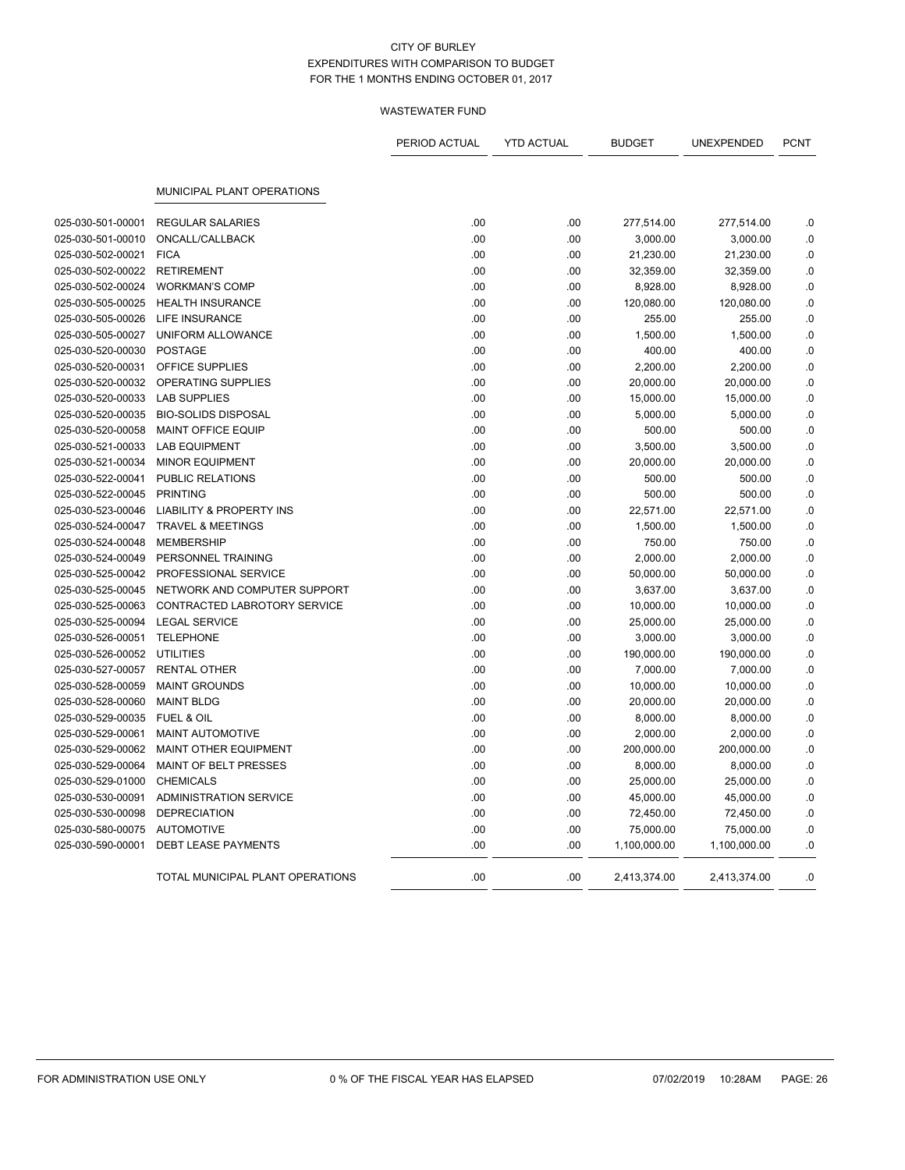|                                        |                                            | PERIOD ACTUAL | <b>YTD ACTUAL</b> | <b>BUDGET</b>          | UNEXPENDED             | <b>PCNT</b> |
|----------------------------------------|--------------------------------------------|---------------|-------------------|------------------------|------------------------|-------------|
|                                        | MUNICIPAL PLANT OPERATIONS                 |               |                   |                        |                        |             |
|                                        |                                            |               |                   |                        |                        |             |
| 025-030-501-00001<br>025-030-501-00010 | <b>REGULAR SALARIES</b><br>ONCALL/CALLBACK | .00<br>.00    | .00<br>.00        | 277,514.00<br>3,000.00 | 277,514.00<br>3,000.00 | .0<br>.0    |
| 025-030-502-00021                      | <b>FICA</b>                                | .00           | .00               |                        |                        | $\cdot$ 0   |
| 025-030-502-00022                      | <b>RETIREMENT</b>                          | .00           | .00               | 21,230.00<br>32,359.00 | 21,230.00<br>32,359.00 | .0          |
| 025-030-502-00024                      | <b>WORKMAN'S COMP</b>                      | .00           | .00               | 8,928.00               | 8,928.00               | .0          |
| 025-030-505-00025                      | <b>HEALTH INSURANCE</b>                    | .00           | .00               | 120,080.00             | 120,080.00             | .0          |
| 025-030-505-00026                      | <b>LIFE INSURANCE</b>                      | .00           | .00               | 255.00                 | 255.00                 | .0          |
| 025-030-505-00027                      | UNIFORM ALLOWANCE                          | .00           | .00               | 1,500.00               | 1,500.00               | .0          |
| 025-030-520-00030                      | <b>POSTAGE</b>                             | .00           | .00               | 400.00                 | 400.00                 | .0          |
| 025-030-520-00031                      | OFFICE SUPPLIES                            | .00           | .00               | 2,200.00               | 2,200.00               | .0          |
| 025-030-520-00032                      | <b>OPERATING SUPPLIES</b>                  | .00           | .00               | 20,000.00              | 20,000.00              | .0          |
| 025-030-520-00033                      | <b>LAB SUPPLIES</b>                        | .00           | .00               | 15,000.00              | 15,000.00              | .0          |
| 025-030-520-00035                      | <b>BIO-SOLIDS DISPOSAL</b>                 | .00           | .00               | 5,000.00               | 5,000.00               | .0          |
| 025-030-520-00058                      | <b>MAINT OFFICE EQUIP</b>                  | .00           | .00               | 500.00                 | 500.00                 | .0          |
| 025-030-521-00033                      | <b>LAB EQUIPMENT</b>                       | .00           | .00               | 3,500.00               | 3,500.00               | .0          |
| 025-030-521-00034                      | <b>MINOR EQUIPMENT</b>                     | .00           | .00               | 20,000.00              | 20,000.00              | .0          |
| 025-030-522-00041                      | PUBLIC RELATIONS                           | .00           | .00               | 500.00                 | 500.00                 | .0          |
| 025-030-522-00045                      | <b>PRINTING</b>                            | .00           | .00               | 500.00                 | 500.00                 | 0.0         |
| 025-030-523-00046                      | <b>LIABILITY &amp; PROPERTY INS</b>        | .00           | .00               | 22,571.00              | 22,571.00              | .0          |
| 025-030-524-00047                      | <b>TRAVEL &amp; MEETINGS</b>               | .00           | .00               | 1,500.00               | 1,500.00               | 0.0         |
| 025-030-524-00048                      | <b>MEMBERSHIP</b>                          | .00           | .00               | 750.00                 | 750.00                 | .0          |
| 025-030-524-00049                      | PERSONNEL TRAINING                         | .00           | .00               | 2,000.00               | 2,000.00               | .0          |
| 025-030-525-00042                      | PROFESSIONAL SERVICE                       | .00           | .00               | 50,000.00              | 50,000.00              | .0          |
| 025-030-525-00045                      | NETWORK AND COMPUTER SUPPORT               | .00           | .00               | 3,637.00               | 3,637.00               | .0          |
| 025-030-525-00063                      | CONTRACTED LABROTORY SERVICE               | .00           | .00               | 10,000.00              | 10,000.00              | .0          |
| 025-030-525-00094                      | <b>LEGAL SERVICE</b>                       | .00           | .00               | 25,000.00              | 25,000.00              | .0          |
| 025-030-526-00051                      | <b>TELEPHONE</b>                           | .00           | .00               | 3,000.00               | 3,000.00               | .0          |
| 025-030-526-00052                      | <b>UTILITIES</b>                           | .00           | .00               | 190,000.00             | 190,000.00             | 0.0         |
| 025-030-527-00057                      | <b>RENTAL OTHER</b>                        | .00           | .00               | 7,000.00               | 7,000.00               | .0          |
| 025-030-528-00059                      | <b>MAINT GROUNDS</b>                       | .00           | .00               | 10,000.00              | 10,000.00              | .0          |
| 025-030-528-00060                      | <b>MAINT BLDG</b>                          | .00           | .00               | 20,000.00              | 20,000.00              | 0.0         |
| 025-030-529-00035                      | FUEL & OIL                                 | .00           | .00               | 8,000.00               | 8,000.00               | .0          |
| 025-030-529-00061                      | MAINT AUTOMOTIVE                           | .00           | .00               | 2,000.00               | 2,000.00               | .0          |
| 025-030-529-00062                      | <b>MAINT OTHER EQUIPMENT</b>               | .00           | .00               | 200,000.00             | 200,000.00             | .0          |
| 025-030-529-00064                      | MAINT OF BELT PRESSES                      | .00           | .00               | 8,000.00               | 8,000.00               | .0          |
| 025-030-529-01000                      | <b>CHEMICALS</b>                           | .00           | .00               | 25,000.00              | 25,000.00              | .0          |
| 025-030-530-00091                      | <b>ADMINISTRATION SERVICE</b>              | .00           | .00               | 45,000.00              | 45,000.00              | .0          |
| 025-030-530-00098                      | <b>DEPRECIATION</b>                        | .00           | .00               | 72,450.00              | 72,450.00              | .0          |
| 025-030-580-00075                      | <b>AUTOMOTIVE</b>                          | .00           | .00               | 75,000.00              | 75,000.00              | .0          |
| 025-030-590-00001                      | <b>DEBT LEASE PAYMENTS</b>                 | .00           | .00               | 1,100,000.00           | 1,100,000.00           | .0          |
|                                        | TOTAL MUNICIPAL PLANT OPERATIONS           | .00           | .00               | 2,413,374.00           | 2,413,374.00           | .0          |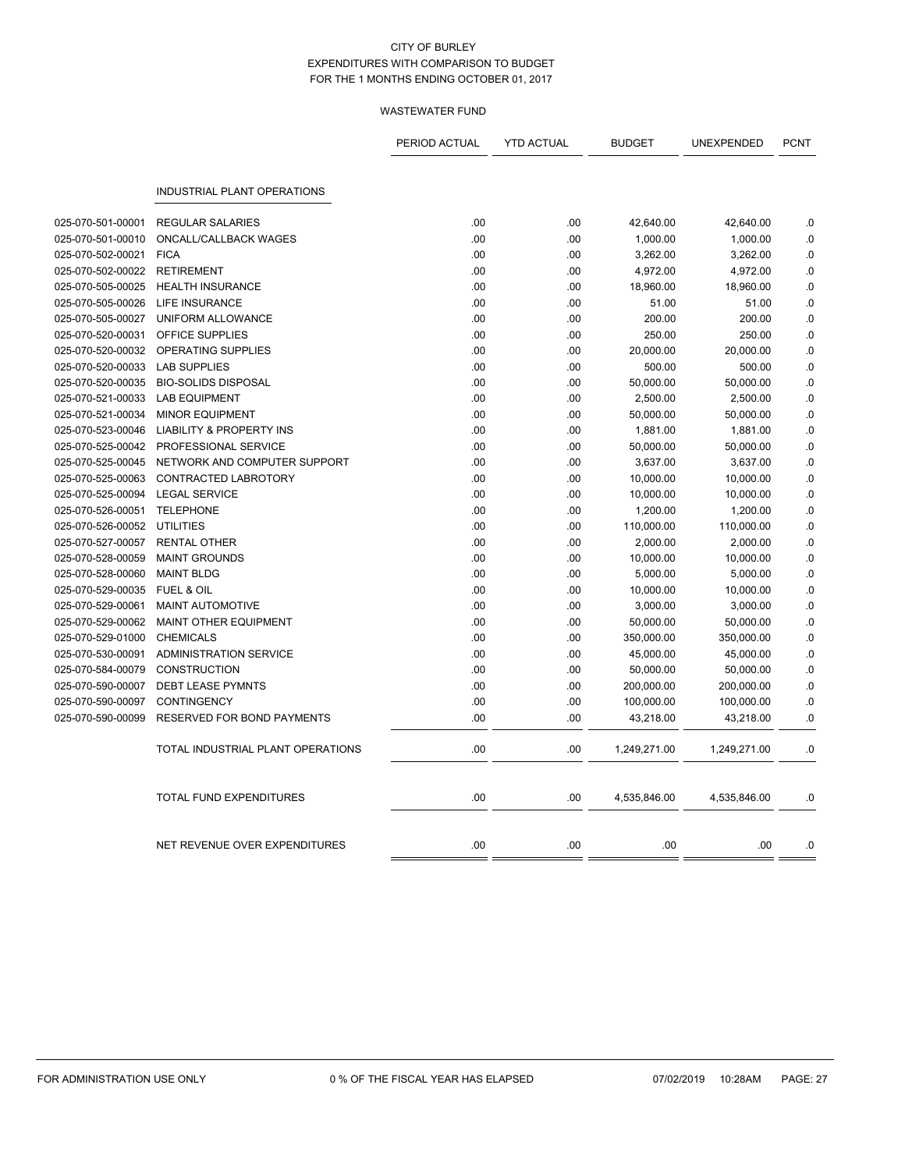|                   |                                     | PERIOD ACTUAL | <b>YTD ACTUAL</b> | <b>BUDGET</b> | UNEXPENDED   | <b>PCNT</b> |
|-------------------|-------------------------------------|---------------|-------------------|---------------|--------------|-------------|
|                   | <b>INDUSTRIAL PLANT OPERATIONS</b>  |               |                   |               |              |             |
| 025-070-501-00001 | <b>REGULAR SALARIES</b>             | .00           | .00               | 42,640.00     | 42,640.00    | .0          |
| 025-070-501-00010 | ONCALL/CALLBACK WAGES               | .00           | .00               | 1,000.00      | 1,000.00     | .0          |
| 025-070-502-00021 | <b>FICA</b>                         | .00           | .00               | 3,262.00      | 3,262.00     | .0          |
| 025-070-502-00022 | <b>RETIREMENT</b>                   | .00           | .00               | 4,972.00      | 4,972.00     | 0.0         |
| 025-070-505-00025 | <b>HEALTH INSURANCE</b>             | .00           | .00               | 18,960.00     | 18,960.00    | .0          |
| 025-070-505-00026 | LIFE INSURANCE                      | .00           | .00               | 51.00         | 51.00        | .0          |
| 025-070-505-00027 | UNIFORM ALLOWANCE                   | .00           | .00               | 200.00        | 200.00       | 0.0         |
| 025-070-520-00031 | <b>OFFICE SUPPLIES</b>              | .00           | .00               | 250.00        | 250.00       | .0          |
| 025-070-520-00032 | OPERATING SUPPLIES                  | .00           | .00               | 20,000.00     | 20,000.00    | $0.$        |
| 025-070-520-00033 | <b>LAB SUPPLIES</b>                 | .00           | .00               | 500.00        | 500.00       | .0          |
| 025-070-520-00035 | <b>BIO-SOLIDS DISPOSAL</b>          | .00           | .00               | 50,000.00     | 50,000.00    | .0          |
| 025-070-521-00033 | <b>LAB EQUIPMENT</b>                | .00           | .00               | 2,500.00      | 2,500.00     | $0.$        |
| 025-070-521-00034 | <b>MINOR EQUIPMENT</b>              | .00           | .00               | 50,000.00     | 50,000.00    | .0          |
| 025-070-523-00046 | <b>LIABILITY &amp; PROPERTY INS</b> | .00           | .00               | 1,881.00      | 1,881.00     | .0          |
| 025-070-525-00042 | PROFESSIONAL SERVICE                | .00           | .00               | 50,000.00     | 50,000.00    | .0          |
| 025-070-525-00045 | NETWORK AND COMPUTER SUPPORT        | .00           | .00               | 3,637.00      | 3,637.00     | .0          |
| 025-070-525-00063 | CONTRACTED LABROTORY                | .00           | .00               | 10,000.00     | 10,000.00    | .0          |
| 025-070-525-00094 | <b>LEGAL SERVICE</b>                | .00           | .00               | 10,000.00     | 10,000.00    | .0          |
| 025-070-526-00051 | <b>TELEPHONE</b>                    | .00           | .00               | 1,200.00      | 1,200.00     | .0          |
| 025-070-526-00052 | <b>UTILITIES</b>                    | .00           | .00               | 110,000.00    | 110,000.00   | 0.0         |
| 025-070-527-00057 | <b>RENTAL OTHER</b>                 | .00           | .00               | 2,000.00      | 2,000.00     | .0          |
| 025-070-528-00059 | <b>MAINT GROUNDS</b>                | .00           | .00               | 10,000.00     | 10,000.00    | .0          |
| 025-070-528-00060 | <b>MAINT BLDG</b>                   | .00           | .00               | 5,000.00      | 5,000.00     | .0          |
| 025-070-529-00035 | <b>FUEL &amp; OIL</b>               | .00           | .00               | 10,000.00     | 10,000.00    | .0          |
| 025-070-529-00061 | <b>MAINT AUTOMOTIVE</b>             | .00           | .00               | 3,000.00      | 3,000.00     | .0          |
| 025-070-529-00062 | MAINT OTHER EQUIPMENT               | .00           | .00               | 50,000.00     | 50,000.00    | .0          |
| 025-070-529-01000 | <b>CHEMICALS</b>                    | .00           | .00               | 350,000.00    | 350,000.00   | .0          |
| 025-070-530-00091 | <b>ADMINISTRATION SERVICE</b>       | .00           | .00               | 45,000.00     | 45,000.00    | .0          |
| 025-070-584-00079 | <b>CONSTRUCTION</b>                 | .00           | .00               | 50,000.00     | 50,000.00    | .0          |
| 025-070-590-00007 | <b>DEBT LEASE PYMNTS</b>            | .00           | .00               | 200,000.00    | 200,000.00   | .0          |
| 025-070-590-00097 | <b>CONTINGENCY</b>                  | .00           | .00               | 100,000.00    | 100,000.00   | $0.$        |
| 025-070-590-00099 | RESERVED FOR BOND PAYMENTS          | .00           | .00               | 43,218.00     | 43,218.00    | .0          |
|                   | TOTAL INDUSTRIAL PLANT OPERATIONS   | .00           | .00               | 1,249,271.00  | 1,249,271.00 | .0          |
|                   | TOTAL FUND EXPENDITURES             | .00           | .00               | 4,535,846.00  | 4,535,846.00 | .0          |
|                   | NET REVENUE OVER EXPENDITURES       | .00           | .00               | .00           | .00          | .0          |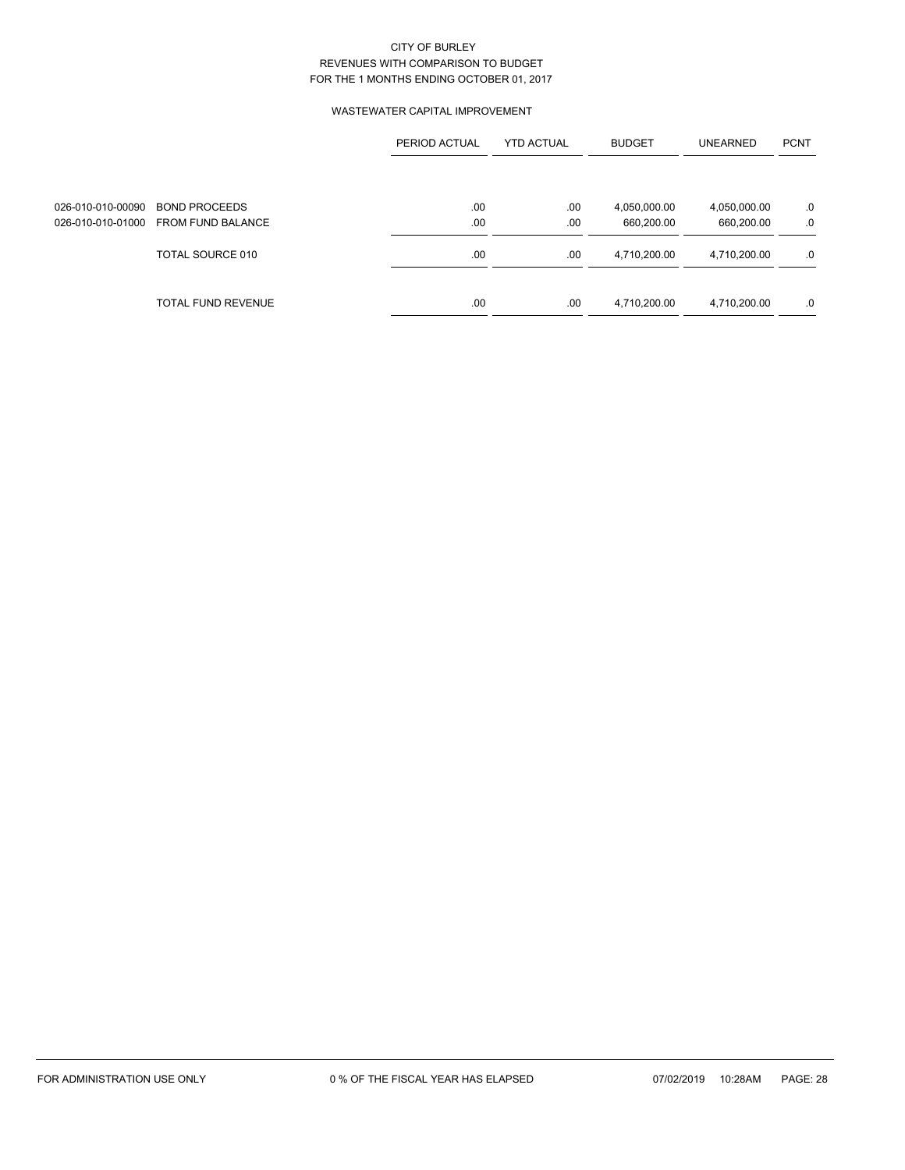### WASTEWATER CAPITAL IMPROVEMENT

|                   |                           | PERIOD ACTUAL | <b>YTD ACTUAL</b> | <b>BUDGET</b> | <b>UNEARNED</b> | <b>PCNT</b> |
|-------------------|---------------------------|---------------|-------------------|---------------|-----------------|-------------|
|                   |                           |               |                   |               |                 |             |
| 026-010-010-00090 | <b>BOND PROCEEDS</b>      | .00           | .00               | 4,050,000.00  | 4,050,000.00    | .0          |
| 026-010-010-01000 | <b>FROM FUND BALANCE</b>  | .00           | .00               | 660,200.00    | 660,200.00      | .0          |
|                   | TOTAL SOURCE 010          | .00           | .00               | 4,710,200.00  | 4,710,200.00    | .0          |
|                   | <b>TOTAL FUND REVENUE</b> | .00           | .00               | 4,710,200.00  | 4,710,200.00    | .0          |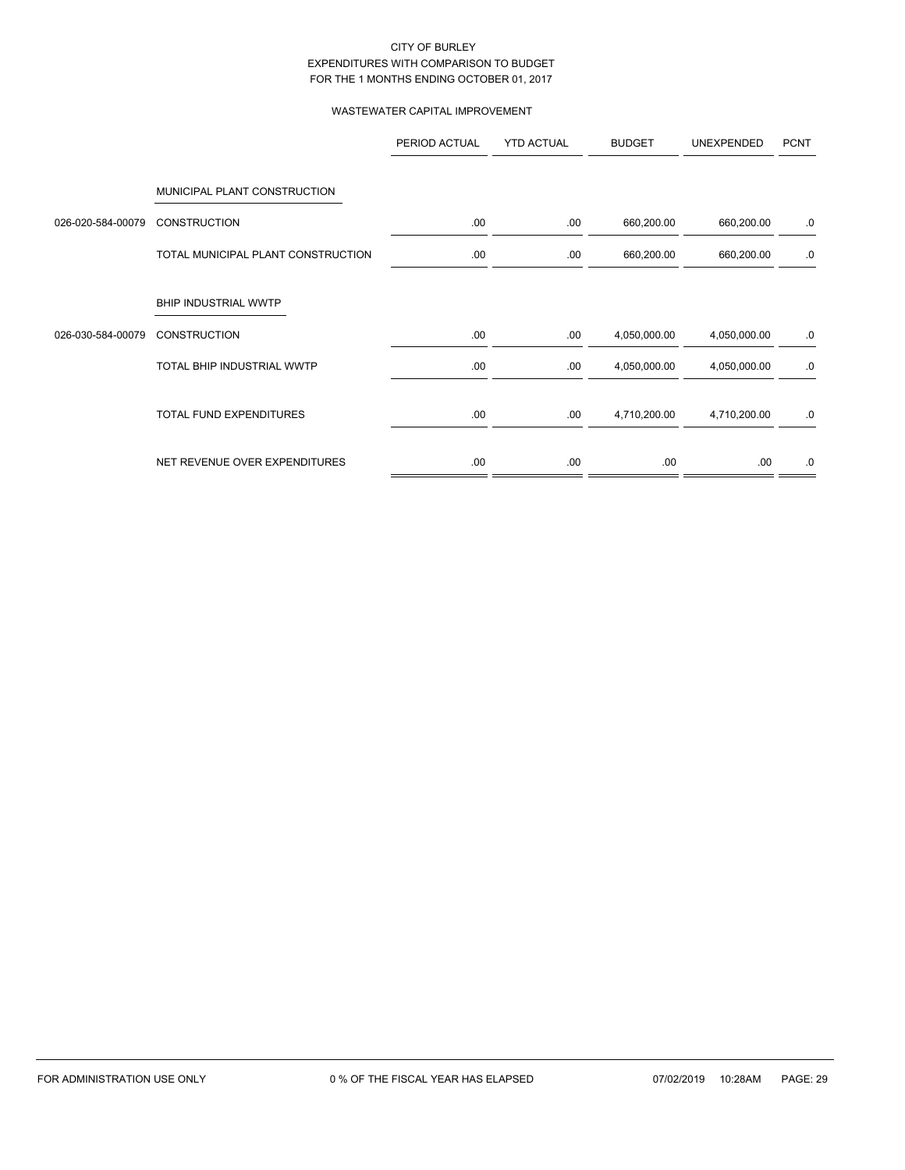### WASTEWATER CAPITAL IMPROVEMENT

|                   |                                    | PERIOD ACTUAL | <b>YTD ACTUAL</b> | <b>BUDGET</b> | <b>UNEXPENDED</b> | <b>PCNT</b> |
|-------------------|------------------------------------|---------------|-------------------|---------------|-------------------|-------------|
|                   |                                    |               |                   |               |                   |             |
|                   | MUNICIPAL PLANT CONSTRUCTION       |               |                   |               |                   |             |
| 026-020-584-00079 | <b>CONSTRUCTION</b>                | .00.          | .00.              | 660,200.00    | 660,200.00        | .0          |
|                   | TOTAL MUNICIPAL PLANT CONSTRUCTION | .00.          | .00.              | 660,200.00    | 660,200.00        | .0          |
|                   | BHIP INDUSTRIAL WWTP               |               |                   |               |                   |             |
| 026-030-584-00079 | <b>CONSTRUCTION</b>                | .00.          | .00.              | 4,050,000.00  | 4,050,000.00      | .0          |
|                   | TOTAL BHIP INDUSTRIAL WWTP         | .00.          | .00.              | 4,050,000.00  | 4,050,000.00      | .0          |
|                   | TOTAL FUND EXPENDITURES            | .00.          | .00.              | 4,710,200.00  | 4,710,200.00      | .0          |
|                   | NET REVENUE OVER EXPENDITURES      | .00.          | .00.              | .00.          | .00.              | .0          |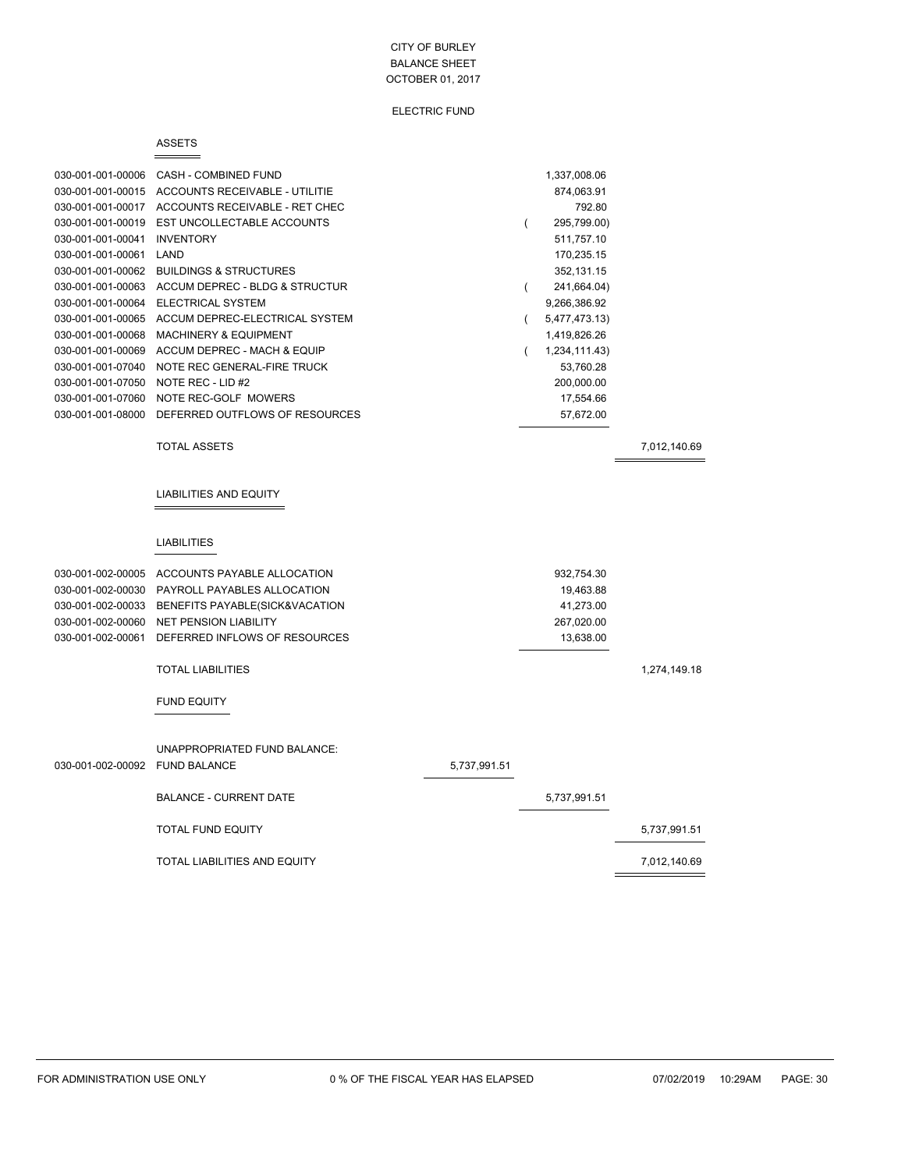#### ELECTRIC FUND

#### ASSETS

 $=$ 

| 030-001-001-00006 | CASH - COMBINED FUND              | 1,337,008.06  |  |
|-------------------|-----------------------------------|---------------|--|
| 030-001-001-00015 | ACCOUNTS RECEIVABLE - UTILITIE    | 874,063.91    |  |
| 030-001-001-00017 | ACCOUNTS RECEIVABLE - RET CHEC    | 792.80        |  |
| 030-001-001-00019 | EST UNCOLLECTABLE ACCOUNTS        | 295,799.00)   |  |
| 030-001-001-00041 | <b>INVENTORY</b>                  | 511,757.10    |  |
| 030-001-001-00061 | LAND                              | 170,235.15    |  |
| 030-001-001-00062 | <b>BUILDINGS &amp; STRUCTURES</b> | 352,131.15    |  |
| 030-001-001-00063 | ACCUM DEPREC - BLDG & STRUCTUR    | 241,664.04)   |  |
| 030-001-001-00064 | ELECTRICAL SYSTEM                 | 9,266,386.92  |  |
| 030-001-001-00065 | ACCUM DEPREC-ELECTRICAL SYSTEM    | 5,477,473.13) |  |
| 030-001-001-00068 | <b>MACHINERY &amp; EQUIPMENT</b>  | 1,419,826.26  |  |
| 030-001-001-00069 | ACCUM DEPREC - MACH & EQUIP       | 1,234,111.43) |  |
| 030-001-001-07040 | NOTE REC GENERAL-FIRE TRUCK       | 53,760.28     |  |
| 030-001-001-07050 | NOTE REC - LID #2                 | 200.000.00    |  |
| 030-001-001-07060 | NOTE REC-GOLF MOWERS              | 17,554.66     |  |
| 030-001-001-08000 | DEFERRED OUTFLOWS OF RESOURCES    | 57,672.00     |  |
|                   |                                   |               |  |

TOTAL ASSETS 7,012,140.69

#### LIABILITIES AND EQUITY

#### LIABILITIES

| 030-001-002-00005 | ACCOUNTS PAYABLE ALLOCATION                         |              | 932,754.30   |              |
|-------------------|-----------------------------------------------------|--------------|--------------|--------------|
| 030-001-002-00030 | PAYROLL PAYABLES ALLOCATION                         |              | 19,463.88    |              |
| 030-001-002-00033 | BENEFITS PAYABLE(SICK&VACATION                      |              | 41,273.00    |              |
| 030-001-002-00060 | <b>NET PENSION LIABILITY</b>                        |              | 267,020.00   |              |
| 030-001-002-00061 | DEFERRED INFLOWS OF RESOURCES                       |              | 13,638.00    |              |
|                   | <b>TOTAL LIABILITIES</b>                            |              |              | 1,274,149.18 |
|                   | <b>FUND EQUITY</b>                                  |              |              |              |
| 030-001-002-00092 | UNAPPROPRIATED FUND BALANCE:<br><b>FUND BALANCE</b> | 5,737,991.51 |              |              |
|                   | <b>BALANCE - CURRENT DATE</b>                       |              | 5,737,991.51 |              |
|                   | <b>TOTAL FUND EQUITY</b>                            |              |              | 5,737,991.51 |
|                   | <b>TOTAL LIABILITIES AND EQUITY</b>                 |              |              | 7,012,140.69 |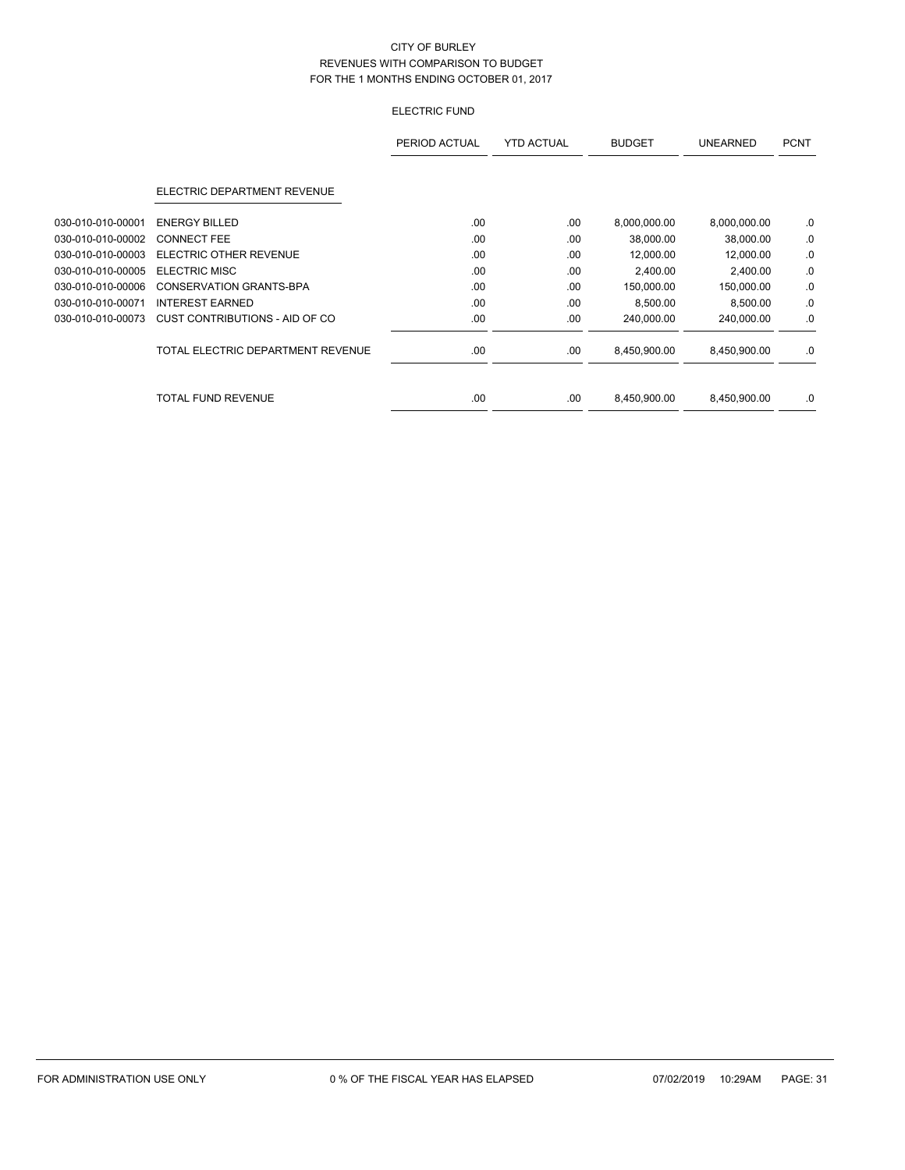## ELECTRIC FUND

|                   |                                   | PERIOD ACTUAL | <b>YTD ACTUAL</b> | <b>BUDGET</b> | <b>UNEARNED</b> | <b>PCNT</b> |
|-------------------|-----------------------------------|---------------|-------------------|---------------|-----------------|-------------|
|                   | ELECTRIC DEPARTMENT REVENUE       |               |                   |               |                 |             |
| 030-010-010-00001 | <b>ENERGY BILLED</b>              | .00           | .00               | 8,000,000.00  | 8,000,000.00    | .0          |
| 030-010-010-00002 | <b>CONNECT FEE</b>                | .00           | .00               | 38,000.00     | 38,000.00       | .0          |
| 030-010-010-00003 | <b>ELECTRIC OTHER REVENUE</b>     | .00           | .00               | 12,000.00     | 12,000.00       | .0          |
| 030-010-010-00005 | <b>ELECTRIC MISC</b>              | .00           | .00               | 2,400.00      | 2,400.00        | .0          |
| 030-010-010-00006 | CONSERVATION GRANTS-BPA           | .00           | .00               | 150,000.00    | 150,000.00      | .0          |
| 030-010-010-00071 | <b>INTEREST EARNED</b>            | .00           | .00               | 8,500.00      | 8,500.00        | .0          |
| 030-010-010-00073 | CUST CONTRIBUTIONS - AID OF CO    | .00.          | .00               | 240,000.00    | 240,000.00      | .0          |
|                   | TOTAL ELECTRIC DEPARTMENT REVENUE | .00           | .00               | 8,450,900.00  | 8,450,900.00    | .0          |
|                   | <b>TOTAL FUND REVENUE</b>         | .00           | .00               | 8,450,900.00  | 8,450,900.00    | .0          |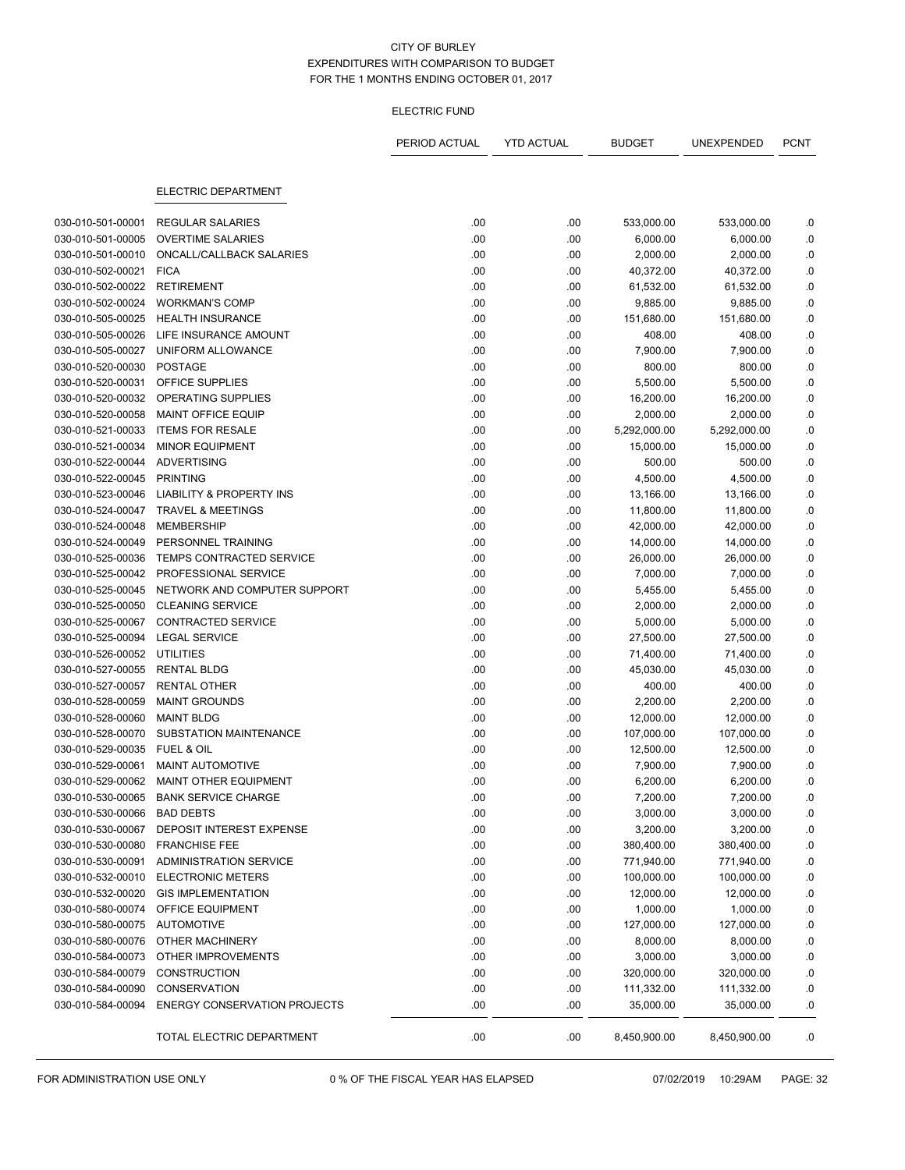#### ELECTRIC FUND

|                   |                                                       | PERIOD ACTUAL | <b>YTD ACTUAL</b> | <b>BUDGET</b>         | UNEXPENDED   | <b>PCNT</b>     |
|-------------------|-------------------------------------------------------|---------------|-------------------|-----------------------|--------------|-----------------|
|                   | ELECTRIC DEPARTMENT                                   |               |                   |                       |              |                 |
| 030-010-501-00001 | <b>REGULAR SALARIES</b>                               | .00           | .00               | 533,000.00            | 533,000.00   | .0              |
| 030-010-501-00005 | <b>OVERTIME SALARIES</b>                              | .00           | .00               | 6,000.00              | 6,000.00     | .0              |
| 030-010-501-00010 | ONCALL/CALLBACK SALARIES                              | .00           | .00               | 2,000.00              | 2,000.00     | ${\bf .0}$      |
| 030-010-502-00021 | <b>FICA</b>                                           | .00           | .00               | 40,372.00             | 40,372.00    | .0              |
| 030-010-502-00022 | <b>RETIREMENT</b>                                     | .00           | .00               | 61,532.00             | 61,532.00    | .0              |
| 030-010-502-00024 | <b>WORKMAN'S COMP</b>                                 | .00           | .00               | 9,885.00              | 9,885.00     | .0              |
| 030-010-505-00025 | <b>HEALTH INSURANCE</b>                               | .00           | .00               | 151,680.00            | 151,680.00   | $\cdot$ 0       |
| 030-010-505-00026 | LIFE INSURANCE AMOUNT                                 | .00           | .00               | 408.00                | 408.00       | .0              |
| 030-010-505-00027 | UNIFORM ALLOWANCE                                     | .00           | .00               | 7,900.00              | 7,900.00     | .0              |
| 030-010-520-00030 | <b>POSTAGE</b>                                        | .00           | .00               | 800.00                | 800.00       |                 |
| 030-010-520-00031 | OFFICE SUPPLIES                                       | .00           |                   |                       | 5,500.00     | .0              |
| 030-010-520-00032 | OPERATING SUPPLIES                                    | .00           | .00<br>.00        | 5,500.00<br>16,200.00 | 16,200.00    | .0<br>$\cdot$ 0 |
| 030-010-520-00058 | <b>MAINT OFFICE EQUIP</b>                             | .00           | .00               | 2,000.00              | 2,000.00     | .0              |
| 030-010-521-00033 | <b>ITEMS FOR RESALE</b>                               | .00           |                   | 5,292,000.00          | 5,292,000.00 | .0              |
|                   |                                                       |               | .00               |                       |              |                 |
| 030-010-521-00034 | <b>MINOR EQUIPMENT</b>                                | .00           | .00               | 15,000.00             | 15,000.00    | .0              |
| 030-010-522-00044 | <b>ADVERTISING</b>                                    | .00           | .00               | 500.00                | 500.00       | .0              |
| 030-010-522-00045 | <b>PRINTING</b>                                       | .00           | .00               | 4,500.00              | 4,500.00     | .0              |
| 030-010-523-00046 | <b>LIABILITY &amp; PROPERTY INS</b>                   | .00           | .00               | 13,166.00             | 13,166.00    | .0              |
| 030-010-524-00047 | <b>TRAVEL &amp; MEETINGS</b>                          | .00           | .00               | 11,800.00             | 11,800.00    | .0              |
| 030-010-524-00048 | <b>MEMBERSHIP</b>                                     | .00           | .00               | 42,000.00             | 42,000.00    | .0              |
| 030-010-524-00049 | PERSONNEL TRAINING<br><b>TEMPS CONTRACTED SERVICE</b> | .00           | .00               | 14,000.00             | 14,000.00    | $\cdot$ 0       |
| 030-010-525-00036 |                                                       | .00           | .00               | 26,000.00             | 26,000.00    | .0              |
| 030-010-525-00042 | PROFESSIONAL SERVICE                                  | .00           | .00               | 7,000.00              | 7,000.00     | .0              |
| 030-010-525-00045 | NETWORK AND COMPUTER SUPPORT                          | .00           | .00               | 5,455.00              | 5,455.00     | .0              |
| 030-010-525-00050 | <b>CLEANING SERVICE</b>                               | .00           | .00               | 2,000.00              | 2,000.00     | .0              |
| 030-010-525-00067 | <b>CONTRACTED SERVICE</b>                             | .00           | .00               | 5,000.00              | 5,000.00     | .0              |
| 030-010-525-00094 | <b>LEGAL SERVICE</b>                                  | .00           | .00               | 27,500.00             | 27,500.00    | .0              |
| 030-010-526-00052 | <b>UTILITIES</b>                                      | .00           | .00               | 71,400.00             | 71,400.00    | .0              |
| 030-010-527-00055 | <b>RENTAL BLDG</b>                                    | .00           | .00               | 45,030.00             | 45,030.00    | .0              |
| 030-010-527-00057 | <b>RENTAL OTHER</b>                                   | .00           | .00               | 400.00                | 400.00       | 0.0             |
| 030-010-528-00059 | <b>MAINT GROUNDS</b>                                  | .00           | .00               | 2,200.00              | 2,200.00     | .0              |
| 030-010-528-00060 | <b>MAINT BLDG</b>                                     | .00           | .00               | 12,000.00             | 12,000.00    | .0              |
| 030-010-528-00070 | SUBSTATION MAINTENANCE                                | .00           | .00               | 107,000.00            | 107,000.00   | .0              |
| 030-010-529-00035 | <b>FUEL &amp; OIL</b>                                 | .00           | .00               | 12,500.00             | 12,500.00    | 0.0             |
| 030-010-529-00061 | <b>MAINT AUTOMOTIVE</b>                               | .00           | .00               | 7,900.00              | 7,900.00     | .0              |
| 030-010-529-00062 | MAINT OTHER EQUIPMENT                                 | .00           | .00               | 6,200.00              | 6,200.00     | .0              |
| 030-010-530-00065 | <b>BANK SERVICE CHARGE</b>                            | .00           | .00               | 7,200.00              | 7,200.00     | 0.              |
| 030-010-530-00066 | <b>BAD DEBTS</b>                                      | .00           | .00               | 3,000.00              | 3,000.00     | .0              |
| 030-010-530-00067 | <b>DEPOSIT INTEREST EXPENSE</b>                       | .00           | .00               | 3,200.00              | 3,200.00     | ${\bf .0}$      |
| 030-010-530-00080 | <b>FRANCHISE FEE</b>                                  | .00           | .00               | 380,400.00            | 380,400.00   | .0              |
| 030-010-530-00091 | <b>ADMINISTRATION SERVICE</b>                         | .00           | .00               | 771,940.00            | 771,940.00   | .0              |
| 030-010-532-00010 | <b>ELECTRONIC METERS</b>                              | .00           | .00               | 100,000.00            | 100,000.00   | .0              |
| 030-010-532-00020 | <b>GIS IMPLEMENTATION</b>                             | .00           | .00               | 12,000.00             | 12,000.00    | .0              |
| 030-010-580-00074 | OFFICE EQUIPMENT                                      | .00           | .00               | 1,000.00              | 1,000.00     | .0              |
| 030-010-580-00075 | AUTOMOTIVE                                            | .00           | .00               | 127,000.00            | 127,000.00   | $\cdot$         |
| 030-010-580-00076 | OTHER MACHINERY                                       | .00           | .00               | 8,000.00              | 8,000.00     | .0              |
| 030-010-584-00073 | OTHER IMPROVEMENTS                                    | .00           | .00               | 3,000.00              | 3,000.00     | .0              |
| 030-010-584-00079 | <b>CONSTRUCTION</b>                                   | .00           | .00               | 320,000.00            | 320,000.00   | .0              |
| 030-010-584-00090 | CONSERVATION                                          | .00           | .00.              | 111,332.00            | 111,332.00   | .0              |
| 030-010-584-00094 | <b>ENERGY CONSERVATION PROJECTS</b>                   | .00           | .00               | 35,000.00             | 35,000.00    | .0              |
|                   | TOTAL ELECTRIC DEPARTMENT                             | .00           | .00.              | 8,450,900.00          | 8,450,900.00 | .0              |

FOR ADMINISTRATION USE ONLY 0 % OF THE FISCAL YEAR HAS ELAPSED 07/02/2019 10:29AM PAGE: 32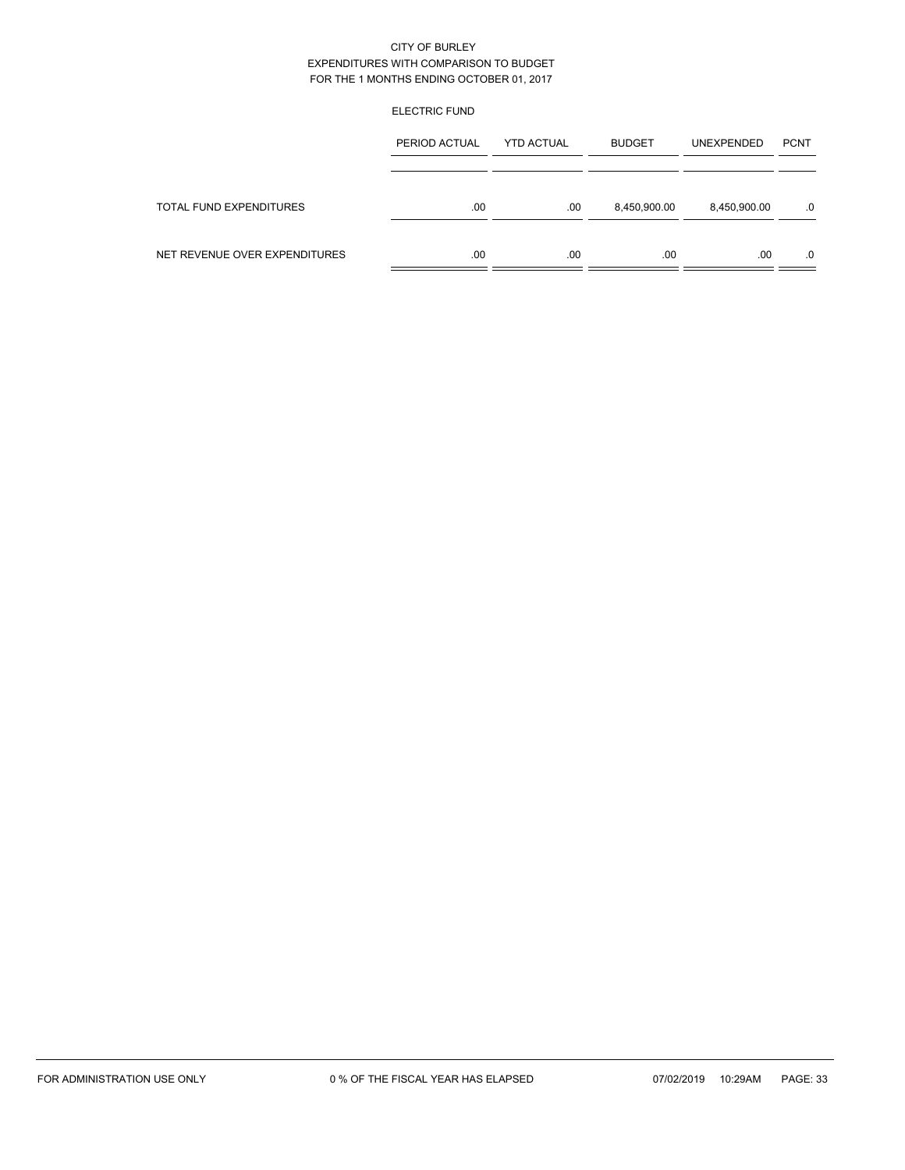### ELECTRIC FUND

|                               | PERIOD ACTUAL | <b>YTD ACTUAL</b> | <b>BUDGET</b> | <b>UNEXPENDED</b> | <b>PCNT</b> |
|-------------------------------|---------------|-------------------|---------------|-------------------|-------------|
| TOTAL FUND EXPENDITURES       | .00           | .00               | 8,450,900.00  | 8,450,900.00      | .0          |
| NET REVENUE OVER EXPENDITURES | .00           | .00               | .00.          | .00               | .0          |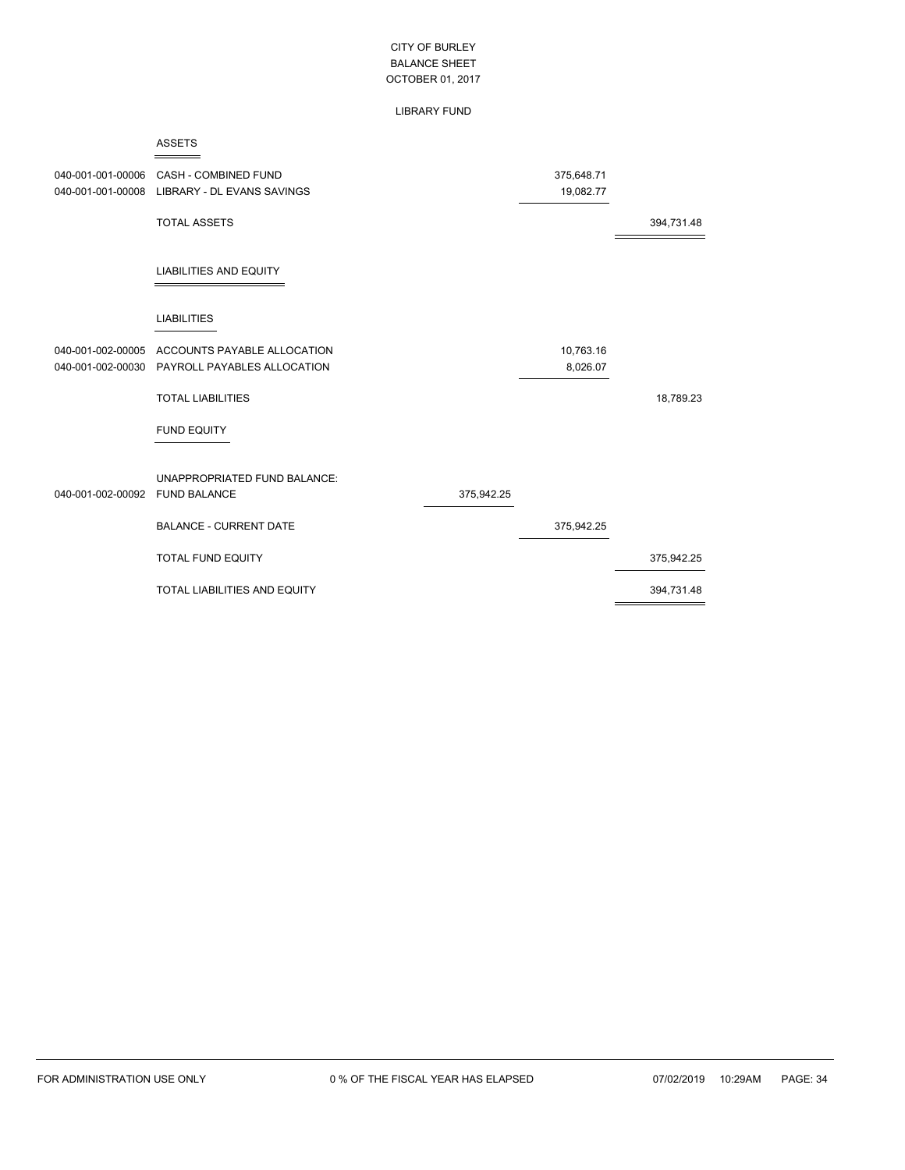#### LIBRARY FUND

|                                        | <b>ASSETS</b>                                              |            |                         |            |
|----------------------------------------|------------------------------------------------------------|------------|-------------------------|------------|
| 040-001-001-00006<br>040-001-001-00008 | CASH - COMBINED FUND<br><b>LIBRARY - DL EVANS SAVINGS</b>  |            | 375,648.71<br>19,082.77 |            |
|                                        | <b>TOTAL ASSETS</b>                                        |            |                         | 394,731.48 |
|                                        | <b>LIABILITIES AND EQUITY</b>                              |            |                         |            |
|                                        | <b>LIABILITIES</b>                                         |            |                         |            |
| 040-001-002-00005<br>040-001-002-00030 | ACCOUNTS PAYABLE ALLOCATION<br>PAYROLL PAYABLES ALLOCATION |            | 10,763.16<br>8,026.07   |            |
|                                        | <b>TOTAL LIABILITIES</b>                                   |            |                         | 18,789.23  |
|                                        | <b>FUND EQUITY</b>                                         |            |                         |            |
| 040-001-002-00092                      | UNAPPROPRIATED FUND BALANCE:<br><b>FUND BALANCE</b>        | 375,942.25 |                         |            |
|                                        | <b>BALANCE - CURRENT DATE</b>                              |            | 375,942.25              |            |
|                                        | <b>TOTAL FUND EQUITY</b>                                   |            |                         | 375,942.25 |
|                                        | TOTAL LIABILITIES AND EQUITY                               |            |                         | 394,731.48 |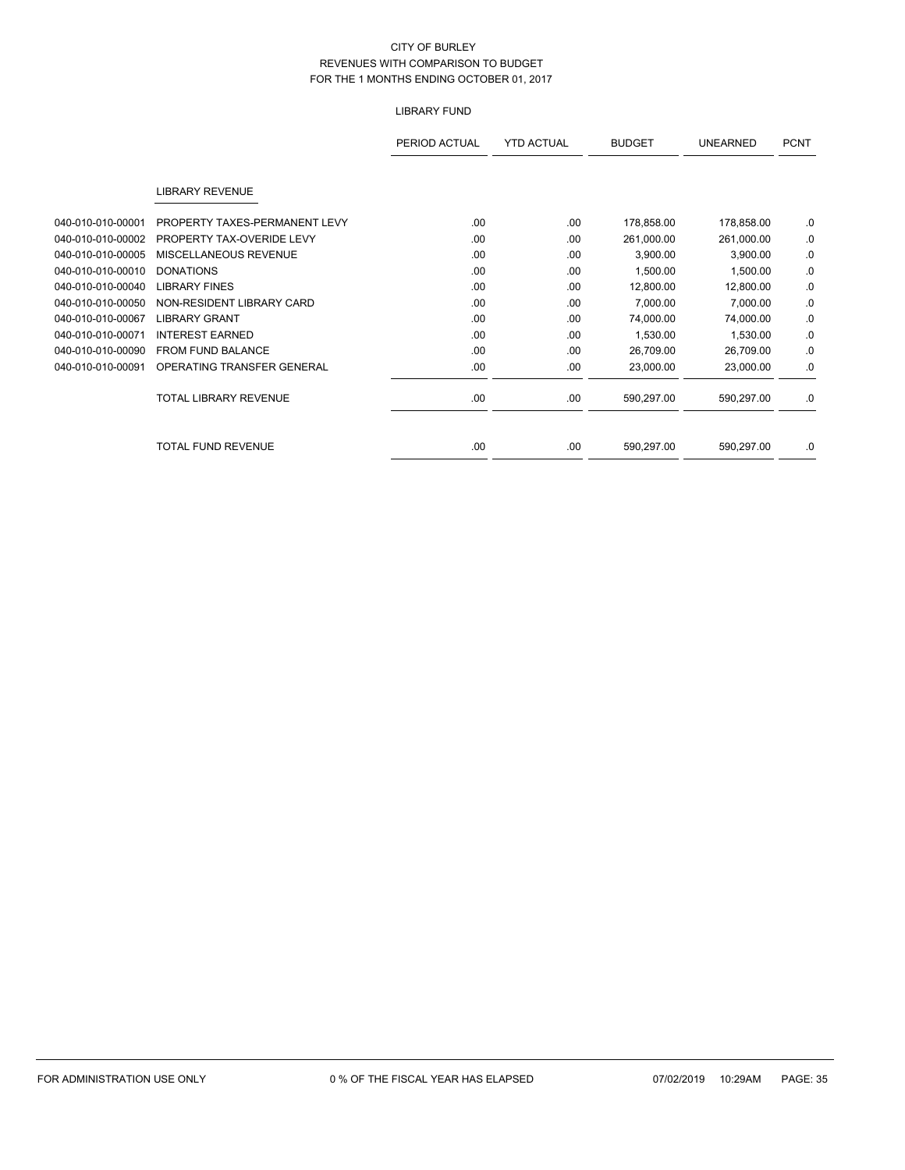# LIBRARY FUND

|                   |                               | PERIOD ACTUAL | <b>YTD ACTUAL</b> | <b>BUDGET</b> | <b>UNEARNED</b> | <b>PCNT</b> |
|-------------------|-------------------------------|---------------|-------------------|---------------|-----------------|-------------|
|                   | <b>LIBRARY REVENUE</b>        |               |                   |               |                 |             |
| 040-010-010-00001 | PROPERTY TAXES-PERMANENT LEVY | .00           | .00               | 178,858.00    | 178,858.00      | .0          |
| 040-010-010-00002 | PROPERTY TAX-OVERIDE LEVY     | .00.          | .00               | 261,000.00    | 261,000.00      | .0          |
| 040-010-010-00005 | MISCELLANEOUS REVENUE         | .00           | .00               | 3,900.00      | 3,900.00        | .0          |
| 040-010-010-00010 | <b>DONATIONS</b>              | .00           | .00               | 1,500.00      | 1,500.00        | .0          |
| 040-010-010-00040 | <b>LIBRARY FINES</b>          | .00.          | .00               | 12,800.00     | 12,800.00       | .0          |
| 040-010-010-00050 | NON-RESIDENT LIBRARY CARD     | .00           | .00               | 7,000.00      | 7,000.00        | .0          |
| 040-010-010-00067 | <b>LIBRARY GRANT</b>          | .00           | .00               | 74,000.00     | 74,000.00       | .0          |
| 040-010-010-00071 | <b>INTEREST EARNED</b>        | .00           | .00               | 1,530.00      | 1,530.00        | .0          |
| 040-010-010-00090 | <b>FROM FUND BALANCE</b>      | .00           | .00               | 26,709.00     | 26,709.00       | .0          |
| 040-010-010-00091 | OPERATING TRANSFER GENERAL    | .00           | .00               | 23,000.00     | 23,000.00       | .0          |
|                   | <b>TOTAL LIBRARY REVENUE</b>  | .00.          | .00               | 590,297.00    | 590,297.00      | .0          |
|                   |                               |               |                   |               |                 |             |
|                   | <b>TOTAL FUND REVENUE</b>     | .00           | .00               | 590,297.00    | 590,297.00      | .0          |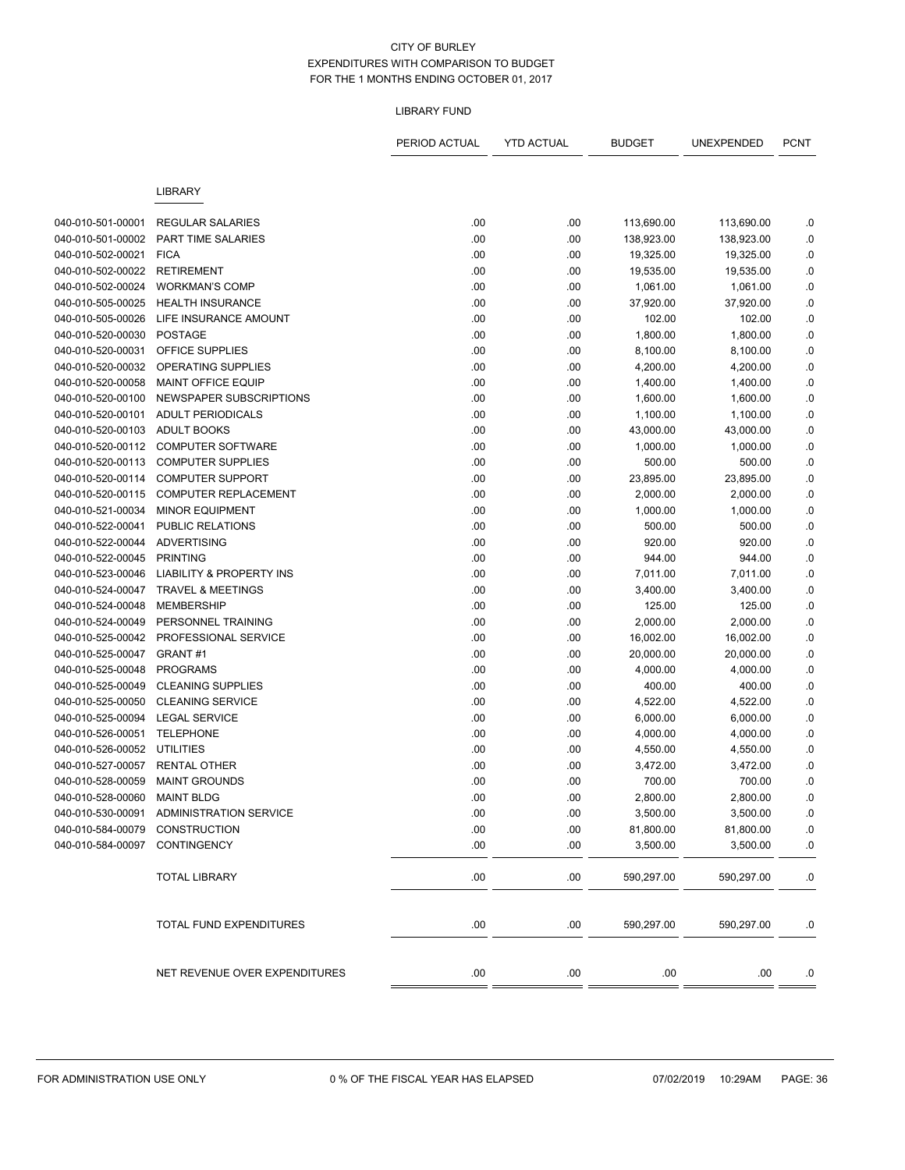# LIBRARY FUND

|                                        |                                                      | PERIOD ACTUAL | <b>YTD ACTUAL</b> | BUDGET              | UNEXPENDED          | <b>PCNT</b> |
|----------------------------------------|------------------------------------------------------|---------------|-------------------|---------------------|---------------------|-------------|
|                                        | <b>LIBRARY</b>                                       |               |                   |                     |                     |             |
|                                        |                                                      |               |                   |                     |                     |             |
| 040-010-501-00001                      | <b>REGULAR SALARIES</b><br><b>PART TIME SALARIES</b> | .00           | .00               | 113,690.00          | 113,690.00          | .0          |
| 040-010-501-00002                      |                                                      | .00           | .00               | 138,923.00          | 138,923.00          | .0          |
| 040-010-502-00021                      | <b>FICA</b><br><b>RETIREMENT</b>                     | .00           | .00               | 19,325.00           | 19,325.00           | .0          |
| 040-010-502-00022<br>040-010-502-00024 | <b>WORKMAN'S COMP</b>                                | .00           | .00               | 19,535.00           | 19,535.00           | .0          |
| 040-010-505-00025                      | <b>HEALTH INSURANCE</b>                              | .00           | .00               | 1,061.00            | 1,061.00            | .0          |
| 040-010-505-00026                      | LIFE INSURANCE AMOUNT                                | .00<br>.00    | .00<br>.00        | 37,920.00<br>102.00 | 37,920.00<br>102.00 | .0<br>.0    |
| 040-010-520-00030                      | <b>POSTAGE</b>                                       | .00           | .00               | 1,800.00            | 1,800.00            | .0          |
| 040-010-520-00031                      | OFFICE SUPPLIES                                      | .00           | .00               | 8,100.00            | 8,100.00            | .0          |
| 040-010-520-00032                      | OPERATING SUPPLIES                                   | .00           | .00               | 4,200.00            | 4,200.00            | .0          |
| 040-010-520-00058                      | MAINT OFFICE EQUIP                                   | .00           | .00               | 1,400.00            | 1,400.00            |             |
| 040-010-520-00100                      | NEWSPAPER SUBSCRIPTIONS                              | .00           | .00               | 1,600.00            | 1,600.00            | .0<br>.0    |
| 040-010-520-00101                      | <b>ADULT PERIODICALS</b>                             | .00           | .00               | 1,100.00            | 1,100.00            | .0          |
| 040-010-520-00103                      | <b>ADULT BOOKS</b>                                   | .00           | .00               | 43,000.00           | 43,000.00           | .0          |
| 040-010-520-00112                      | <b>COMPUTER SOFTWARE</b>                             | .00           | .00               | 1,000.00            | 1,000.00            | .0          |
| 040-010-520-00113                      | <b>COMPUTER SUPPLIES</b>                             | .00           | .00               | 500.00              | 500.00              | $\cdot$ 0   |
| 040-010-520-00114                      | <b>COMPUTER SUPPORT</b>                              | .00           | .00               | 23,895.00           | 23,895.00           | .0          |
| 040-010-520-00115                      | COMPUTER REPLACEMENT                                 | .00           | .00               | 2,000.00            | 2,000.00            | .0          |
| 040-010-521-00034                      | <b>MINOR EQUIPMENT</b>                               | .00           | .00               | 1,000.00            | 1,000.00            | .0          |
| 040-010-522-00041                      | <b>PUBLIC RELATIONS</b>                              | .00           | .00               | 500.00              | 500.00              | .0          |
| 040-010-522-00044                      | <b>ADVERTISING</b>                                   | .00           | .00               | 920.00              | 920.00              | .0          |
| 040-010-522-00045                      | <b>PRINTING</b>                                      | .00           | .00               | 944.00              | 944.00              | 0.0         |
| 040-010-523-00046                      | <b>LIABILITY &amp; PROPERTY INS</b>                  | .00           | .00               | 7,011.00            | 7,011.00            | .0          |
| 040-010-524-00047                      | <b>TRAVEL &amp; MEETINGS</b>                         | .00           | .00               | 3,400.00            | 3,400.00            | 0.0         |
| 040-010-524-00048                      | <b>MEMBERSHIP</b>                                    | .00           | .00               | 125.00              | 125.00              | .0          |
| 040-010-524-00049                      | PERSONNEL TRAINING                                   | .00           | .00               | 2,000.00            | 2,000.00            | $\cdot$ 0   |
| 040-010-525-00042                      | PROFESSIONAL SERVICE                                 | .00           | .00               | 16,002.00           | 16,002.00           | 0.0         |
| 040-010-525-00047                      | GRANT#1                                              | .00           | .00               | 20,000.00           | 20,000.00           | 0.0         |
| 040-010-525-00048                      | <b>PROGRAMS</b>                                      | .00           | .00               | 4,000.00            | 4,000.00            | 0.0         |
| 040-010-525-00049                      | <b>CLEANING SUPPLIES</b>                             | .00           | .00               | 400.00              | 400.00              | .0          |
| 040-010-525-00050                      | <b>CLEANING SERVICE</b>                              | .00           | .00               | 4,522.00            | 4,522.00            | .0          |
| 040-010-525-00094                      | <b>LEGAL SERVICE</b>                                 | .00           | .00               | 6,000.00            | 6,000.00            | 0.0         |
| 040-010-526-00051                      | <b>TELEPHONE</b>                                     | .00           | .00               | 4,000.00            | 4,000.00            | .0          |
| 040-010-526-00052                      | <b>UTILITIES</b>                                     | .00           | .00               | 4,550.00            | 4,550.00            | .0          |
| 040-010-527-00057                      | <b>RENTAL OTHER</b>                                  | .00           | .00               | 3,472.00            | 3,472.00            | .0          |
| 040-010-528-00059                      | <b>MAINT GROUNDS</b>                                 | .00           | .00               | 700.00              | 700.00              | .0          |
| 040-010-528-00060                      | <b>MAINT BLDG</b>                                    | .00           | .00               | 2,800.00            | 2,800.00            | .0          |
| 040-010-530-00091                      | <b>ADMINISTRATION SERVICE</b>                        | .00           | .00               | 3,500.00            | 3,500.00            | $\cdot$ 0   |
| 040-010-584-00079                      | CONSTRUCTION                                         | .00           | .00               | 81,800.00           | 81,800.00           | $\cdot$ 0   |
| 040-010-584-00097                      | <b>CONTINGENCY</b>                                   | .00           | .00               | 3,500.00            | 3,500.00            | .0          |
|                                        | <b>TOTAL LIBRARY</b>                                 | .00           | .00               | 590,297.00          | 590,297.00          | .0          |
|                                        | TOTAL FUND EXPENDITURES                              | .00           | .00               | 590,297.00          | 590,297.00          | .0          |
|                                        | NET REVENUE OVER EXPENDITURES                        | .00           | .00               | .00                 | .00                 | .0          |
|                                        |                                                      |               |                   |                     |                     |             |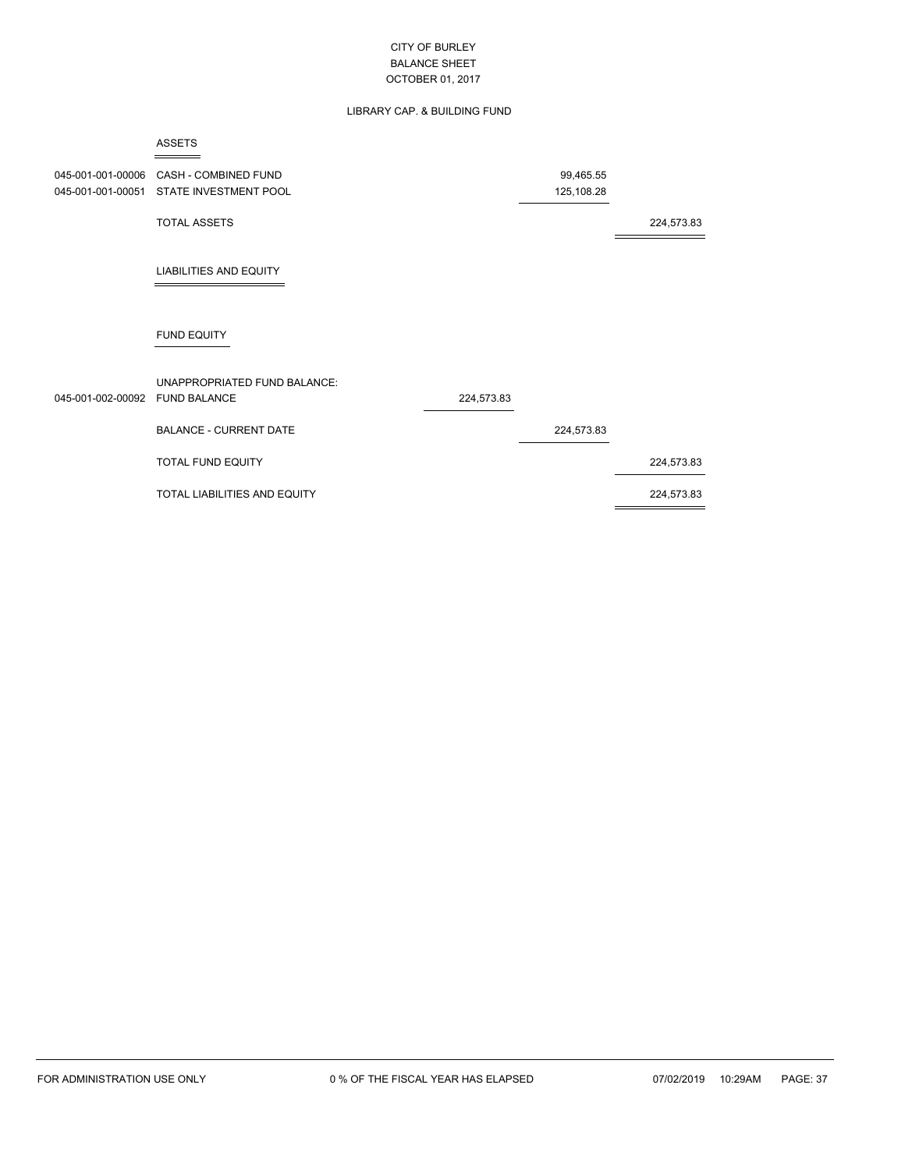### LIBRARY CAP. & BUILDING FUND

|                                        | <b>ASSETS</b>                                        |            |                         |            |
|----------------------------------------|------------------------------------------------------|------------|-------------------------|------------|
| 045-001-001-00006<br>045-001-001-00051 | <b>CASH - COMBINED FUND</b><br>STATE INVESTMENT POOL |            | 99,465.55<br>125,108.28 |            |
|                                        | <b>TOTAL ASSETS</b>                                  |            |                         | 224,573.83 |
|                                        | <b>LIABILITIES AND EQUITY</b>                        |            |                         |            |
|                                        | <b>FUND EQUITY</b>                                   |            |                         |            |
| 045-001-002-00092 FUND BALANCE         | UNAPPROPRIATED FUND BALANCE:                         | 224,573.83 |                         |            |
|                                        | <b>BALANCE - CURRENT DATE</b>                        |            | 224,573.83              |            |
|                                        | <b>TOTAL FUND EQUITY</b>                             |            |                         | 224,573.83 |
|                                        | <b>TOTAL LIABILITIES AND EQUITY</b>                  |            |                         | 224,573.83 |
|                                        |                                                      |            |                         |            |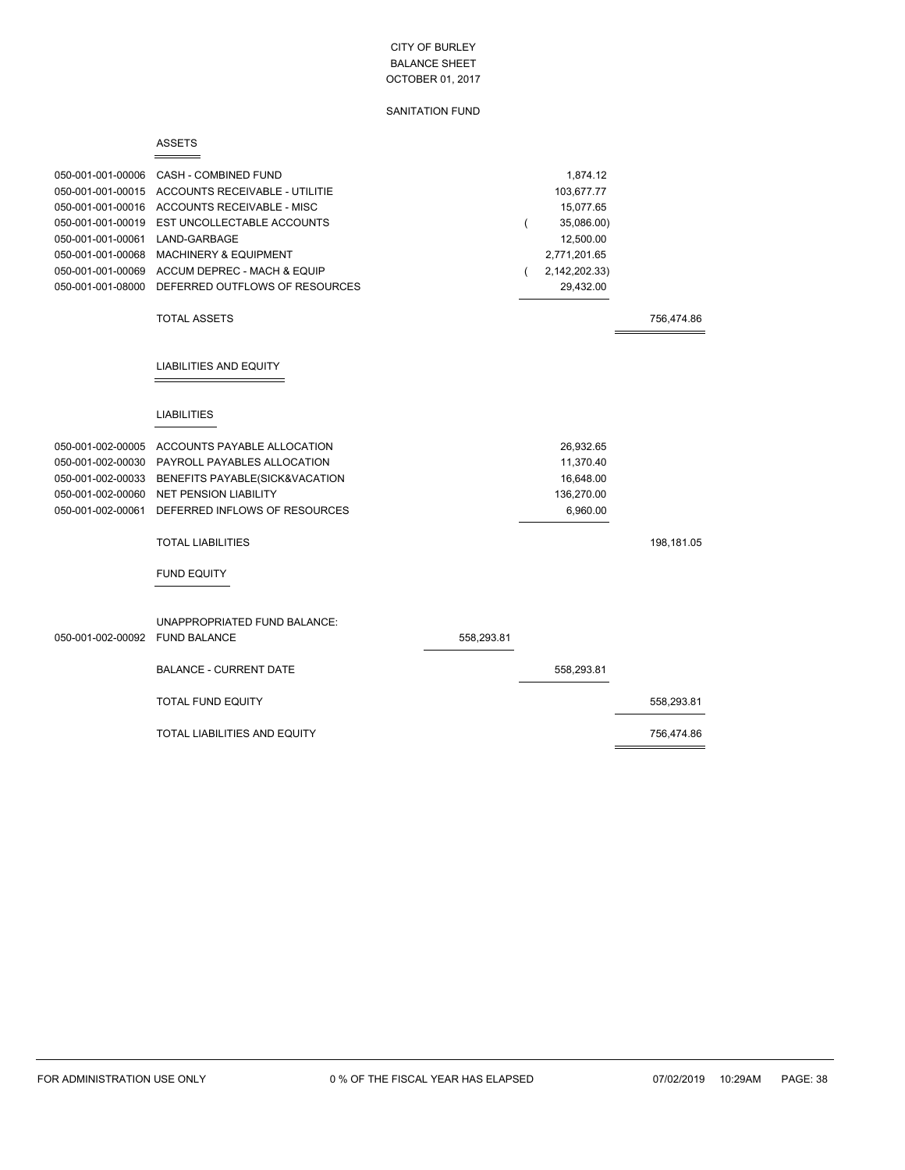SANITATION FUND

|                                                                                                                                                                      | <b>ASSETS</b>                                                                                                                                                                                                                                  |            |   |                                                                                                              |            |
|----------------------------------------------------------------------------------------------------------------------------------------------------------------------|------------------------------------------------------------------------------------------------------------------------------------------------------------------------------------------------------------------------------------------------|------------|---|--------------------------------------------------------------------------------------------------------------|------------|
| 050-001-001-00006<br>050-001-001-00015<br>050-001-001-00016<br>050-001-001-00019<br>050-001-001-00061<br>050-001-001-00068<br>050-001-001-00069<br>050-001-001-08000 | <b>CASH - COMBINED FUND</b><br>ACCOUNTS RECEIVABLE - UTILITIE<br>ACCOUNTS RECEIVABLE - MISC<br>EST UNCOLLECTABLE ACCOUNTS<br>LAND-GARBAGE<br><b>MACHINERY &amp; EQUIPMENT</b><br>ACCUM DEPREC - MACH & EQUIP<br>DEFERRED OUTFLOWS OF RESOURCES |            | ( | 1,874.12<br>103,677.77<br>15,077.65<br>35,086.00)<br>12,500.00<br>2,771,201.65<br>2,142,202.33)<br>29,432.00 |            |
|                                                                                                                                                                      | <b>TOTAL ASSETS</b>                                                                                                                                                                                                                            |            |   |                                                                                                              | 756,474.86 |
|                                                                                                                                                                      | LIABILITIES AND EQUITY                                                                                                                                                                                                                         |            |   |                                                                                                              |            |
|                                                                                                                                                                      | <b>LIABILITIES</b>                                                                                                                                                                                                                             |            |   |                                                                                                              |            |
| 050-001-002-00005<br>050-001-002-00030<br>050-001-002-00033<br>050-001-002-00060<br>050-001-002-00061                                                                | ACCOUNTS PAYABLE ALLOCATION<br>PAYROLL PAYABLES ALLOCATION<br>BENEFITS PAYABLE(SICK&VACATION<br><b>NET PENSION LIABILITY</b><br>DEFERRED INFLOWS OF RESOURCES                                                                                  |            |   | 26,932.65<br>11,370.40<br>16,648.00<br>136,270.00<br>6,960.00                                                |            |
|                                                                                                                                                                      | <b>TOTAL LIABILITIES</b>                                                                                                                                                                                                                       |            |   |                                                                                                              | 198,181.05 |
|                                                                                                                                                                      | <b>FUND EQUITY</b>                                                                                                                                                                                                                             |            |   |                                                                                                              |            |
| 050-001-002-00092 FUND BALANCE                                                                                                                                       | UNAPPROPRIATED FUND BALANCE:                                                                                                                                                                                                                   | 558,293.81 |   |                                                                                                              |            |
|                                                                                                                                                                      | <b>BALANCE - CURRENT DATE</b>                                                                                                                                                                                                                  |            |   | 558,293.81                                                                                                   |            |
|                                                                                                                                                                      | <b>TOTAL FUND EQUITY</b>                                                                                                                                                                                                                       |            |   |                                                                                                              | 558,293.81 |
|                                                                                                                                                                      | <b>TOTAL LIABILITIES AND EQUITY</b>                                                                                                                                                                                                            |            |   |                                                                                                              | 756,474.86 |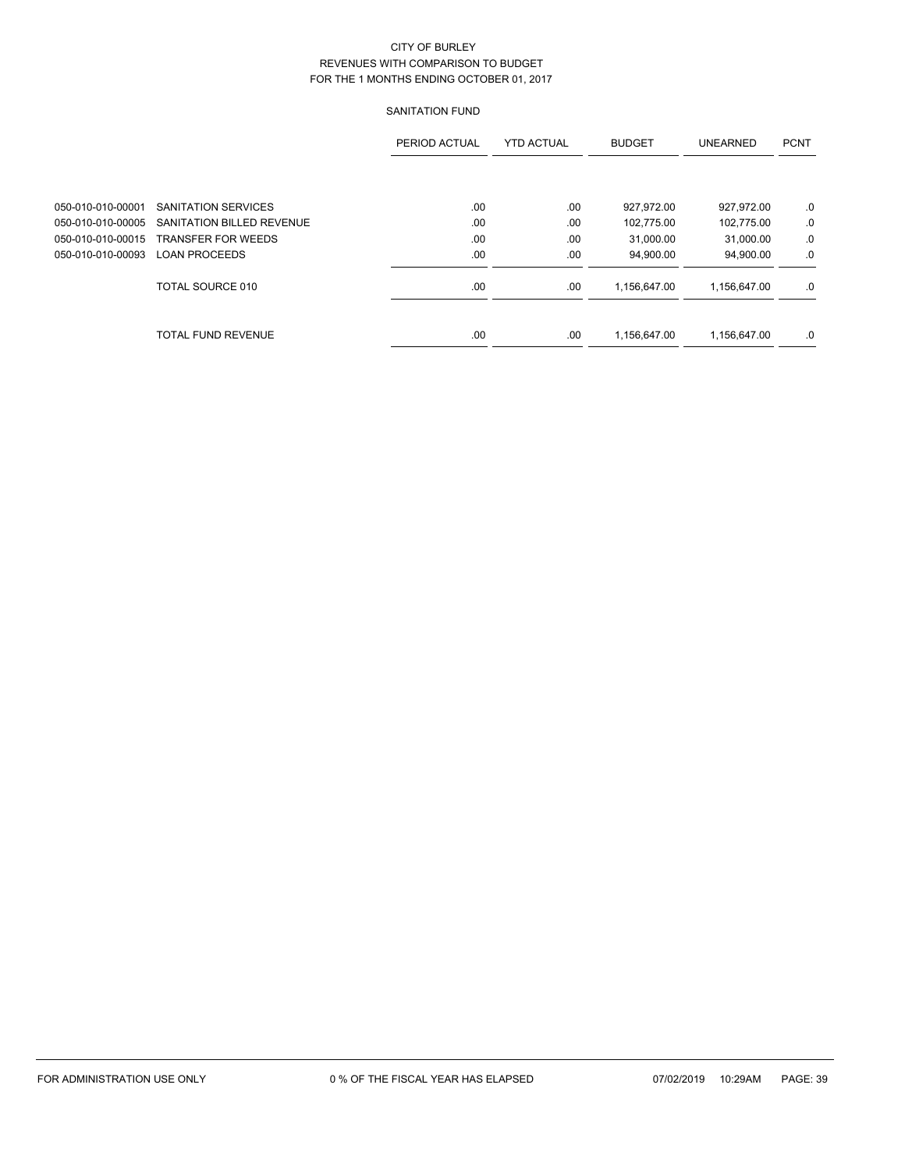# SANITATION FUND

|                   |                           | PERIOD ACTUAL | <b>YTD ACTUAL</b> | <b>BUDGET</b> | <b>UNEARNED</b> | <b>PCNT</b> |
|-------------------|---------------------------|---------------|-------------------|---------------|-----------------|-------------|
|                   |                           |               |                   |               |                 |             |
| 050-010-010-00001 | SANITATION SERVICES       | .00           | .00               | 927,972.00    | 927,972.00      | .0          |
| 050-010-010-00005 | SANITATION BILLED REVENUE | .00           | .00               | 102,775.00    | 102,775.00      | .0          |
| 050-010-010-00015 | <b>TRANSFER FOR WEEDS</b> | .00           | .00               | 31,000.00     | 31,000.00       | .0          |
| 050-010-010-00093 | <b>LOAN PROCEEDS</b>      | .00           | .00               | 94,900.00     | 94,900.00       | .0          |
|                   | TOTAL SOURCE 010          | .00           | .00               | 1,156,647.00  | 1,156,647.00    | .0          |
|                   | TOTAL FUND REVENUE        | .00           | .00               | 1,156,647.00  | 1,156,647.00    | .0          |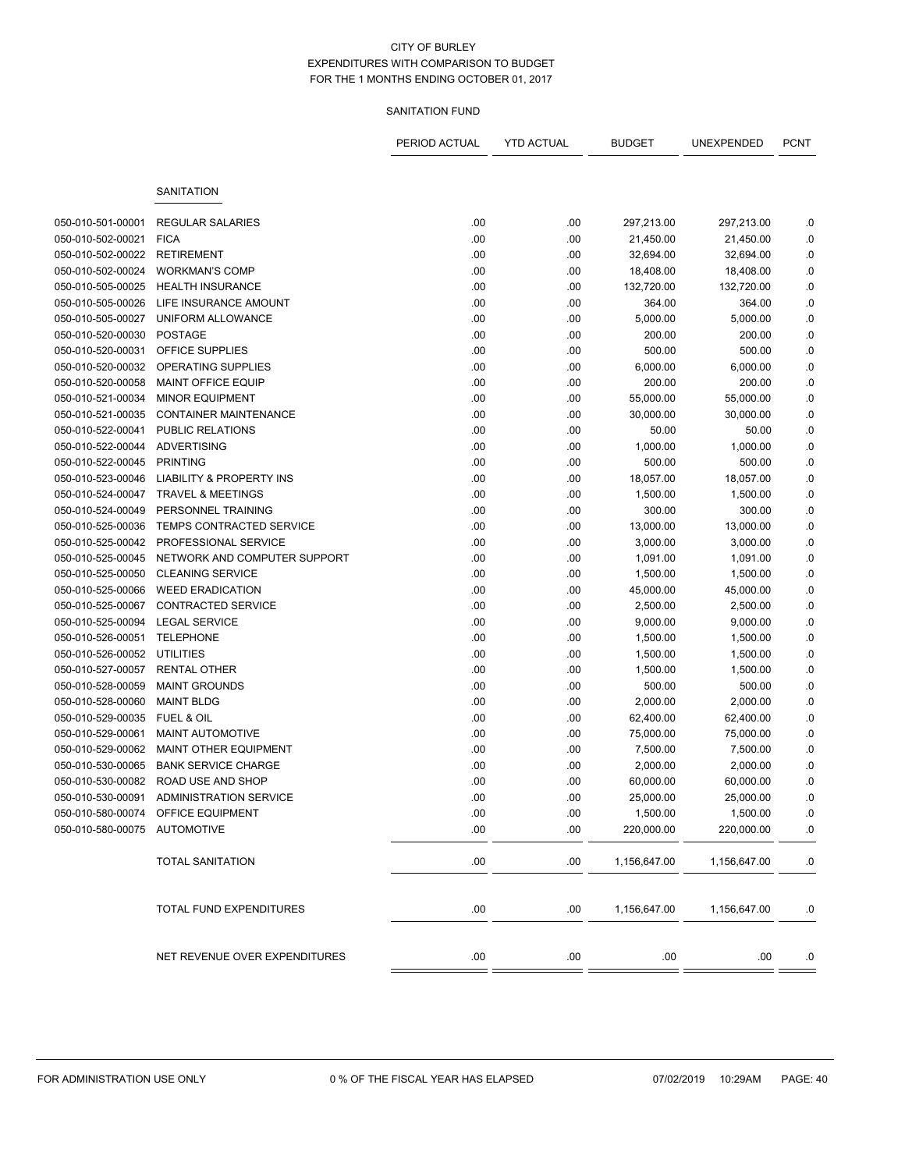### SANITATION FUND

|                   |                                                    | PERIOD ACTUAL | <b>YTD ACTUAL</b> | <b>BUDGET</b> | UNEXPENDED            | <b>PCNT</b> |
|-------------------|----------------------------------------------------|---------------|-------------------|---------------|-----------------------|-------------|
|                   | SANITATION                                         |               |                   |               |                       |             |
| 050-010-501-00001 | <b>REGULAR SALARIES</b>                            | .00           | .00               | 297,213.00    | 297,213.00            | .0          |
| 050-010-502-00021 | <b>FICA</b>                                        | .00           | .00               | 21,450.00     | 21,450.00             | .0          |
| 050-010-502-00022 | <b>RETIREMENT</b>                                  | .00           | .00               | 32,694.00     | 32,694.00             | .0          |
| 050-010-502-00024 | <b>WORKMAN'S COMP</b>                              | .00           | .00               | 18,408.00     | 18,408.00             | $0.$        |
| 050-010-505-00025 | <b>HEALTH INSURANCE</b>                            | .00           | .00               | 132,720.00    | 132,720.00            | .0          |
| 050-010-505-00026 | LIFE INSURANCE AMOUNT                              | .00           | .00               | 364.00        | 364.00                | .0          |
| 050-010-505-00027 | UNIFORM ALLOWANCE                                  | .00           | .00               | 5,000.00      | 5,000.00              | $\cdot$ 0   |
| 050-010-520-00030 | <b>POSTAGE</b>                                     | .00           | .00               | 200.00        | 200.00                | $0.$        |
| 050-010-520-00031 | OFFICE SUPPLIES                                    | .00           | .00               | 500.00        | 500.00                | $0.$        |
| 050-010-520-00032 | OPERATING SUPPLIES                                 | .00           | .00               | 6,000.00      | 6,000.00              | .0          |
| 050-010-520-00058 | <b>MAINT OFFICE EQUIP</b>                          | .00           | .00               | 200.00        | 200.00                | .0          |
| 050-010-521-00034 | <b>MINOR EQUIPMENT</b>                             | .00           | .00               | 55,000.00     | 55,000.00             | $\cdot$ 0   |
| 050-010-521-00035 | <b>CONTAINER MAINTENANCE</b>                       | .00           | .00               | 30,000.00     | 30,000.00             | .0          |
| 050-010-522-00041 | <b>PUBLIC RELATIONS</b>                            | .00           | .00               | 50.00         | 50.00                 | $0.$        |
| 050-010-522-00044 | <b>ADVERTISING</b>                                 | .00           | .00               | 1,000.00      | 1,000.00              | .0          |
| 050-010-522-00045 | <b>PRINTING</b>                                    | .00           | .00               | 500.00        | 500.00                | .0          |
| 050-010-523-00046 | <b>LIABILITY &amp; PROPERTY INS</b>                | .00           | .00               | 18,057.00     | 18,057.00             | $\cdot$ 0   |
| 050-010-524-00047 | <b>TRAVEL &amp; MEETINGS</b>                       | .00           | .00               | 1,500.00      | 1,500.00              | $\cdot$ 0   |
| 050-010-524-00049 | PERSONNEL TRAINING                                 | .00           | .00               | 300.00        | 300.00                | $\cdot$ 0   |
| 050-010-525-00036 | TEMPS CONTRACTED SERVICE                           | .00           |                   |               |                       |             |
|                   | PROFESSIONAL SERVICE                               |               | .00               | 13,000.00     | 13,000.00<br>3,000.00 | .0          |
| 050-010-525-00042 | NETWORK AND COMPUTER SUPPORT                       | .00           | .00               | 3,000.00      |                       | .0<br>$0.$  |
| 050-010-525-00045 |                                                    | .00           | .00               | 1,091.00      | 1,091.00              |             |
| 050-010-525-00050 | <b>CLEANING SERVICE</b><br><b>WEED ERADICATION</b> | .00           | .00               | 1,500.00      | 1,500.00              | .0          |
| 050-010-525-00066 |                                                    | .00           | .00               | 45,000.00     | 45,000.00             | $0.$        |
| 050-010-525-00067 | <b>CONTRACTED SERVICE</b>                          | .00           | .00               | 2,500.00      | 2,500.00              | $\cdot$ 0   |
| 050-010-525-00094 | <b>LEGAL SERVICE</b><br><b>TELEPHONE</b>           | .00           | .00               | 9,000.00      | 9,000.00              | .0          |
| 050-010-526-00051 |                                                    | .00           | .00               | 1,500.00      | 1,500.00              | $0.$        |
| 050-010-526-00052 | UTILITIES                                          | .00           | .00               | 1,500.00      | 1,500.00              | .0          |
| 050-010-527-00057 | <b>RENTAL OTHER</b>                                | .00           | .00               | 1,500.00      | 1,500.00              | $0.$        |
| 050-010-528-00059 | <b>MAINT GROUNDS</b>                               | .00           | .00               | 500.00        | 500.00                | .0          |
| 050-010-528-00060 | <b>MAINT BLDG</b>                                  | .00           | .00               | 2,000.00      | 2,000.00              | .0          |
| 050-010-529-00035 | <b>FUEL &amp; OIL</b>                              | .00           | .00               | 62,400.00     | 62,400.00             | $0.$        |
| 050-010-529-00061 | <b>MAINT AUTOMOTIVE</b>                            | .00           | .00               | 75,000.00     | 75,000.00             | .0          |
| 050-010-529-00062 | <b>MAINT OTHER EQUIPMENT</b>                       | .00           | .00               | 7,500.00      | 7,500.00              | .0          |
| 050-010-530-00065 | <b>BANK SERVICE CHARGE</b>                         | .00           | .00               | 2,000.00      | 2,000.00              | .0          |
| 050-010-530-00082 | ROAD USE AND SHOP                                  | .00           | .00               | 60,000.00     | 60,000.00             | .0          |
| 050-010-530-00091 | <b>ADMINISTRATION SERVICE</b>                      | .00           | .00               | 25,000.00     | 25,000.00             | .0          |
|                   | 050-010-580-00074 OFFICE EQUIPMENT                 | .00           | .00               | 1,500.00      | 1,500.00              | $.0\,$      |
| 050-010-580-00075 | AUTOMOTIVE                                         | .00.          | .00               | 220,000.00    | 220,000.00            | 0.          |
|                   | <b>TOTAL SANITATION</b>                            | .00.          | .00               | 1,156,647.00  | 1,156,647.00          | .0          |
|                   | TOTAL FUND EXPENDITURES                            | .00.          | .00               | 1,156,647.00  | 1,156,647.00          | .0          |
|                   | NET REVENUE OVER EXPENDITURES                      | .00           | .00               | .00           | .00                   | .0          |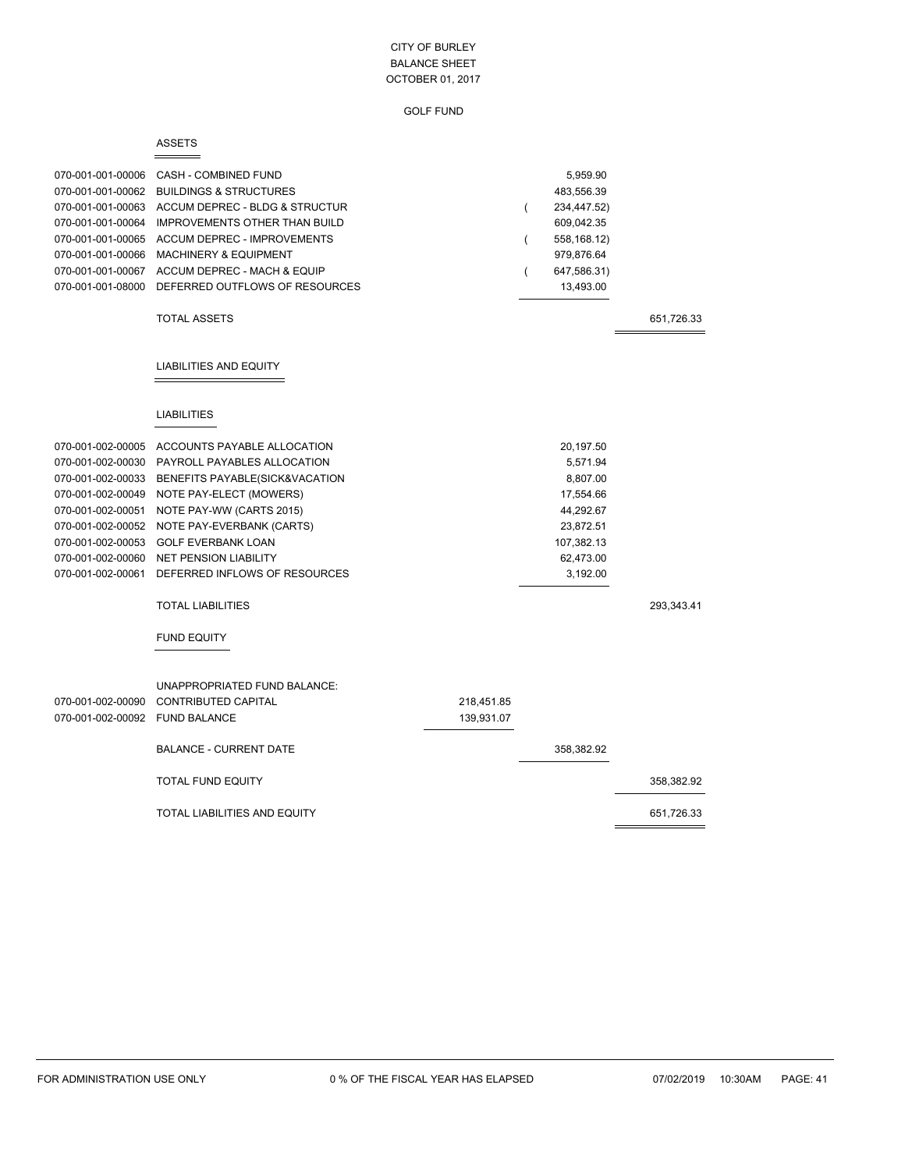|                                | <b>ASSETS</b>                                              |            |   |               |            |
|--------------------------------|------------------------------------------------------------|------------|---|---------------|------------|
| 070-001-001-00006              | CASH - COMBINED FUND                                       |            |   | 5,959.90      |            |
| 070-001-001-00062              | <b>BUILDINGS &amp; STRUCTURES</b>                          |            |   | 483,556.39    |            |
| 070-001-001-00063              | ACCUM DEPREC - BLDG & STRUCTUR                             |            | ( | 234,447.52)   |            |
| 070-001-001-00064              | <b>IMPROVEMENTS OTHER THAN BUILD</b>                       |            |   | 609,042.35    |            |
| 070-001-001-00065              | ACCUM DEPREC - IMPROVEMENTS                                |            | ( | 558, 168. 12) |            |
| 070-001-001-00066              | <b>MACHINERY &amp; EQUIPMENT</b>                           |            |   | 979,876.64    |            |
|                                | 070-001-001-00067 ACCUM DEPREC - MACH & EQUIP              |            |   | 647,586.31)   |            |
| 070-001-001-08000              | DEFERRED OUTFLOWS OF RESOURCES                             |            |   | 13,493.00     |            |
|                                | <b>TOTAL ASSETS</b>                                        |            |   |               | 651,726.33 |
|                                | <b>LIABILITIES AND EQUITY</b>                              |            |   |               |            |
|                                | <b>LIABILITIES</b>                                         |            |   |               |            |
|                                | 070-001-002-00005 ACCOUNTS PAYABLE ALLOCATION              |            |   | 20,197.50     |            |
| 070-001-002-00030              | PAYROLL PAYABLES ALLOCATION                                |            |   | 5,571.94      |            |
| 070-001-002-00033              | BENEFITS PAYABLE(SICK&VACATION                             |            |   | 8,807.00      |            |
| 070-001-002-00049              | NOTE PAY-ELECT (MOWERS)                                    |            |   | 17,554.66     |            |
| 070-001-002-00051              | NOTE PAY-WW (CARTS 2015)                                   |            |   | 44,292.67     |            |
| 070-001-002-00052              | NOTE PAY-EVERBANK (CARTS)                                  |            |   | 23,872.51     |            |
| 070-001-002-00053              | <b>GOLF EVERBANK LOAN</b>                                  |            |   | 107,382.13    |            |
| 070-001-002-00060              | <b>NET PENSION LIABILITY</b>                               |            |   | 62,473.00     |            |
| 070-001-002-00061              | DEFERRED INFLOWS OF RESOURCES                              |            |   | 3,192.00      |            |
|                                | <b>TOTAL LIABILITIES</b>                                   |            |   |               | 293,343.41 |
|                                | <b>FUND EQUITY</b>                                         |            |   |               |            |
| 070-001-002-00090              | UNAPPROPRIATED FUND BALANCE:<br><b>CONTRIBUTED CAPITAL</b> | 218,451.85 |   |               |            |
| 070-001-002-00092 FUND BALANCE |                                                            | 139,931.07 |   |               |            |
|                                | <b>BALANCE - CURRENT DATE</b>                              |            |   | 358,382.92    |            |
|                                | <b>TOTAL FUND EQUITY</b>                                   |            |   |               | 358,382.92 |
|                                | TOTAL LIABILITIES AND EQUITY                               |            |   |               | 651,726.33 |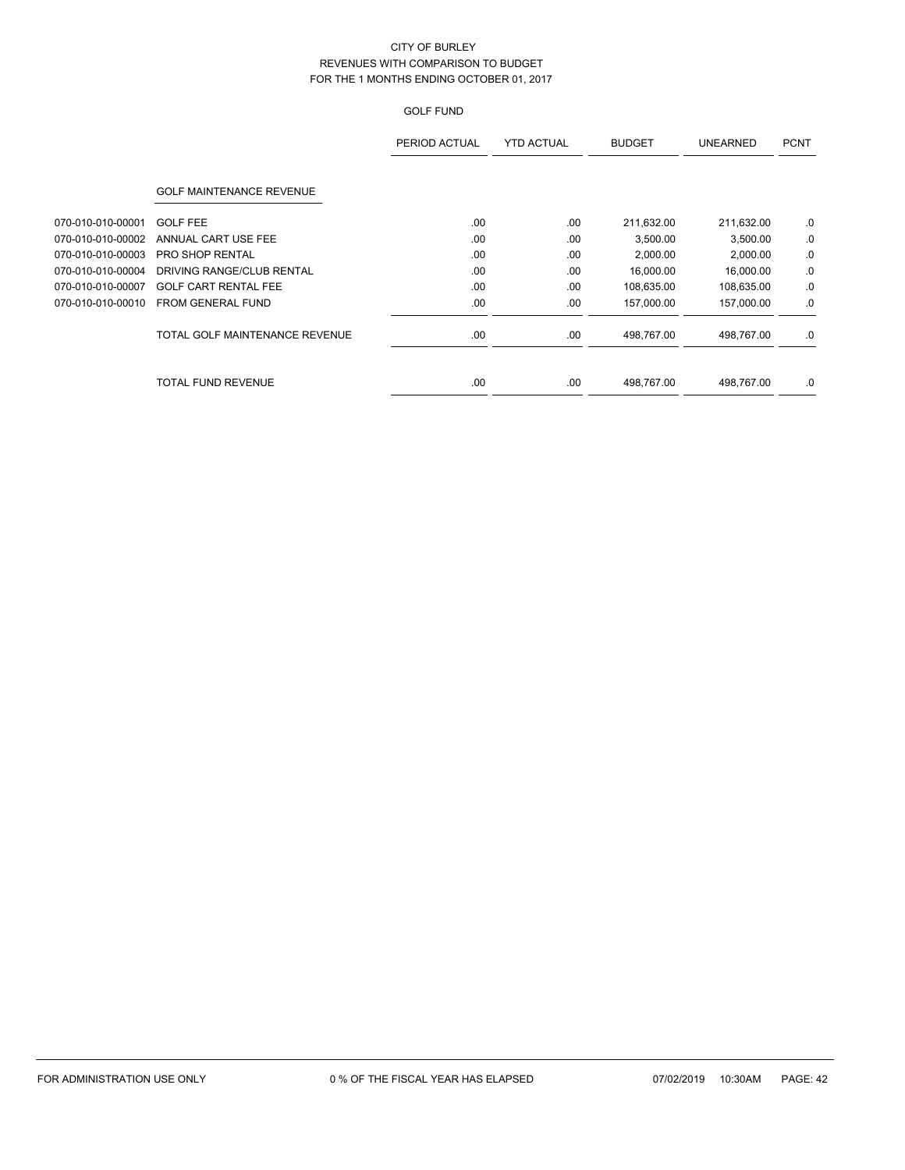|                   |                                 | PERIOD ACTUAL | <b>YTD ACTUAL</b> | <b>BUDGET</b> | <b>UNEARNED</b> | <b>PCNT</b> |
|-------------------|---------------------------------|---------------|-------------------|---------------|-----------------|-------------|
|                   | <b>GOLF MAINTENANCE REVENUE</b> |               |                   |               |                 |             |
| 070-010-010-00001 | <b>GOLF FEE</b>                 | .00.          | .00               | 211,632.00    | 211,632.00      | .0          |
| 070-010-010-00002 | ANNUAL CART USE FEE             | .00           | .00               | 3,500.00      | 3,500.00        | .0          |
| 070-010-010-00003 | PRO SHOP RENTAL                 | .00.          | .00               | 2,000.00      | 2,000.00        | .0          |
| 070-010-010-00004 | DRIVING RANGE/CLUB RENTAL       | .00           | .00               | 16,000.00     | 16,000.00       | .0          |
| 070-010-010-00007 | <b>GOLF CART RENTAL FEE</b>     | .00           | .00               | 108,635.00    | 108,635.00      | .0          |
| 070-010-010-00010 | FROM GENERAL FUND               | .00           | .00               | 157,000.00    | 157,000.00      | .0          |
|                   | TOTAL GOLF MAINTENANCE REVENUE  | .00.          | .00               | 498,767.00    | 498,767.00      | .0          |
|                   | TOTAL FUND REVENUE              | .00           | .00               | 498,767.00    | 498,767.00      | .0          |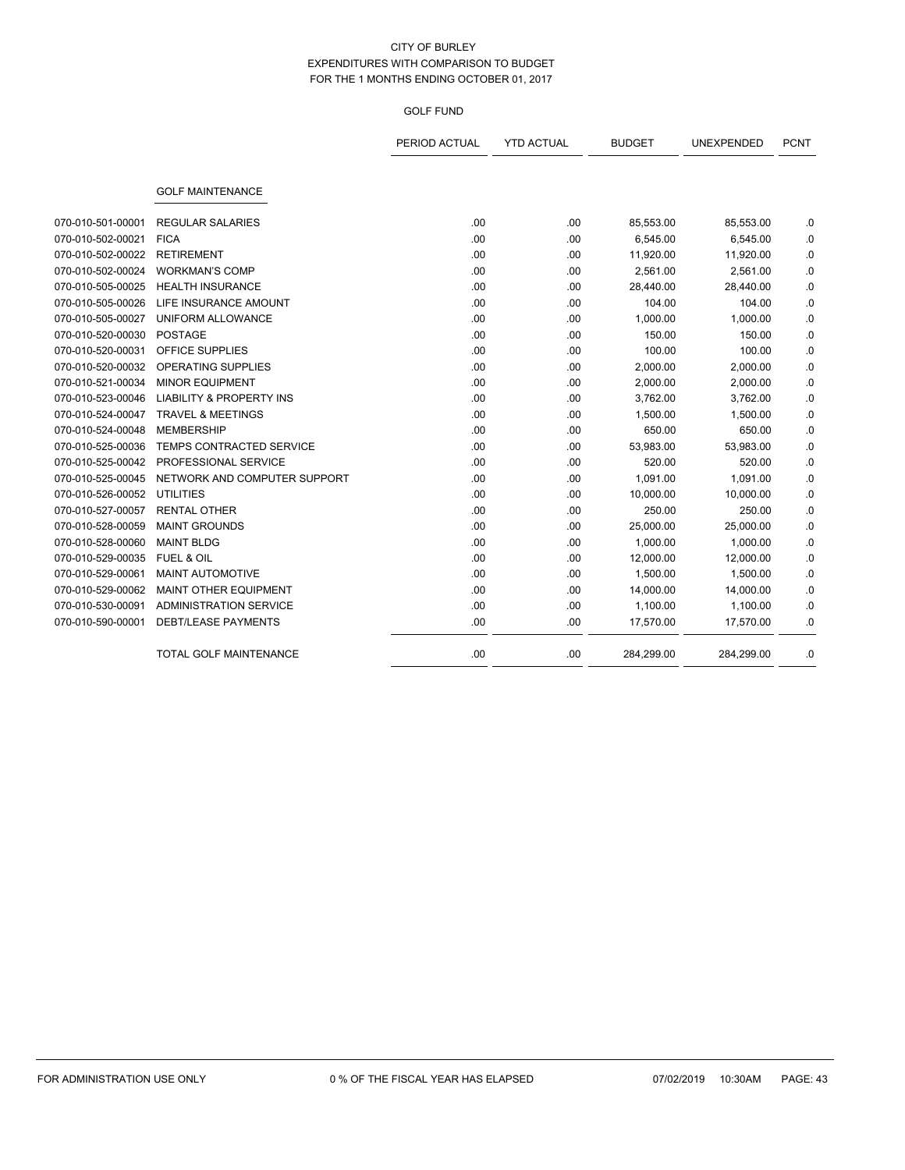|                   |                                     | PERIOD ACTUAL | <b>YTD ACTUAL</b> | <b>BUDGET</b> | UNEXPENDED | <b>PCNT</b> |
|-------------------|-------------------------------------|---------------|-------------------|---------------|------------|-------------|
|                   |                                     |               |                   |               |            |             |
|                   | <b>GOLF MAINTENANCE</b>             |               |                   |               |            |             |
| 070-010-501-00001 | <b>REGULAR SALARIES</b>             | .00.          | .00               | 85,553.00     | 85,553.00  | .0          |
| 070-010-502-00021 | <b>FICA</b>                         | .00           | .00               | 6,545.00      | 6,545.00   | .0          |
| 070-010-502-00022 | <b>RETIREMENT</b>                   | .00           | .00               | 11,920.00     | 11,920.00  | .0          |
| 070-010-502-00024 | <b>WORKMAN'S COMP</b>               | .00           | .00               | 2,561.00      | 2,561.00   | .0          |
| 070-010-505-00025 | <b>HEALTH INSURANCE</b>             | .00           | .00               | 28,440.00     | 28,440.00  | .0          |
| 070-010-505-00026 | LIFE INSURANCE AMOUNT               | .00           | .00               | 104.00        | 104.00     | .0          |
| 070-010-505-00027 | UNIFORM ALLOWANCE                   | .00           | .00               | 1,000.00      | 1,000.00   | .0          |
| 070-010-520-00030 | <b>POSTAGE</b>                      | .00           | .00               | 150.00        | 150.00     | .0          |
| 070-010-520-00031 | OFFICE SUPPLIES                     | .00           | .00               | 100.00        | 100.00     | .0          |
| 070-010-520-00032 | <b>OPERATING SUPPLIES</b>           | .00           | .00               | 2,000.00      | 2,000.00   | .0          |
| 070-010-521-00034 | <b>MINOR EQUIPMENT</b>              | .00           | .00               | 2,000.00      | 2,000.00   | .0          |
| 070-010-523-00046 | <b>LIABILITY &amp; PROPERTY INS</b> | .00           | .00               | 3,762.00      | 3,762.00   | .0          |
| 070-010-524-00047 | <b>TRAVEL &amp; MEETINGS</b>        | .00           | .00               | 1,500.00      | 1,500.00   | .0          |
| 070-010-524-00048 | <b>MEMBERSHIP</b>                   | .00           | .00               | 650.00        | 650.00     | .0          |
| 070-010-525-00036 | <b>TEMPS CONTRACTED SERVICE</b>     | .00           | .00               | 53,983.00     | 53,983.00  | .0          |
| 070-010-525-00042 | PROFESSIONAL SERVICE                | .00           | .00               | 520.00        | 520.00     | .0          |
| 070-010-525-00045 | NETWORK AND COMPUTER SUPPORT        | .00           | .00               | 1,091.00      | 1,091.00   | .0          |
| 070-010-526-00052 | <b>UTILITIES</b>                    | .00           | .00               | 10,000.00     | 10,000.00  | .0          |
| 070-010-527-00057 | <b>RENTAL OTHER</b>                 | .00           | .00               | 250.00        | 250.00     | .0          |
| 070-010-528-00059 | <b>MAINT GROUNDS</b>                | .00           | .00               | 25,000.00     | 25,000.00  | .0          |
| 070-010-528-00060 | <b>MAINT BLDG</b>                   | .00           | .00               | 1,000.00      | 1,000.00   | .0          |
| 070-010-529-00035 | <b>FUEL &amp; OIL</b>               | .00           | .00               | 12,000.00     | 12,000.00  | 0.0         |
| 070-010-529-00061 | <b>MAINT AUTOMOTIVE</b>             | .00           | .00               | 1,500.00      | 1,500.00   | .0          |
| 070-010-529-00062 | MAINT OTHER EQUIPMENT               | .00           | .00               | 14,000.00     | 14,000.00  | .0          |
| 070-010-530-00091 | <b>ADMINISTRATION SERVICE</b>       | .00           | .00               | 1,100.00      | 1,100.00   | .0          |
| 070-010-590-00001 | <b>DEBT/LEASE PAYMENTS</b>          | .00           | .00               | 17,570.00     | 17,570.00  | .0          |
|                   | <b>TOTAL GOLF MAINTENANCE</b>       | .00           | .00               | 284,299.00    | 284,299.00 | .0          |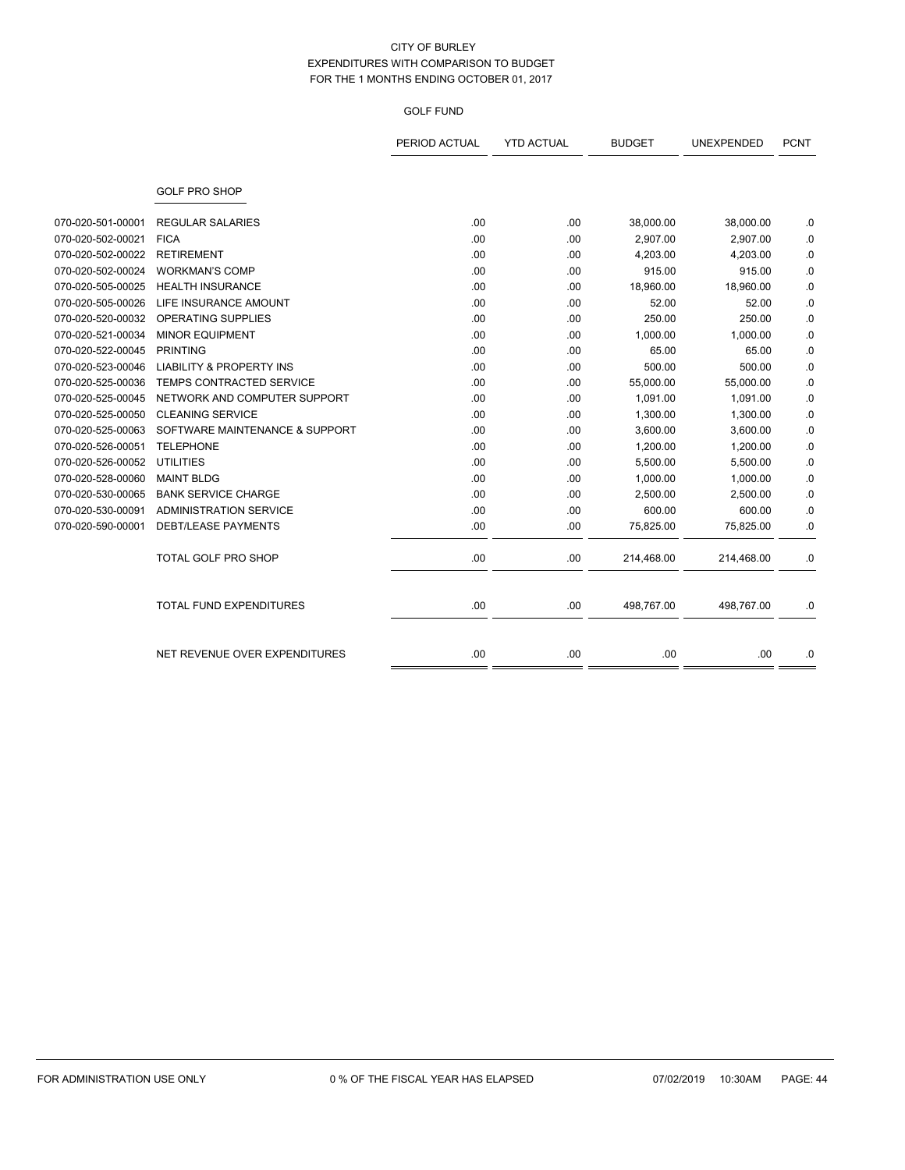|                   |                                     | PERIOD ACTUAL | <b>YTD ACTUAL</b> | <b>BUDGET</b> | UNEXPENDED | <b>PCNT</b> |
|-------------------|-------------------------------------|---------------|-------------------|---------------|------------|-------------|
|                   | <b>GOLF PRO SHOP</b>                |               |                   |               |            |             |
|                   |                                     |               |                   |               |            |             |
| 070-020-501-00001 | <b>REGULAR SALARIES</b>             | .00           | .00               | 38,000.00     | 38,000.00  | .0          |
| 070-020-502-00021 | <b>FICA</b>                         | .00.          | .00               | 2,907.00      | 2,907.00   | .0          |
| 070-020-502-00022 | <b>RETIREMENT</b>                   | .00.          | .00               | 4,203.00      | 4,203.00   | .0          |
| 070-020-502-00024 | <b>WORKMAN'S COMP</b>               | .00           | .00               | 915.00        | 915.00     | .0          |
| 070-020-505-00025 | <b>HEALTH INSURANCE</b>             | .00           | .00               | 18,960.00     | 18,960.00  | .0          |
| 070-020-505-00026 | LIFE INSURANCE AMOUNT               | .00           | .00               | 52.00         | 52.00      | .0          |
| 070-020-520-00032 | <b>OPERATING SUPPLIES</b>           | .00.          | .00               | 250.00        | 250.00     | .0          |
| 070-020-521-00034 | <b>MINOR EQUIPMENT</b>              | .00.          | .00               | 1,000.00      | 1,000.00   | .0          |
| 070-020-522-00045 | <b>PRINTING</b>                     | .00           | .00               | 65.00         | 65.00      | .0          |
| 070-020-523-00046 | <b>LIABILITY &amp; PROPERTY INS</b> | .00.          | .00               | 500.00        | 500.00     | .0          |
| 070-020-525-00036 | TEMPS CONTRACTED SERVICE            | .00.          | .00               | 55,000.00     | 55,000.00  | .0          |
| 070-020-525-00045 | NETWORK AND COMPUTER SUPPORT        | .00           | .00               | 1,091.00      | 1,091.00   | .0          |
| 070-020-525-00050 | <b>CLEANING SERVICE</b>             | .00.          | .00               | 1,300.00      | 1,300.00   | .0          |
| 070-020-525-00063 | SOFTWARE MAINTENANCE & SUPPORT      | .00.          | .00               | 3,600.00      | 3,600.00   | .0          |
| 070-020-526-00051 | <b>TELEPHONE</b>                    | .00.          | .00               | 1,200.00      | 1,200.00   | .0          |
| 070-020-526-00052 | <b>UTILITIES</b>                    | .00           | .00               | 5,500.00      | 5,500.00   | .0          |
| 070-020-528-00060 | <b>MAINT BLDG</b>                   | .00           | .00               | 1,000.00      | 1,000.00   | .0          |
| 070-020-530-00065 | <b>BANK SERVICE CHARGE</b>          | .00.          | .00               | 2,500.00      | 2,500.00   | .0          |
| 070-020-530-00091 | <b>ADMINISTRATION SERVICE</b>       | .00.          | .00               | 600.00        | 600.00     | .0          |
| 070-020-590-00001 | <b>DEBT/LEASE PAYMENTS</b>          | .00.          | .00               | 75,825.00     | 75,825.00  | .0          |
|                   | <b>TOTAL GOLF PRO SHOP</b>          | .00.          | .00               | 214,468.00    | 214,468.00 | .0          |
|                   | <b>TOTAL FUND EXPENDITURES</b>      | .00           | .00               | 498,767.00    | 498,767.00 | .0          |
|                   |                                     |               |                   |               |            |             |
|                   | NET REVENUE OVER EXPENDITURES       | .00.          | .00               | .00           | .00        | .0          |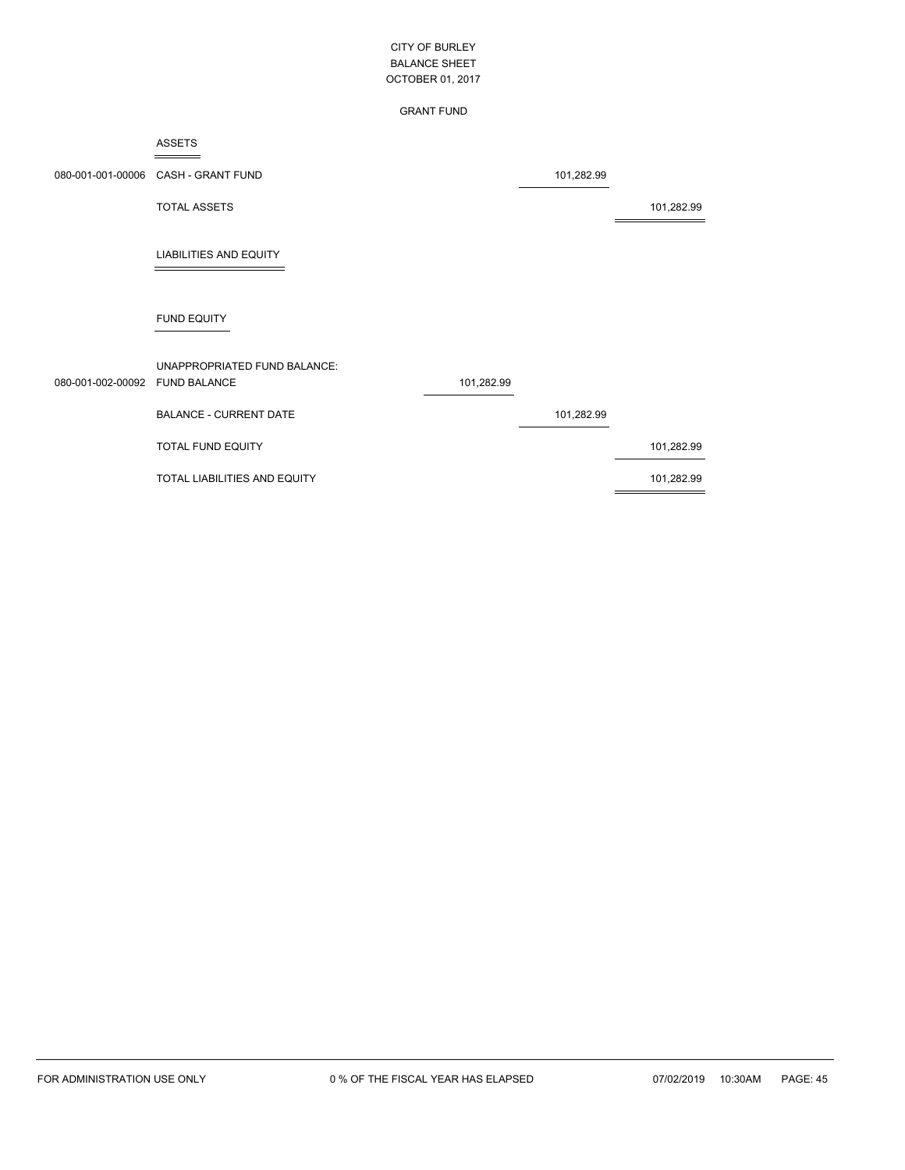#### GRANT FUND

#### ASSETS  $=$

|                                | 080-001-001-00006 CASH - GRANT FUND |            | 101,282.99 |            |
|--------------------------------|-------------------------------------|------------|------------|------------|
|                                | <b>TOTAL ASSETS</b>                 |            |            | 101,282.99 |
|                                | <b>LIABILITIES AND EQUITY</b>       |            |            |            |
|                                | <b>FUND EQUITY</b>                  |            |            |            |
| 080-001-002-00092 FUND BALANCE | UNAPPROPRIATED FUND BALANCE:        | 101,282.99 |            |            |
|                                | <b>BALANCE - CURRENT DATE</b>       |            | 101,282.99 |            |
|                                | <b>TOTAL FUND EQUITY</b>            |            |            | 101,282.99 |
|                                | TOTAL LIABILITIES AND EQUITY        |            |            | 101,282.99 |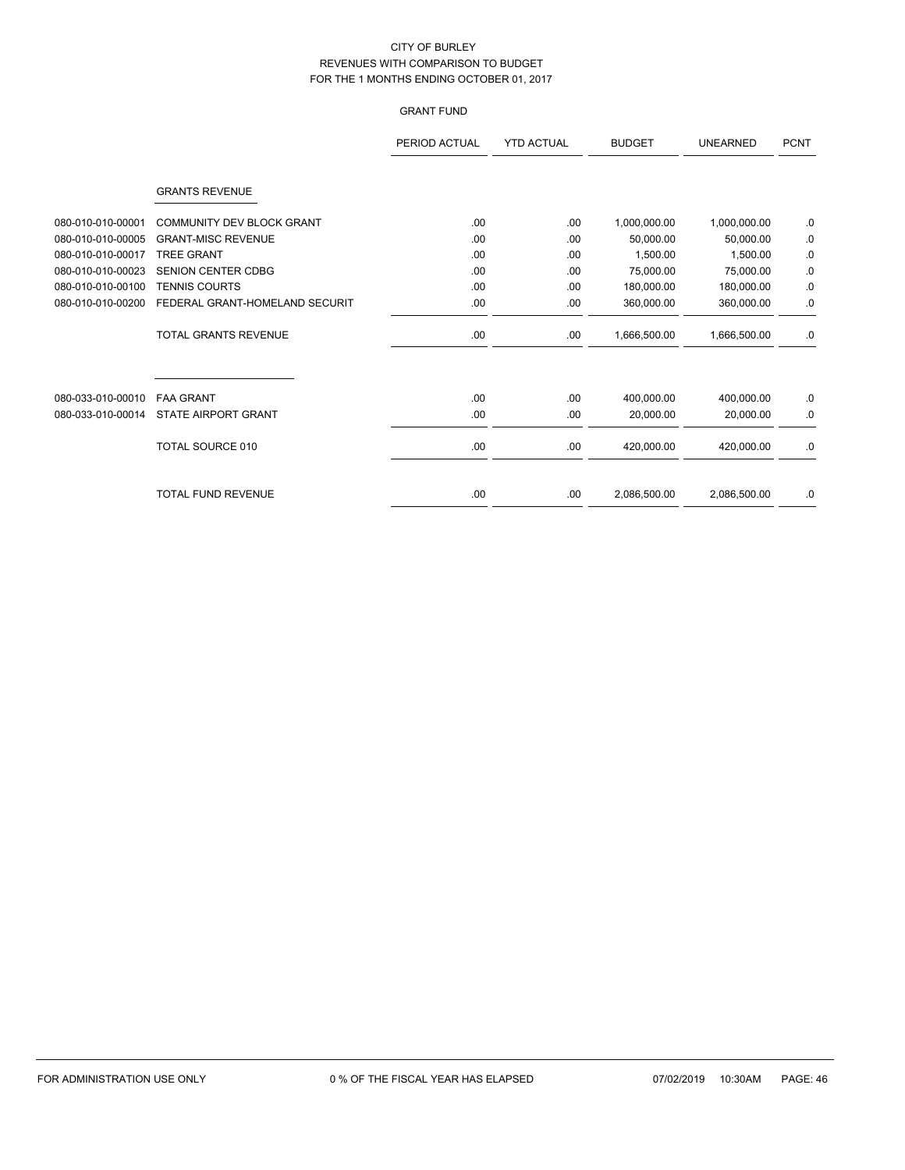# GRANT FUND

|                   |                                  | PERIOD ACTUAL | <b>YTD ACTUAL</b> | <b>BUDGET</b> | <b>UNEARNED</b> | <b>PCNT</b> |
|-------------------|----------------------------------|---------------|-------------------|---------------|-----------------|-------------|
|                   | <b>GRANTS REVENUE</b>            |               |                   |               |                 |             |
| 080-010-010-00001 | <b>COMMUNITY DEV BLOCK GRANT</b> | .00           | .00               | 1,000,000.00  | 1,000,000.00    | .0          |
| 080-010-010-00005 | <b>GRANT-MISC REVENUE</b>        | .00           | .00               | 50,000.00     | 50,000.00       | 0.          |
| 080-010-010-00017 | <b>TREE GRANT</b>                | .00           | .00               | 1,500.00      | 1,500.00        | .0          |
| 080-010-010-00023 | SENION CENTER CDBG               | .00           | .00               | 75,000.00     | 75,000.00       | .0          |
| 080-010-010-00100 | <b>TENNIS COURTS</b>             | .00           | .00               | 180,000.00    | 180,000.00      | .0          |
| 080-010-010-00200 | FEDERAL GRANT-HOMELAND SECURIT   | .00           | .00               | 360,000.00    | 360,000.00      | .0          |
|                   | TOTAL GRANTS REVENUE             | .00           | .00.              | 1,666,500.00  | 1,666,500.00    | .0          |
| 080-033-010-00010 | <b>FAA GRANT</b>                 | .00           | .00               | 400,000.00    | 400,000.00      | .0          |
| 080-033-010-00014 | <b>STATE AIRPORT GRANT</b>       | .00           | .00.              | 20,000.00     | 20,000.00       | .0          |
|                   | <b>TOTAL SOURCE 010</b>          | .00           | .00.              | 420,000.00    | 420,000.00      | .0          |
|                   | <b>TOTAL FUND REVENUE</b>        | .00           | .00               | 2,086,500.00  | 2,086,500.00    | .0          |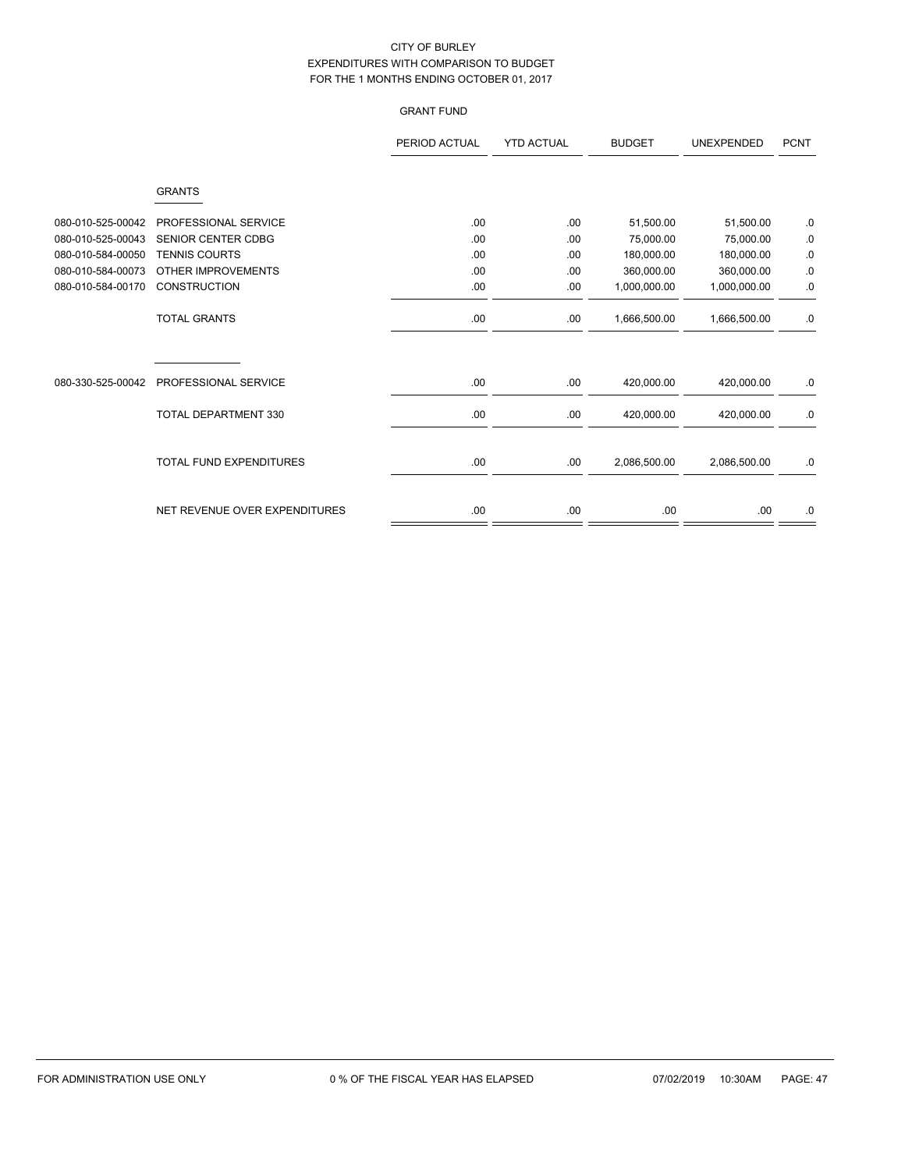# GRANT FUND

|                   |                                | PERIOD ACTUAL | <b>YTD ACTUAL</b> | <b>BUDGET</b> | <b>UNEXPENDED</b> | <b>PCNT</b> |
|-------------------|--------------------------------|---------------|-------------------|---------------|-------------------|-------------|
|                   | <b>GRANTS</b>                  |               |                   |               |                   |             |
| 080-010-525-00042 | PROFESSIONAL SERVICE           | .00           | .00.              | 51,500.00     | 51,500.00         | .0          |
| 080-010-525-00043 | <b>SENIOR CENTER CDBG</b>      | .00           | .00               | 75,000.00     | 75,000.00         | $0.$        |
| 080-010-584-00050 | <b>TENNIS COURTS</b>           | .00           | .00               | 180,000.00    | 180,000.00        | $0.$        |
| 080-010-584-00073 | OTHER IMPROVEMENTS             | .00           | .00               | 360,000.00    | 360,000.00        | $\cdot$ 0   |
| 080-010-584-00170 | <b>CONSTRUCTION</b>            | .00           | .00               | 1,000,000.00  | 1,000,000.00      | 0.0         |
|                   | <b>TOTAL GRANTS</b>            | .00           | .00.              | 1,666,500.00  | 1,666,500.00      | .0          |
|                   |                                |               |                   |               |                   |             |
| 080-330-525-00042 | PROFESSIONAL SERVICE           | .00           | .00.              | 420,000.00    | 420,000.00        | .0          |
|                   | TOTAL DEPARTMENT 330           | .00           | .00.              | 420,000.00    | 420,000.00        | .0          |
|                   | <b>TOTAL FUND EXPENDITURES</b> | .00           | .00.              | 2,086,500.00  | 2,086,500.00      | 0.          |
|                   | NET REVENUE OVER EXPENDITURES  | .00           | .00.              | .00           | .00               | .0          |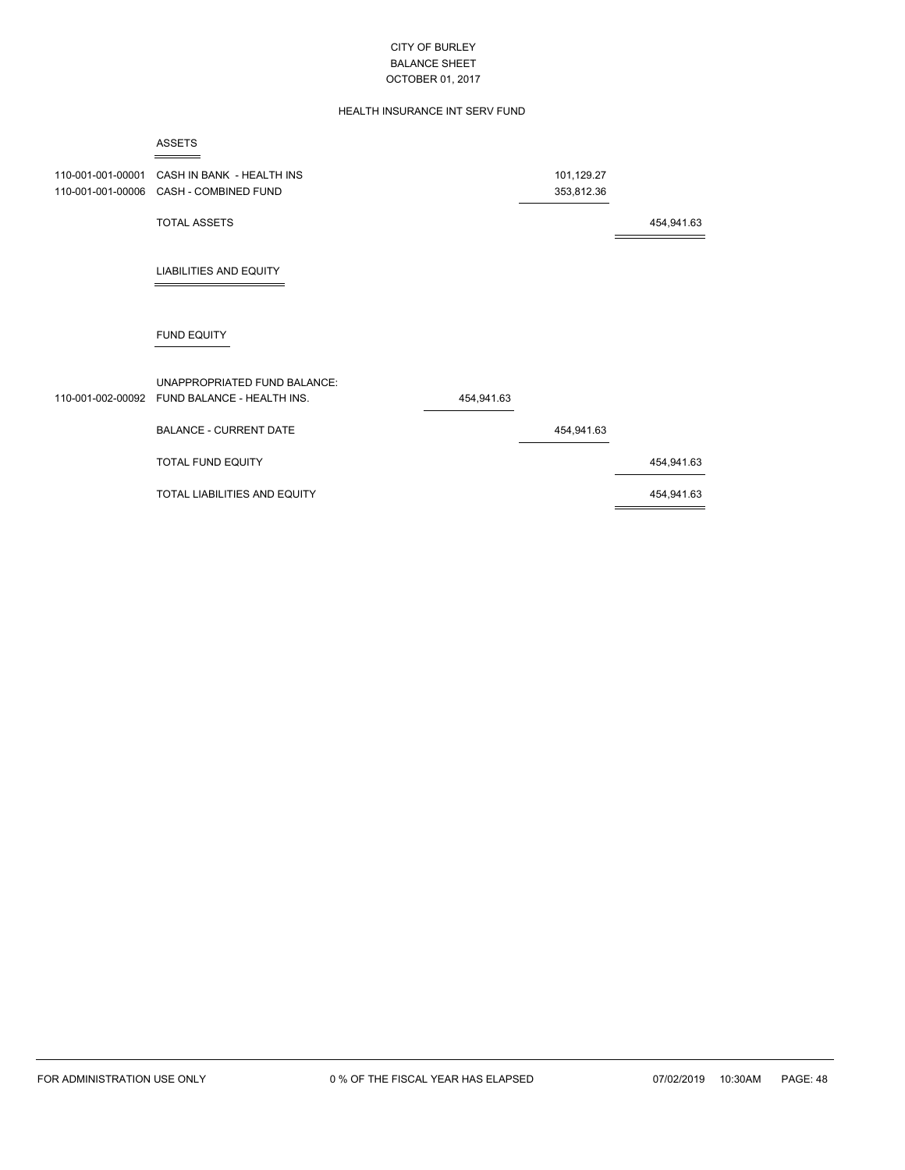### HEALTH INSURANCE INT SERV FUND

|                                        | <b>ASSETS</b>                                                                       |            |                          |            |
|----------------------------------------|-------------------------------------------------------------------------------------|------------|--------------------------|------------|
| 110-001-001-00001<br>110-001-001-00006 | CASH IN BANK - HEALTH INS<br>CASH - COMBINED FUND                                   |            | 101,129.27<br>353,812.36 |            |
|                                        | <b>TOTAL ASSETS</b>                                                                 |            |                          | 454,941.63 |
|                                        | <b>LIABILITIES AND EQUITY</b>                                                       |            |                          |            |
|                                        | <b>FUND EQUITY</b>                                                                  |            |                          |            |
|                                        | <b>UNAPPROPRIATED FUND BALANCE:</b><br>110-001-002-00092 FUND BALANCE - HEALTH INS. | 454,941.63 |                          |            |
|                                        | <b>BALANCE - CURRENT DATE</b>                                                       |            | 454,941.63               |            |
|                                        | TOTAL FUND EQUITY                                                                   |            |                          | 454,941.63 |
|                                        | TOTAL LIABILITIES AND EQUITY                                                        |            |                          | 454,941.63 |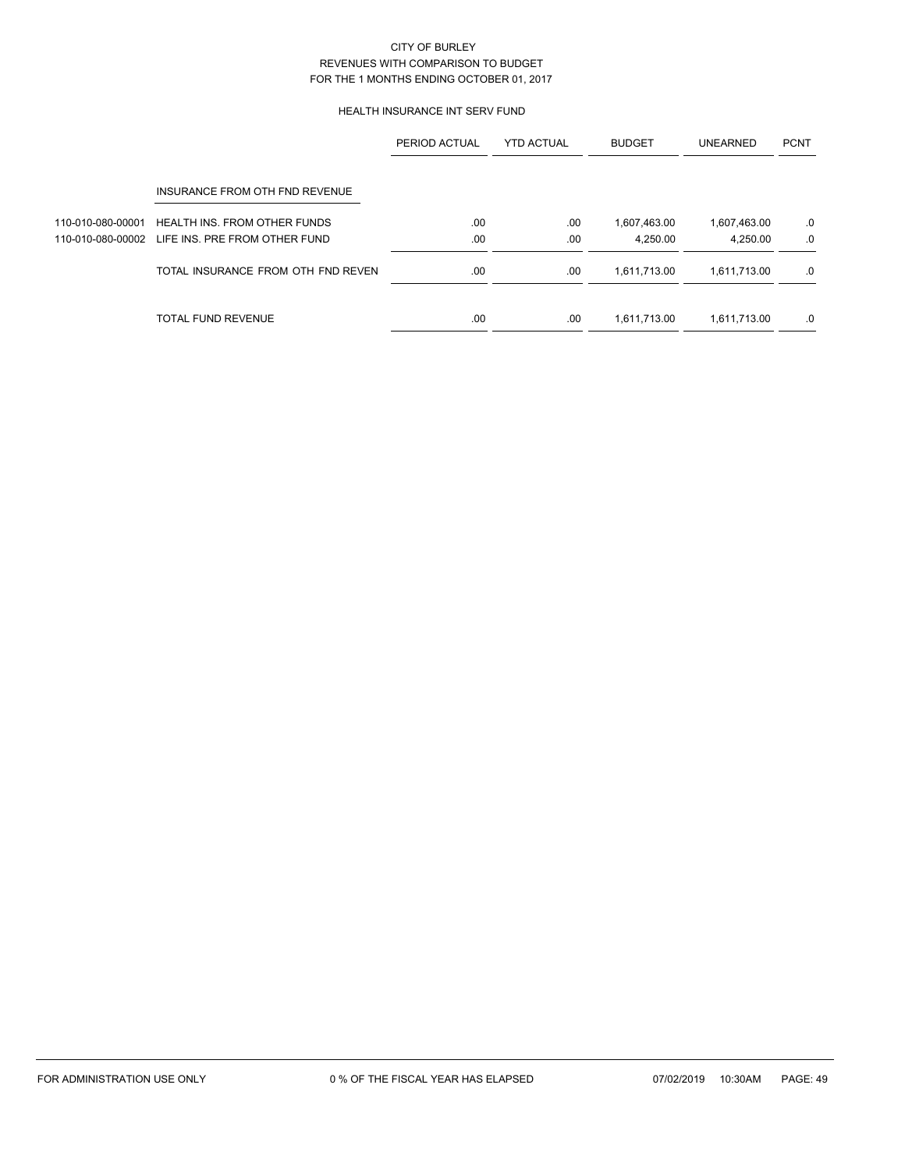### HEALTH INSURANCE INT SERV FUND

|                   |                                     | PERIOD ACTUAL | <b>YTD ACTUAL</b> | <b>BUDGET</b> | <b>UNEARNED</b> | <b>PCNT</b> |
|-------------------|-------------------------------------|---------------|-------------------|---------------|-----------------|-------------|
|                   | INSURANCE FROM OTH FND REVENUE      |               |                   |               |                 |             |
| 110-010-080-00001 | <b>HEALTH INS. FROM OTHER FUNDS</b> | .00           | .00               | 1,607,463.00  | 1,607,463.00    | .0          |
| 110-010-080-00002 | LIFE INS. PRE FROM OTHER FUND       | .00           | .00               | 4.250.00      | 4.250.00        | .0          |
|                   | TOTAL INSURANCE FROM OTH FND REVEN  | .00           | .00               | 1,611,713.00  | 1,611,713.00    | .0          |
|                   | TOTAL FUND REVENUE                  | .00           | .00               | 1,611,713.00  | 1,611,713.00    | .0          |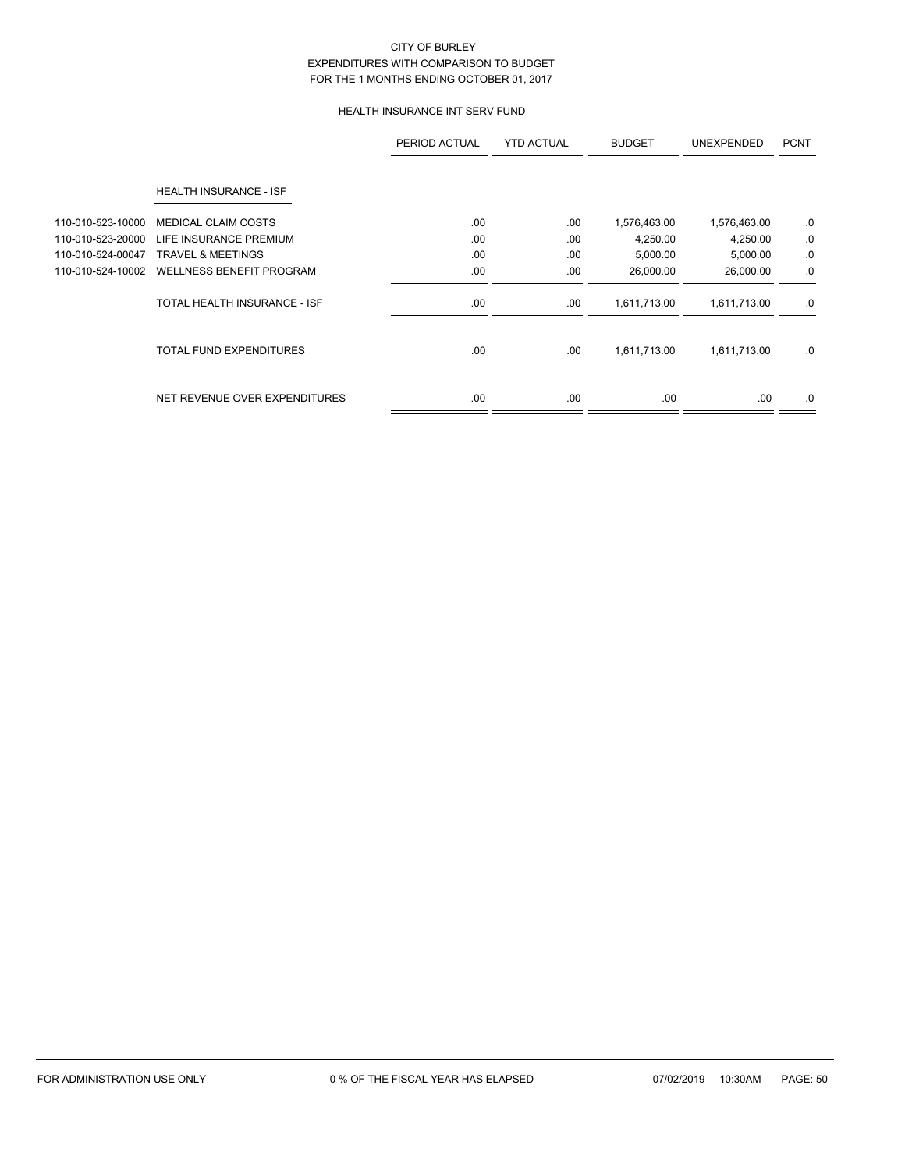### HEALTH INSURANCE INT SERV FUND

|                   |                                 | PERIOD ACTUAL | <b>YTD ACTUAL</b> | <b>BUDGET</b> | <b>UNEXPENDED</b> | <b>PCNT</b> |
|-------------------|---------------------------------|---------------|-------------------|---------------|-------------------|-------------|
|                   | HEALTH INSURANCE - ISF          |               |                   |               |                   |             |
| 110-010-523-10000 | <b>MEDICAL CLAIM COSTS</b>      | .00           | .00               | 1,576,463.00  | 1,576,463.00      | .0          |
| 110-010-523-20000 | LIFE INSURANCE PREMIUM          | .00           | .00               | 4,250.00      | 4,250.00          | .0          |
| 110-010-524-00047 | <b>TRAVEL &amp; MEETINGS</b>    | .00           | .00               | 5,000.00      | 5,000.00          | .0          |
| 110-010-524-10002 | <b>WELLNESS BENEFIT PROGRAM</b> | .00           | .00               | 26,000.00     | 26,000.00         | .0          |
|                   | TOTAL HEALTH INSURANCE - ISF    | .00.          | .00               | 1,611,713.00  | 1,611,713.00      | .0          |
|                   | <b>TOTAL FUND EXPENDITURES</b>  | .00.          | .00               | 1,611,713.00  | 1,611,713.00      | .0          |
|                   | NET REVENUE OVER EXPENDITURES   | .00.          | .00               | .00.          | .00.              | .0          |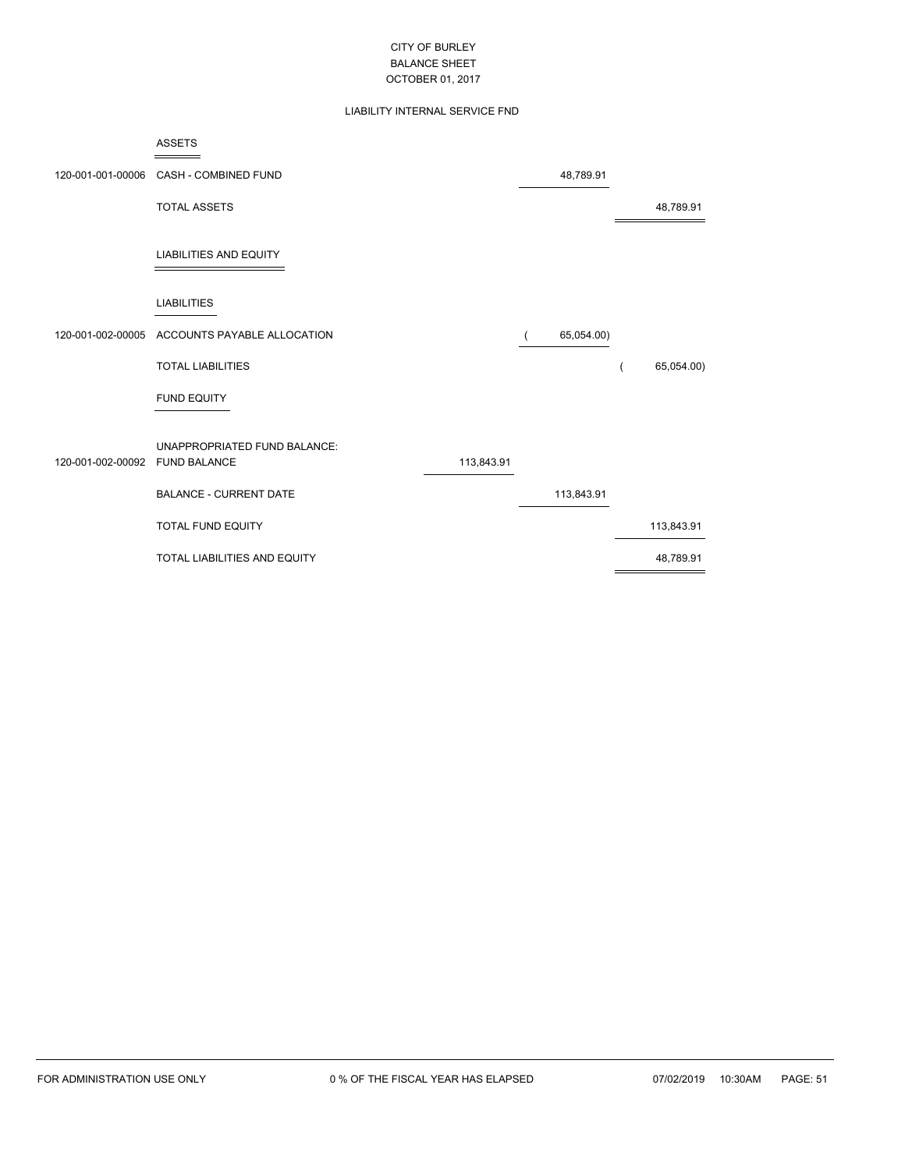### LIABILITY INTERNAL SERVICE FND

|                   | <b>ASSETS</b>                       |            |          |            |            |
|-------------------|-------------------------------------|------------|----------|------------|------------|
| 120-001-001-00006 | CASH - COMBINED FUND                |            |          | 48,789.91  |            |
|                   | <b>TOTAL ASSETS</b>                 |            |          |            | 48,789.91  |
|                   | <b>LIABILITIES AND EQUITY</b>       |            |          |            |            |
|                   | <b>LIABILITIES</b>                  |            |          |            |            |
| 120-001-002-00005 | ACCOUNTS PAYABLE ALLOCATION         |            | $\left($ | 65,054.00) |            |
|                   | <b>TOTAL LIABILITIES</b>            |            |          |            | 65,054.00) |
|                   | <b>FUND EQUITY</b>                  |            |          |            |            |
| 120-001-002-00092 | UNAPPROPRIATED FUND BALANCE:        |            |          |            |            |
|                   | <b>FUND BALANCE</b>                 | 113,843.91 |          |            |            |
|                   | <b>BALANCE - CURRENT DATE</b>       |            |          | 113,843.91 |            |
|                   | <b>TOTAL FUND EQUITY</b>            |            |          |            | 113,843.91 |
|                   | <b>TOTAL LIABILITIES AND EQUITY</b> |            |          |            | 48,789.91  |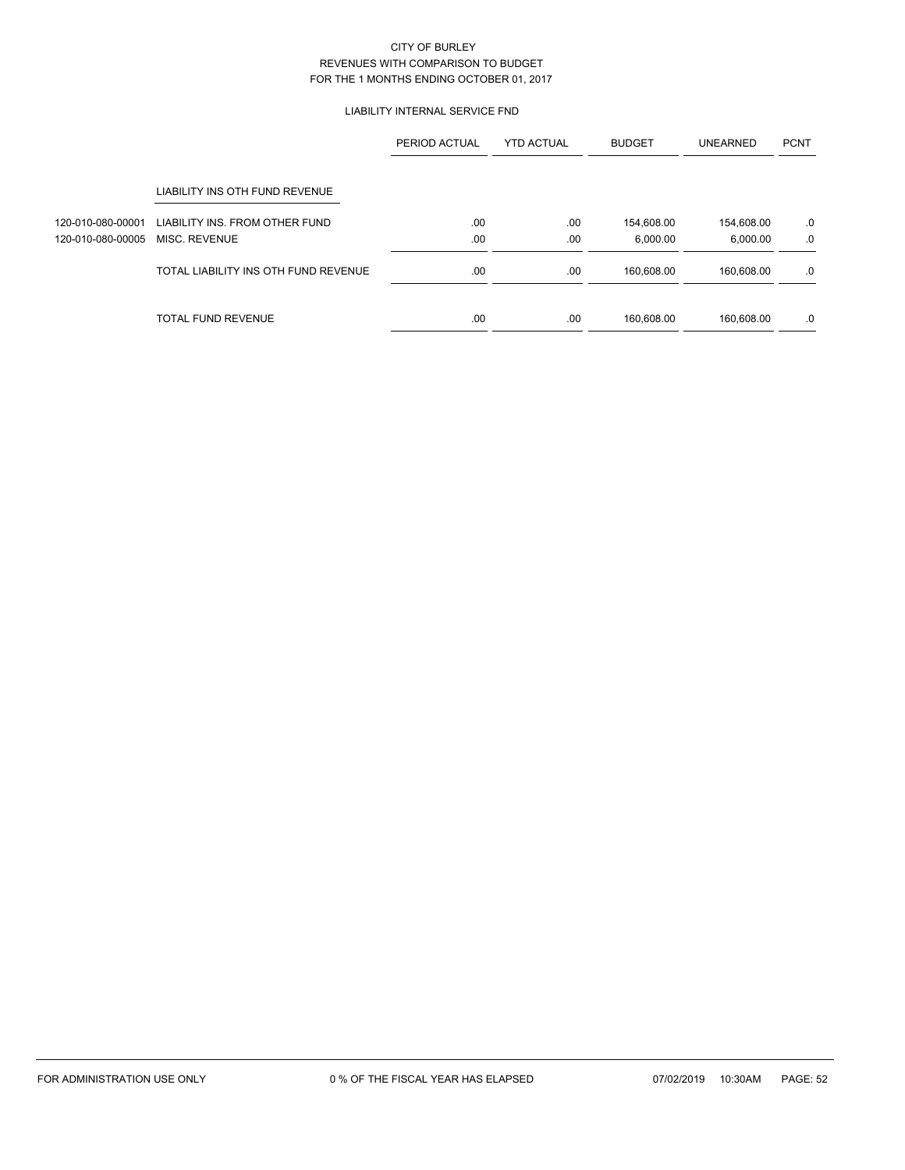### LIABILITY INTERNAL SERVICE FND

|                   |                                      | <b>YTD ACTUAL</b><br>PERIOD ACTUAL |     | <b>BUDGET</b> | <b>UNEARNED</b> | <b>PCNT</b> |
|-------------------|--------------------------------------|------------------------------------|-----|---------------|-----------------|-------------|
|                   | LIABILITY INS OTH FUND REVENUE       |                                    |     |               |                 |             |
| 120-010-080-00001 | LIABILITY INS. FROM OTHER FUND       | .00                                | .00 | 154,608.00    | 154,608.00      | .0          |
| 120-010-080-00005 | MISC. REVENUE                        | .00.                               | .00 | 6,000.00      | 6,000.00        | .0          |
|                   | TOTAL LIABILITY INS OTH FUND REVENUE | .00                                | .00 | 160,608.00    | 160,608.00      | .0          |
|                   | <b>TOTAL FUND REVENUE</b>            | .00                                | .00 | 160,608.00    | 160,608.00      | .0          |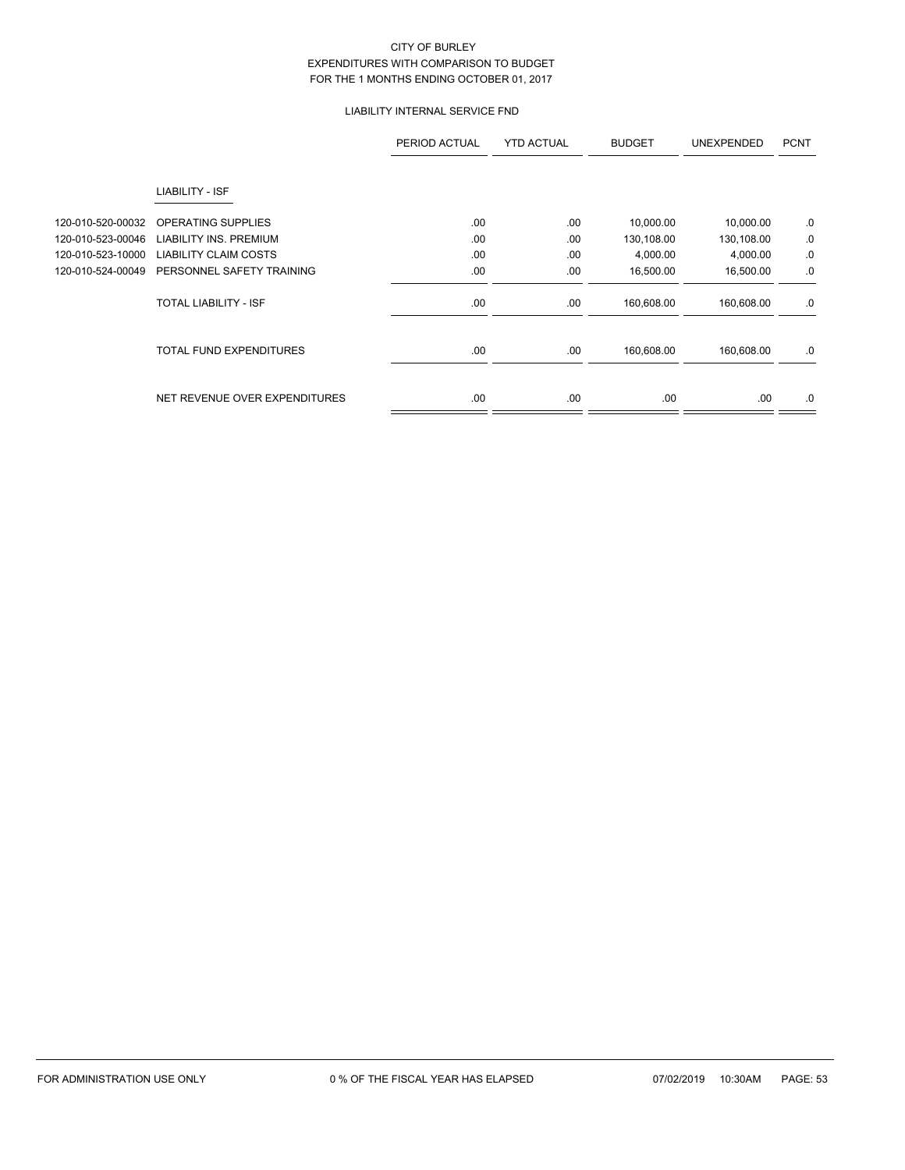## LIABILITY INTERNAL SERVICE FND

|                   |                                | PERIOD ACTUAL | <b>YTD ACTUAL</b> | <b>BUDGET</b> | <b>UNEXPENDED</b> | <b>PCNT</b> |
|-------------------|--------------------------------|---------------|-------------------|---------------|-------------------|-------------|
|                   | LIABILITY - ISF                |               |                   |               |                   |             |
| 120-010-520-00032 | OPERATING SUPPLIES             | .00           | .00               | 10,000.00     | 10,000.00         | .0          |
| 120-010-523-00046 | <b>LIABILITY INS. PREMIUM</b>  | .00           | .00               | 130,108.00    | 130,108.00        | 0.          |
| 120-010-523-10000 | <b>LIABILITY CLAIM COSTS</b>   | .00           | .00               | 4,000.00      | 4,000.00          | 0.          |
| 120-010-524-00049 | PERSONNEL SAFETY TRAINING      | .00           | .00               | 16,500.00     | 16,500.00         | .0          |
|                   | <b>TOTAL LIABILITY - ISF</b>   | .00.          | .00               | 160,608.00    | 160,608.00        | .0          |
|                   | <b>TOTAL FUND EXPENDITURES</b> | .00           | .00               | 160,608.00    | 160,608.00        | .0          |
|                   | NET REVENUE OVER EXPENDITURES  | .00.          | .00               | .00.          | .00.              | .0          |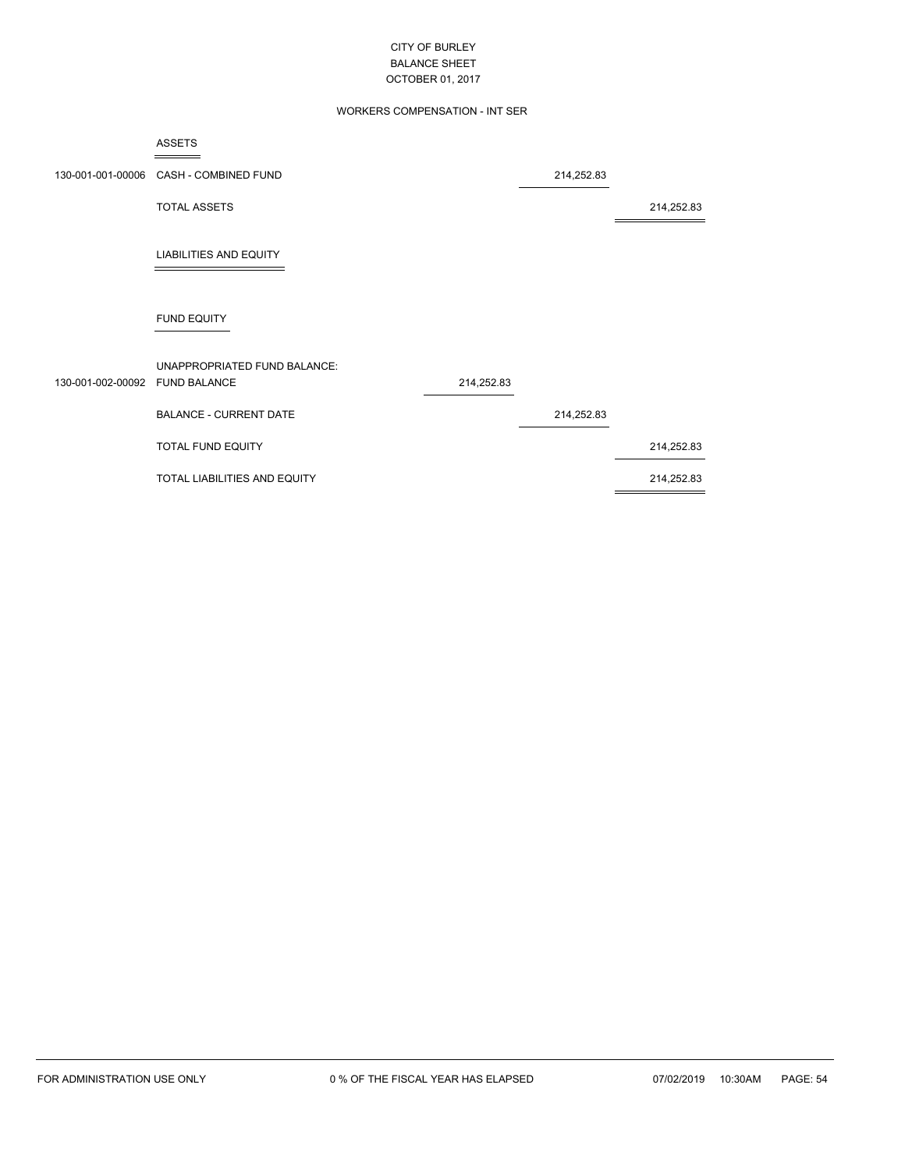### WORKERS COMPENSATION - INT SER

|                                | <b>ASSETS</b>                          |            |            |            |
|--------------------------------|----------------------------------------|------------|------------|------------|
|                                | 130-001-001-00006 CASH - COMBINED FUND |            | 214,252.83 |            |
|                                | <b>TOTAL ASSETS</b>                    |            |            | 214,252.83 |
|                                | <b>LIABILITIES AND EQUITY</b>          |            |            |            |
|                                | <b>FUND EQUITY</b>                     |            |            |            |
| 130-001-002-00092 FUND BALANCE | UNAPPROPRIATED FUND BALANCE:           | 214,252.83 |            |            |
|                                | <b>BALANCE - CURRENT DATE</b>          |            | 214,252.83 |            |
|                                | TOTAL FUND EQUITY                      |            |            | 214,252.83 |
|                                | TOTAL LIABILITIES AND EQUITY           |            |            | 214,252.83 |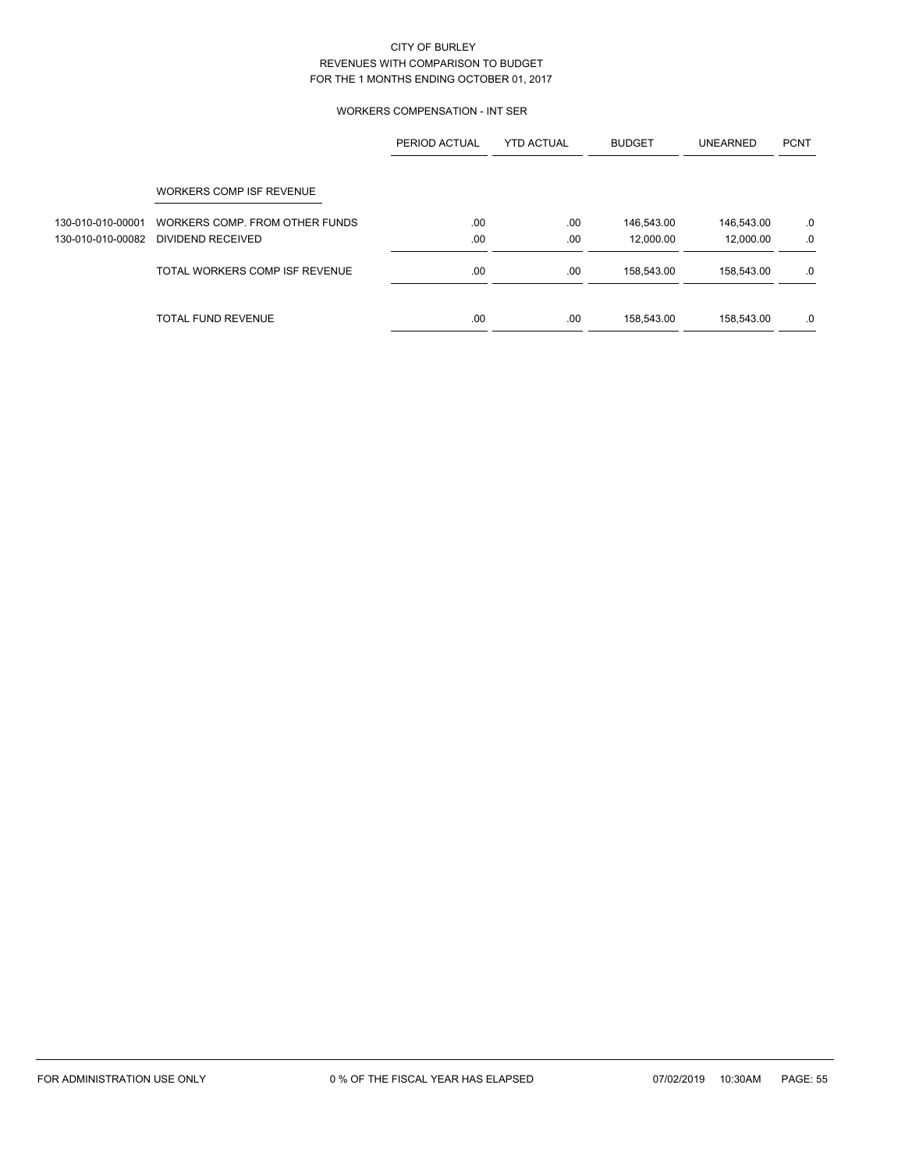### WORKERS COMPENSATION - INT SER

|                   |                                | PERIOD ACTUAL | <b>YTD ACTUAL</b> | <b>BUDGET</b> | <b>UNEARNED</b> | <b>PCNT</b> |
|-------------------|--------------------------------|---------------|-------------------|---------------|-----------------|-------------|
|                   | WORKERS COMP ISF REVENUE       |               |                   |               |                 |             |
| 130-010-010-00001 | WORKERS COMP. FROM OTHER FUNDS | .00           | .00               | 146,543.00    | 146,543.00      | .0          |
| 130-010-010-00082 | DIVIDEND RECEIVED              | .00           | .00               | 12.000.00     | 12,000.00       | .0          |
|                   | TOTAL WORKERS COMP ISF REVENUE | .00           | .00               | 158,543.00    | 158.543.00      | .0          |
|                   | <b>TOTAL FUND REVENUE</b>      | .00           | .00               | 158,543.00    | 158,543.00      | .0          |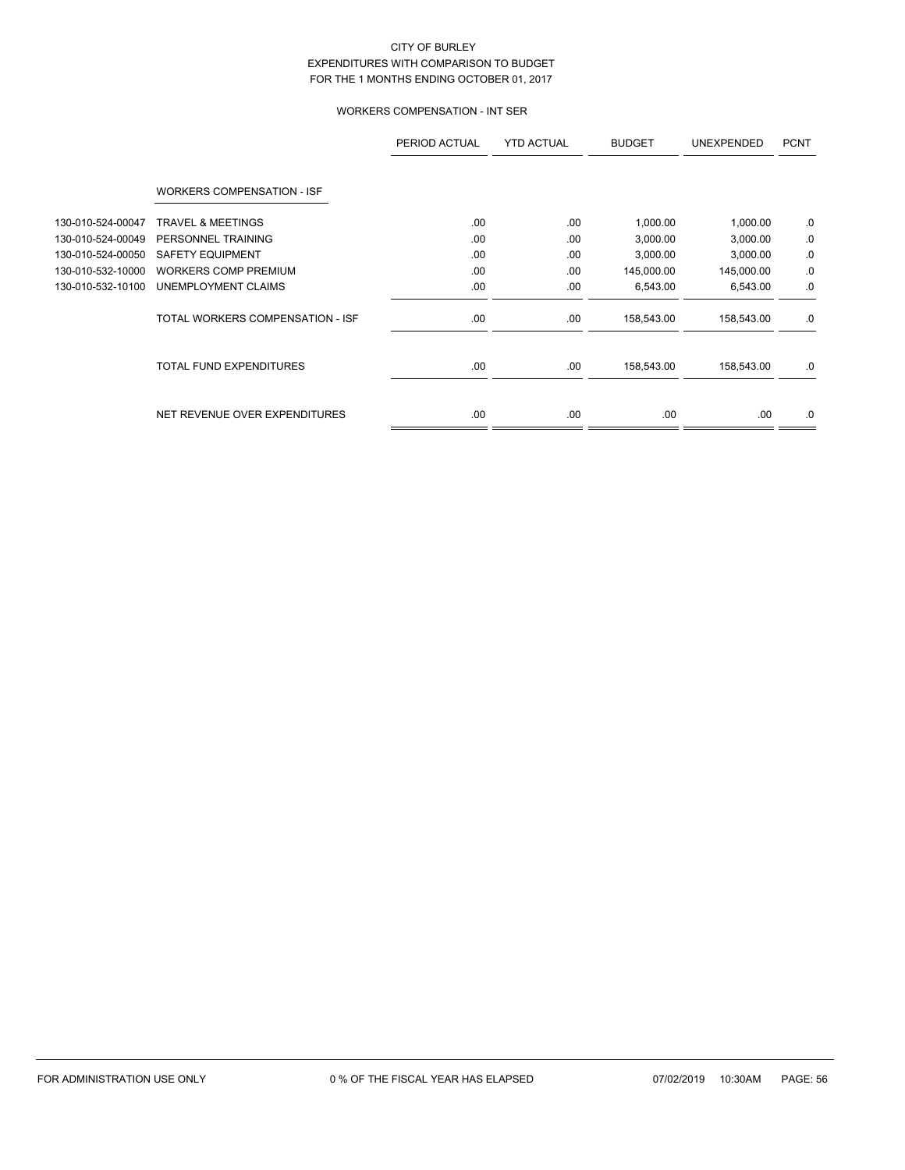# WORKERS COMPENSATION - INT SER

|                   |                                   | PERIOD ACTUAL | <b>YTD ACTUAL</b> | <b>BUDGET</b> | <b>UNEXPENDED</b> | <b>PCNT</b> |
|-------------------|-----------------------------------|---------------|-------------------|---------------|-------------------|-------------|
|                   | <b>WORKERS COMPENSATION - ISF</b> |               |                   |               |                   |             |
| 130-010-524-00047 | <b>TRAVEL &amp; MEETINGS</b>      | .00           | .00               | 1,000.00      | 1,000.00          | .0          |
| 130-010-524-00049 | PERSONNEL TRAINING                | .00           | .00               | 3,000.00      | 3,000.00          | .0          |
| 130-010-524-00050 | <b>SAFETY EQUIPMENT</b>           | .00           | .00               | 3,000.00      | 3,000.00          | .0          |
| 130-010-532-10000 | <b>WORKERS COMP PREMIUM</b>       | .00           | .00               | 145,000.00    | 145,000.00        | .0          |
| 130-010-532-10100 | UNEMPLOYMENT CLAIMS               | .00           | .00               | 6,543.00      | 6,543.00          | .0          |
|                   | TOTAL WORKERS COMPENSATION - ISF  | .00           | .00.              | 158,543.00    | 158,543.00        | .0          |
|                   | <b>TOTAL FUND EXPENDITURES</b>    | .00           | .00               | 158,543.00    | 158,543.00        | .0          |
|                   | NET REVENUE OVER EXPENDITURES     | .00           | .00               | .00           | .00.              | .0          |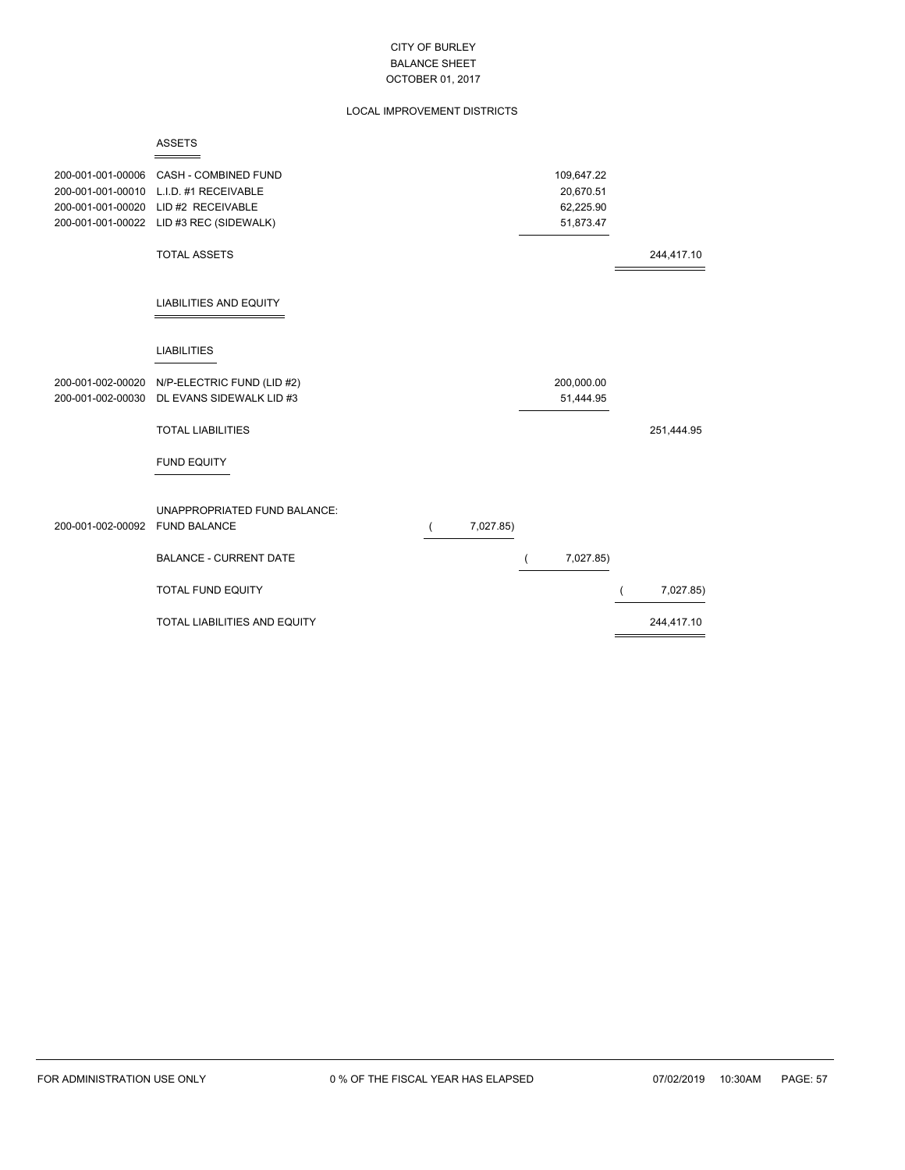### LOCAL IMPROVEMENT DISTRICTS

|                   | <b>ASSETS</b>                                       |                |           |            |            |
|-------------------|-----------------------------------------------------|----------------|-----------|------------|------------|
| 200-001-001-00006 | CASH - COMBINED FUND                                |                |           | 109,647.22 |            |
| 200-001-001-00010 | L.I.D. #1 RECEIVABLE                                |                |           | 20,670.51  |            |
| 200-001-001-00020 | LID #2 RECEIVABLE                                   |                |           | 62,225.90  |            |
|                   | 200-001-001-00022 LID #3 REC (SIDEWALK)             |                |           | 51,873.47  |            |
|                   |                                                     |                |           |            |            |
|                   | <b>TOTAL ASSETS</b>                                 |                |           |            | 244,417.10 |
|                   | <b>LIABILITIES AND EQUITY</b>                       |                |           |            |            |
|                   | <b>LIABILITIES</b>                                  |                |           |            |            |
|                   | 200-001-002-00020 N/P-ELECTRIC FUND (LID #2)        |                |           | 200,000.00 |            |
| 200-001-002-00030 | DL EVANS SIDEWALK LID #3                            |                |           | 51,444.95  |            |
|                   | <b>TOTAL LIABILITIES</b>                            |                |           |            | 251,444.95 |
|                   | <b>FUND EQUITY</b>                                  |                |           |            |            |
| 200-001-002-00092 | UNAPPROPRIATED FUND BALANCE:<br><b>FUND BALANCE</b> | $\overline{ }$ | 7,027.85) |            |            |
|                   | <b>BALANCE - CURRENT DATE</b>                       |                |           | 7,027.85)  |            |
|                   | <b>TOTAL FUND EQUITY</b>                            |                |           |            | 7,027.85)  |
|                   | TOTAL LIABILITIES AND EQUITY                        |                |           |            | 244,417.10 |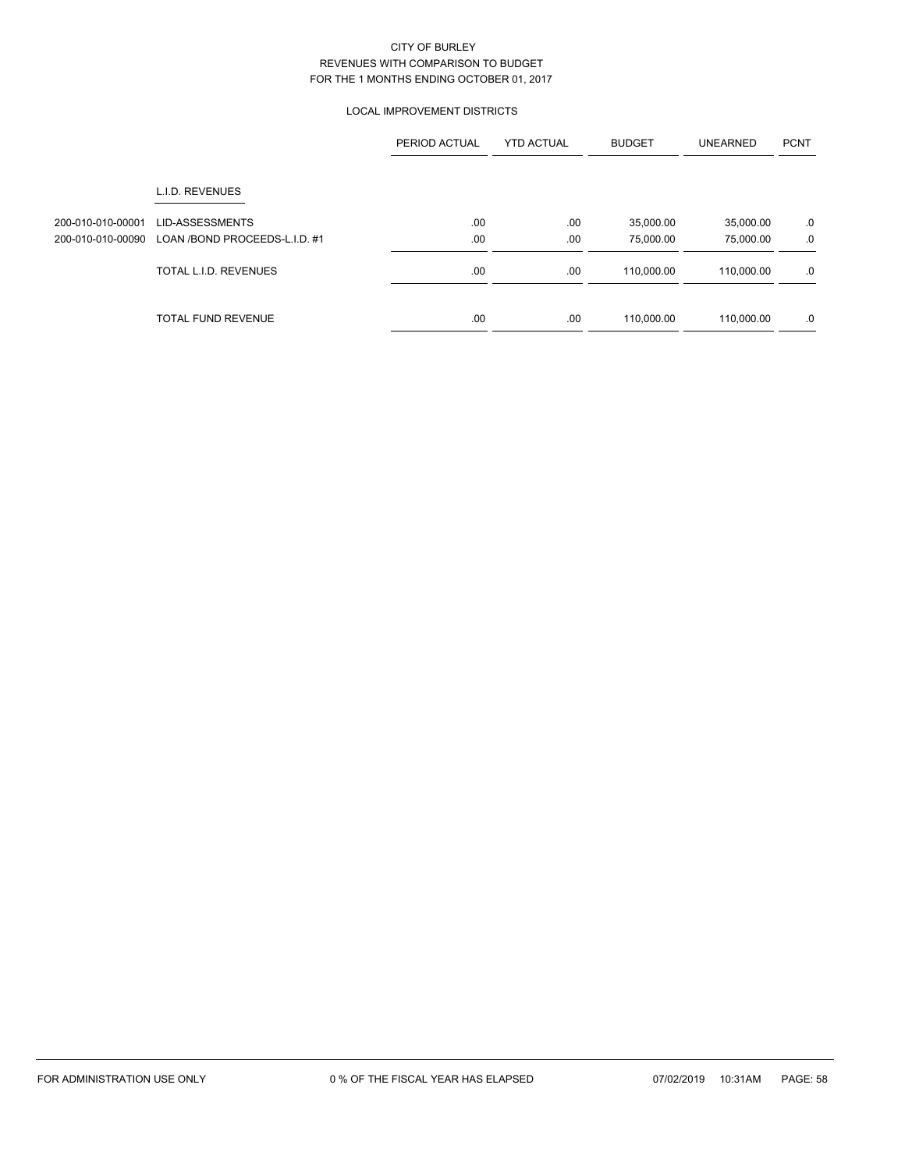### LOCAL IMPROVEMENT DISTRICTS

|                                        |                                                         | PERIOD ACTUAL | <b>YTD ACTUAL</b> | <b>BUDGET</b>          | <b>UNEARNED</b>        | <b>PCNT</b> |
|----------------------------------------|---------------------------------------------------------|---------------|-------------------|------------------------|------------------------|-------------|
|                                        | L.I.D. REVENUES                                         |               |                   |                        |                        |             |
| 200-010-010-00001<br>200-010-010-00090 | <b>LID-ASSESSMENTS</b><br>LOAN /BOND PROCEEDS-L.I.D. #1 | .00<br>.00    | .00<br>.00        | 35,000.00<br>75,000.00 | 35,000.00<br>75,000.00 | .0<br>.0    |
|                                        | TOTAL L.I.D. REVENUES                                   | .00.          | .00               | 110,000.00             | 110,000.00             | .0          |
|                                        | <b>TOTAL FUND REVENUE</b>                               | .00           | .00               | 110,000.00             | 110,000.00             | .0          |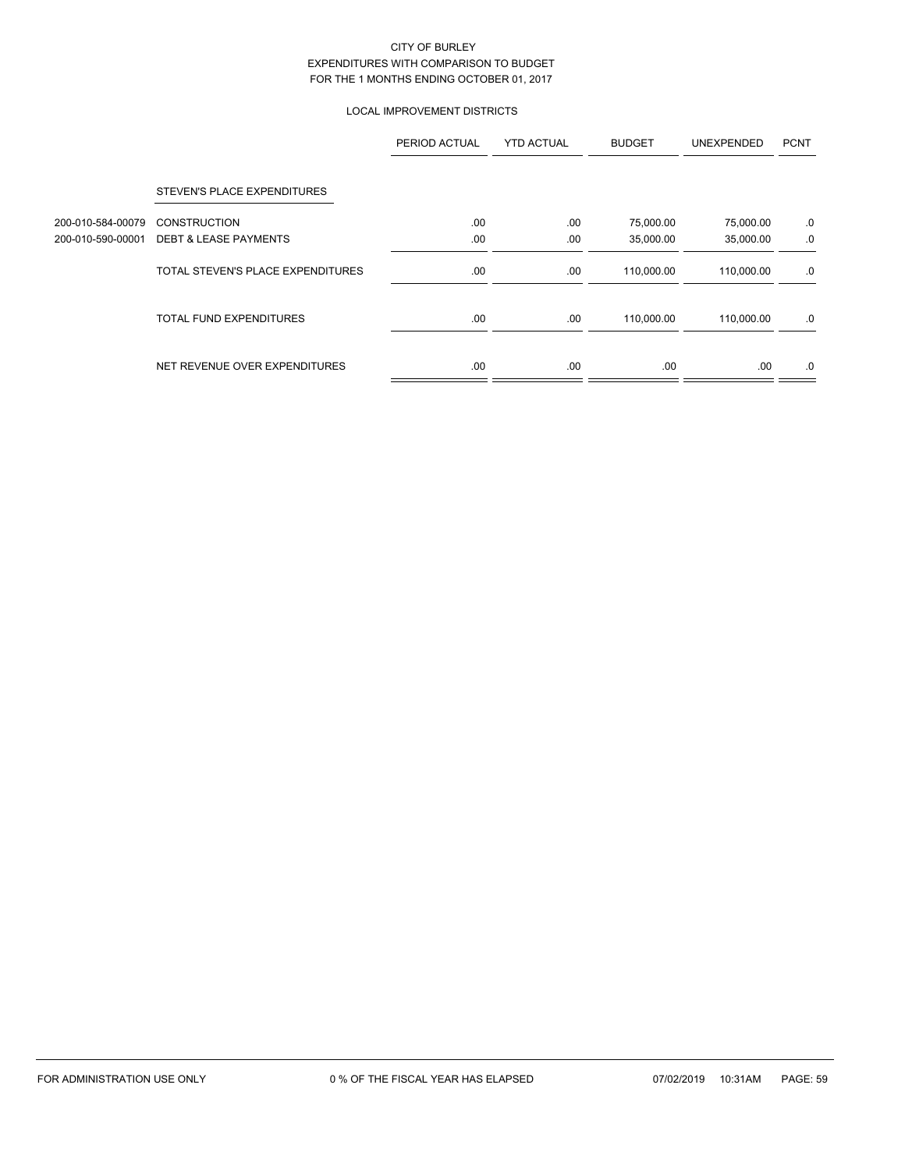### LOCAL IMPROVEMENT DISTRICTS

|                   |                                   | PERIOD ACTUAL | <b>YTD ACTUAL</b> | <b>BUDGET</b> | <b>UNEXPENDED</b> | <b>PCNT</b> |
|-------------------|-----------------------------------|---------------|-------------------|---------------|-------------------|-------------|
|                   | STEVEN'S PLACE EXPENDITURES       |               |                   |               |                   |             |
| 200-010-584-00079 | <b>CONSTRUCTION</b>               | .00           | .00               | 75,000.00     | 75,000.00         | .0          |
| 200-010-590-00001 | <b>DEBT &amp; LEASE PAYMENTS</b>  | .00           | .00               | 35,000.00     | 35,000.00         | .0          |
|                   | TOTAL STEVEN'S PLACE EXPENDITURES | .00.          | .00               | 110,000.00    | 110,000.00        | .0          |
|                   | <b>TOTAL FUND EXPENDITURES</b>    | .00           | .00.              | 110,000.00    | 110,000.00        | .0          |
|                   | NET REVENUE OVER EXPENDITURES     | .00           | .00               | .00.          | .00               | .0          |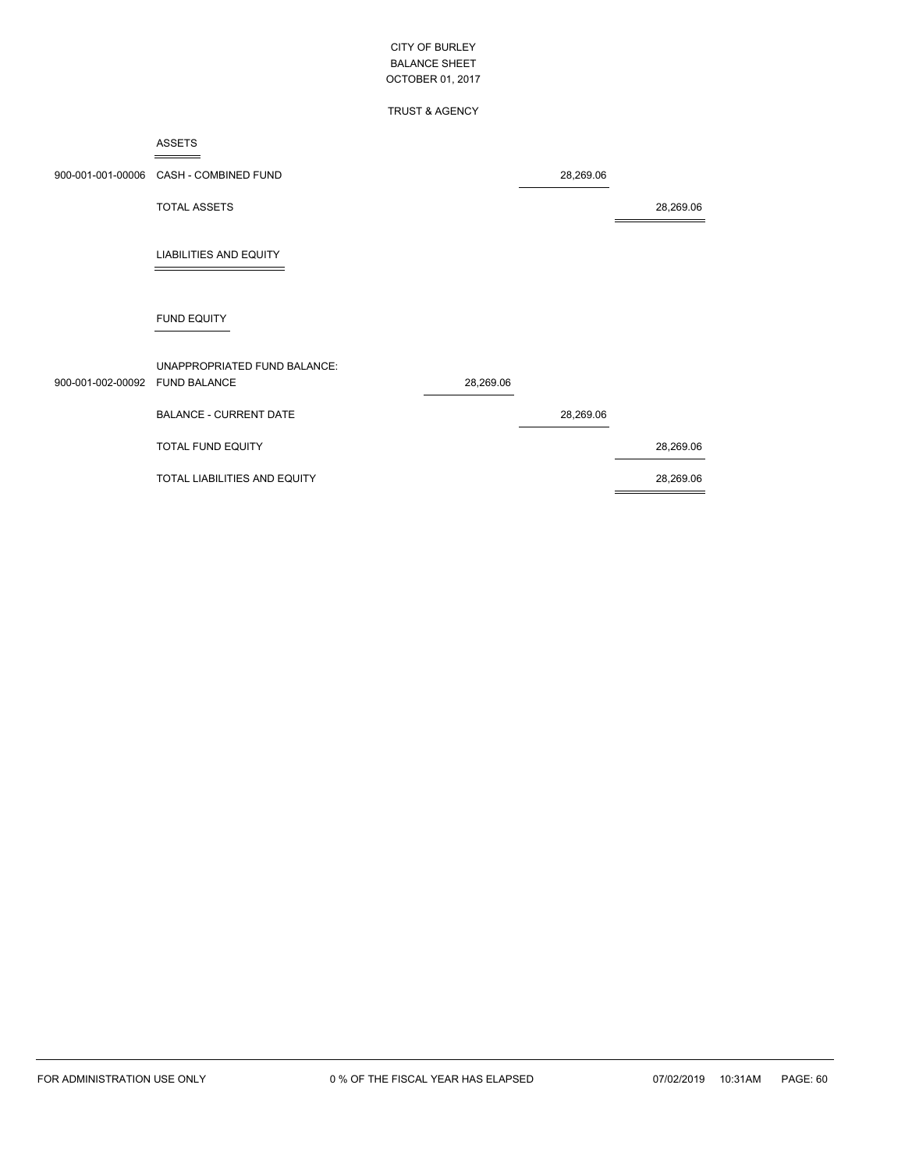### TRUST & AGENCY

#### ASSETS  $=$

|                                | 900-001-001-00006 CASH - COMBINED FUND |           | 28,269.06 |           |
|--------------------------------|----------------------------------------|-----------|-----------|-----------|
|                                | <b>TOTAL ASSETS</b>                    |           |           | 28,269.06 |
|                                | <b>LIABILITIES AND EQUITY</b>          |           |           |           |
|                                | <b>FUND EQUITY</b>                     |           |           |           |
|                                | UNAPPROPRIATED FUND BALANCE:           |           |           |           |
| 900-001-002-00092 FUND BALANCE |                                        | 28,269.06 |           |           |
|                                | <b>BALANCE - CURRENT DATE</b>          |           | 28,269.06 |           |
|                                | TOTAL FUND EQUITY                      |           |           | 28,269.06 |
|                                | TOTAL LIABILITIES AND EQUITY           |           |           | 28,269.06 |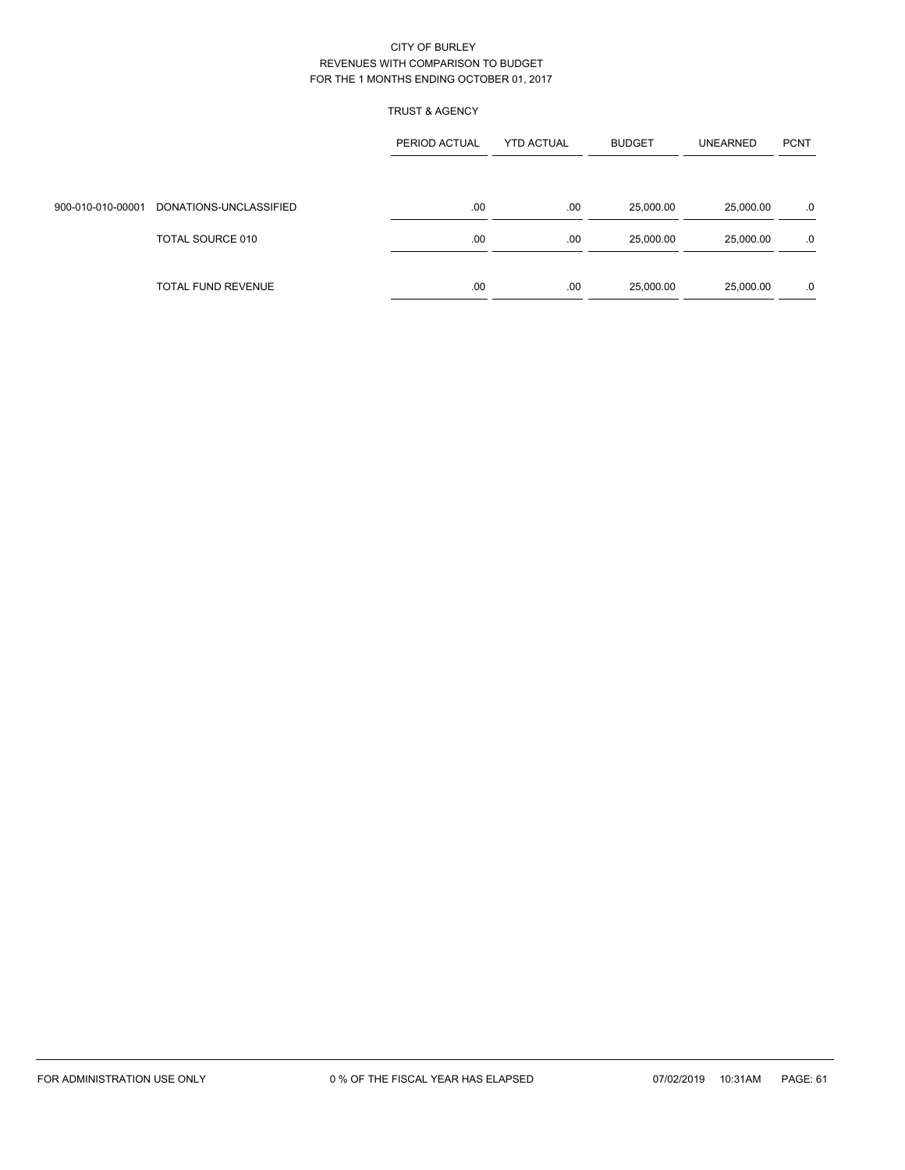### TRUST & AGENCY

|                   |                        | PERIOD ACTUAL<br><b>YTD ACTUAL</b> |     | <b>BUDGET</b> | <b>UNEARNED</b> | <b>PCNT</b> |
|-------------------|------------------------|------------------------------------|-----|---------------|-----------------|-------------|
|                   |                        |                                    |     |               |                 |             |
| 900-010-010-00001 | DONATIONS-UNCLASSIFIED | .00                                | .00 | 25,000.00     | 25,000.00       | .0          |
|                   | TOTAL SOURCE 010       | .00                                | .00 | 25,000.00     | 25,000.00       | .0          |
|                   | TOTAL FUND REVENUE     | .00.                               | .00 | 25,000.00     | 25,000.00       | .0          |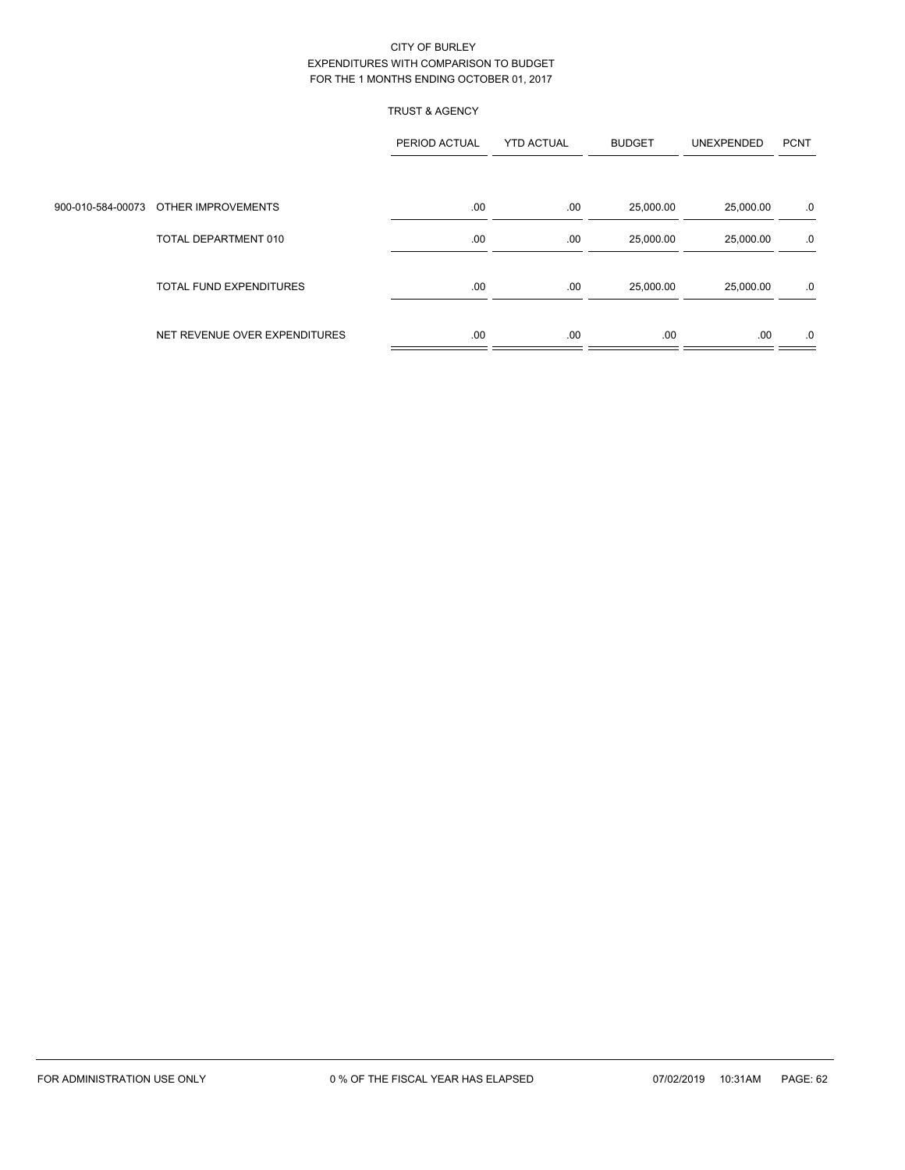### TRUST & AGENCY

|                                      | PERIOD ACTUAL | <b>YTD ACTUAL</b> | <b>BUDGET</b> | UNEXPENDED | <b>PCNT</b> |
|--------------------------------------|---------------|-------------------|---------------|------------|-------------|
|                                      |               |                   |               |            |             |
| 900-010-584-00073 OTHER IMPROVEMENTS | .00           | .00               | 25,000.00     | 25,000.00  | .0          |
| TOTAL DEPARTMENT 010                 | .00           | .00               | 25,000.00     | 25,000.00  | .0          |
| <b>TOTAL FUND EXPENDITURES</b>       | .00           | .00               | 25,000.00     | 25,000.00  | .0          |
| NET REVENUE OVER EXPENDITURES        | .00           | .00               | .00.          | .00        | .0          |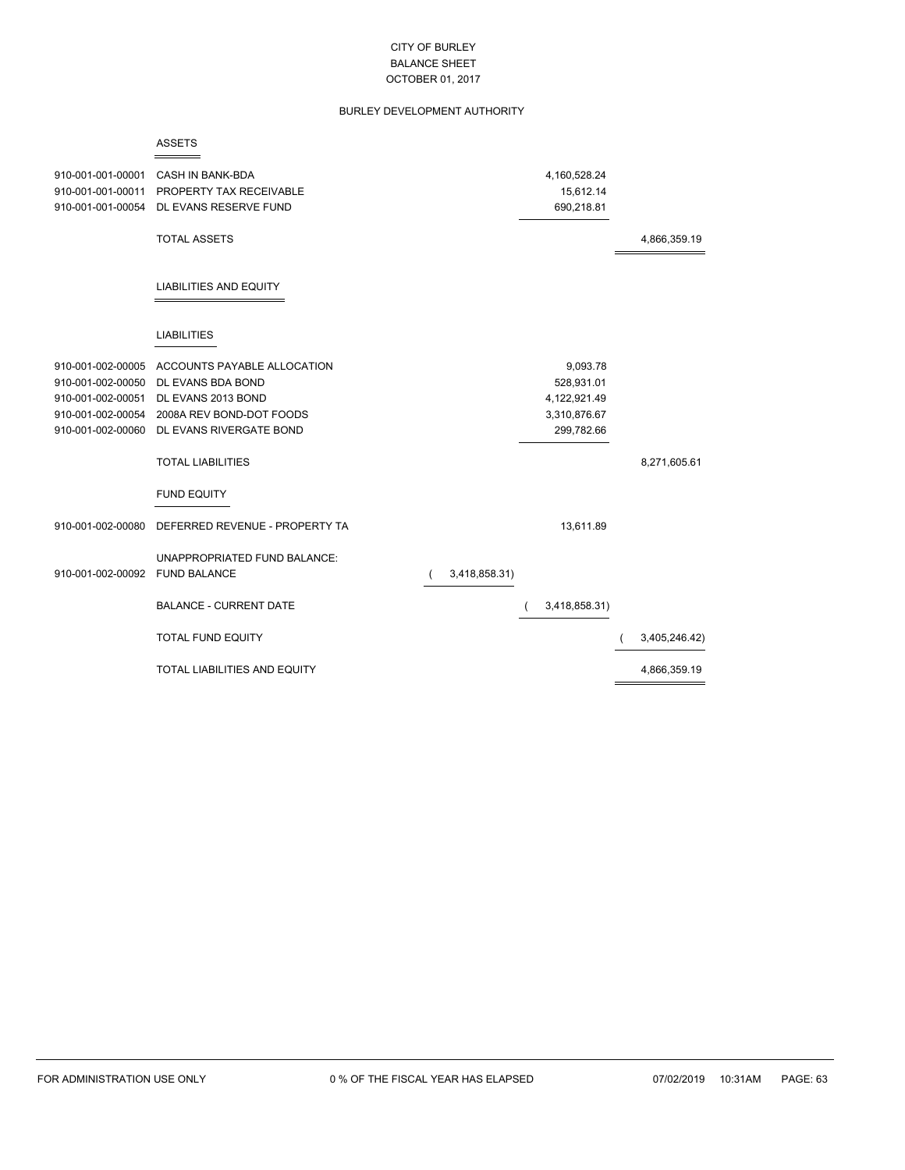### BURLEY DEVELOPMENT AUTHORITY

| 910-001-001-00001              | <b>CASH IN BANK-BDA</b>                   |               | 4,160,528.24  |               |
|--------------------------------|-------------------------------------------|---------------|---------------|---------------|
| 910-001-001-00011              | PROPERTY TAX RECEIVABLE                   |               | 15,612.14     |               |
| 910-001-001-00054              | DL EVANS RESERVE FUND                     |               | 690,218.81    |               |
|                                | <b>TOTAL ASSETS</b>                       |               |               | 4,866,359.19  |
|                                |                                           |               |               |               |
|                                | <b>LIABILITIES AND EQUITY</b>             |               |               |               |
|                                | <b>LIABILITIES</b>                        |               |               |               |
| 910-001-002-00005              | ACCOUNTS PAYABLE ALLOCATION               |               | 9,093.78      |               |
| 910-001-002-00050              | DL EVANS BDA BOND                         |               | 528,931.01    |               |
| 910-001-002-00051              | DL EVANS 2013 BOND                        |               | 4,122,921.49  |               |
| 910-001-002-00054              | 2008A REV BOND-DOT FOODS                  |               | 3,310,876.67  |               |
|                                | 910-001-002-00060 DL EVANS RIVERGATE BOND |               | 299,782.66    |               |
|                                | <b>TOTAL LIABILITIES</b>                  |               |               | 8,271,605.61  |
|                                | <b>FUND EQUITY</b>                        |               |               |               |
| 910-001-002-00080              | DEFERRED REVENUE - PROPERTY TA            |               | 13,611.89     |               |
|                                | UNAPPROPRIATED FUND BALANCE:              |               |               |               |
| 910-001-002-00092 FUND BALANCE |                                           | 3,418,858.31) |               |               |
|                                | <b>BALANCE - CURRENT DATE</b>             |               | 3,418,858.31) |               |
|                                | <b>TOTAL FUND EQUITY</b>                  |               |               | 3,405,246.42) |
|                                | TOTAL LIABILITIES AND EQUITY              |               |               | 4,866,359.19  |

ASSETS

 $\overline{\phantom{0}}$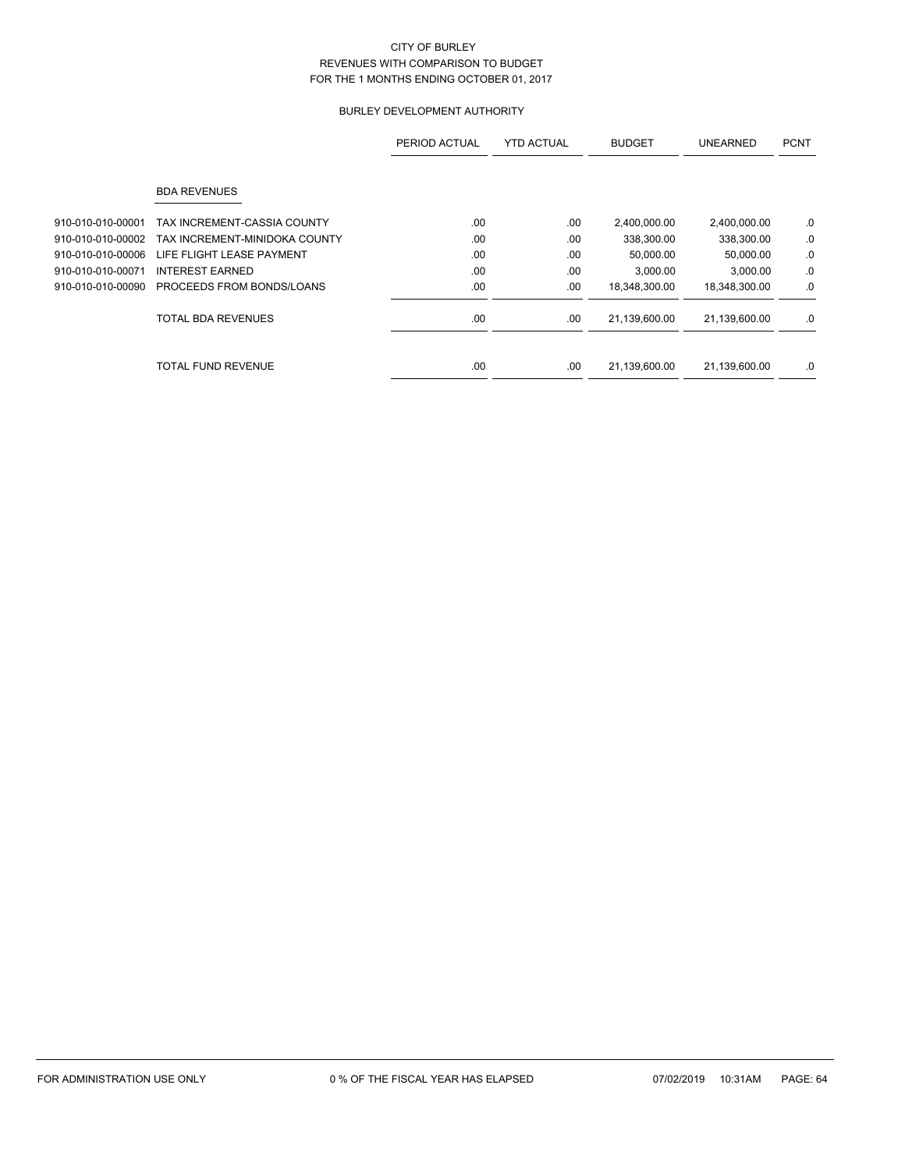## BURLEY DEVELOPMENT AUTHORITY

|                   |                               | PERIOD ACTUAL | <b>YTD ACTUAL</b> | <b>BUDGET</b> | <b>UNEARNED</b> | <b>PCNT</b> |
|-------------------|-------------------------------|---------------|-------------------|---------------|-----------------|-------------|
|                   | <b>BDA REVENUES</b>           |               |                   |               |                 |             |
| 910-010-010-00001 | TAX INCREMENT-CASSIA COUNTY   | .00           | .00               | 2,400,000.00  | 2,400,000.00    | .0          |
| 910-010-010-00002 | TAX INCREMENT-MINIDOKA COUNTY | .00           | .00.              | 338,300.00    | 338,300.00      | .0          |
| 910-010-010-00006 | LIFE FLIGHT LEASE PAYMENT     | .00           | .00               | 50,000.00     | 50,000.00       | .0          |
| 910-010-010-00071 | <b>INTEREST EARNED</b>        | .00           | .00               | 3,000.00      | 3,000.00        | .0          |
| 910-010-010-00090 | PROCEEDS FROM BONDS/LOANS     | .00           | .00               | 18,348,300.00 | 18,348,300.00   | .0          |
|                   | <b>TOTAL BDA REVENUES</b>     | .00           | .00               | 21,139,600.00 | 21,139,600.00   | .0          |
|                   | TOTAL FUND REVENUE            | .00           | .00               | 21,139,600.00 | 21,139,600.00   | .0          |